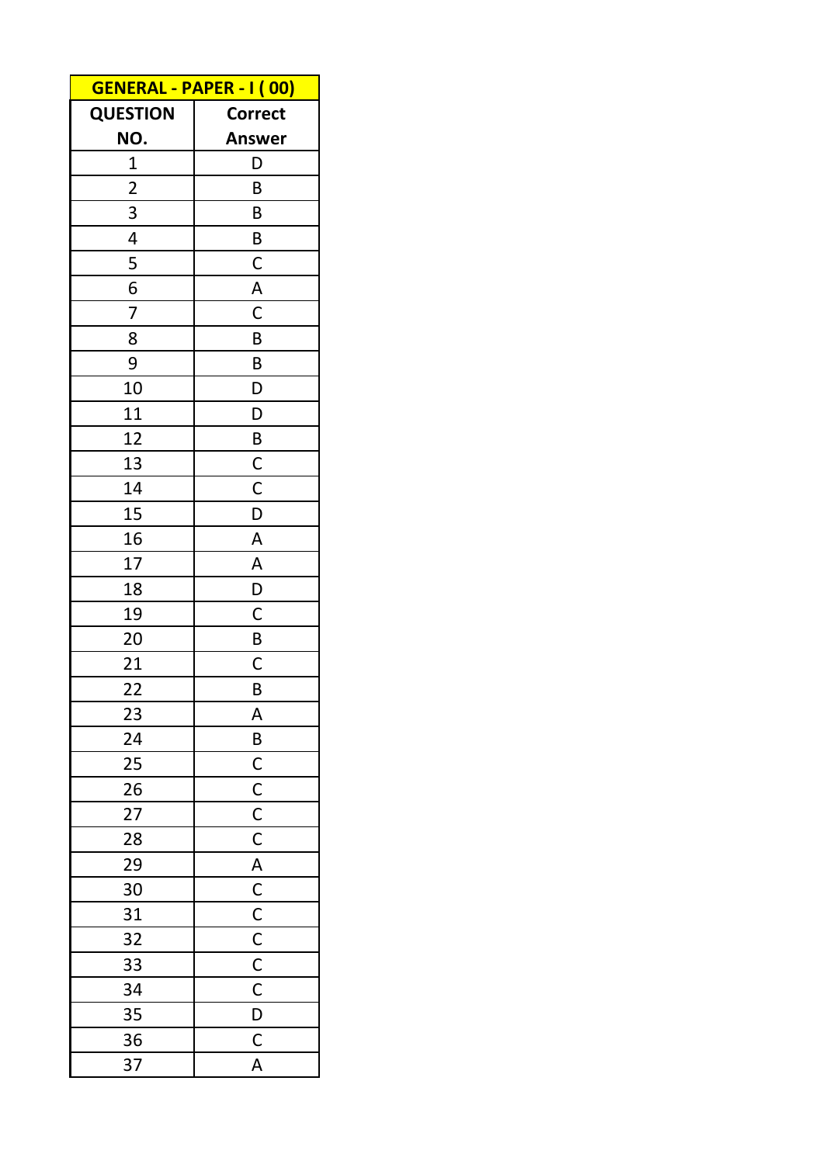| <b>GENERAL - PAPER - I (00)</b> |                         |  |  |
|---------------------------------|-------------------------|--|--|
| <b>QUESTION</b>                 | <b>Correct</b>          |  |  |
| NO.                             | <b>Answer</b>           |  |  |
| $\mathbf 1$                     | D                       |  |  |
| $\overline{2}$                  | B                       |  |  |
| 3                               | B                       |  |  |
| 4                               | B                       |  |  |
| 5                               | $\mathsf{C}$            |  |  |
| 6                               | $\overline{\mathsf{A}}$ |  |  |
| 7                               | $\mathsf{C}$            |  |  |
| 8                               | B                       |  |  |
| 9                               | B                       |  |  |
| 10                              | D                       |  |  |
| 11                              | D                       |  |  |
| 12                              | $\overline{B}$          |  |  |
| 13                              | $rac{C}{C}$             |  |  |
| 14                              |                         |  |  |
| 15                              | $\overline{\mathsf{D}}$ |  |  |
| 16                              | $\overline{\mathsf{A}}$ |  |  |
| 17                              | $\overline{\mathsf{A}}$ |  |  |
| 18                              | $\overline{D}$          |  |  |
| 19                              | $\overline{C}$          |  |  |
| 20                              | $\overline{B}$          |  |  |
| 21                              | $\mathsf{C}$            |  |  |
| 22                              | B                       |  |  |
| 23                              | A                       |  |  |
| 24                              | $\overline{B}$          |  |  |
| 25                              |                         |  |  |
| 26                              |                         |  |  |
| 27                              |                         |  |  |
| 28                              |                         |  |  |
| 29                              |                         |  |  |
| 30                              |                         |  |  |
| 31                              |                         |  |  |
| 32                              |                         |  |  |
| 33                              |                         |  |  |
| 34                              |                         |  |  |
| 35                              |                         |  |  |
| 36                              |                         |  |  |
| 37                              | A                       |  |  |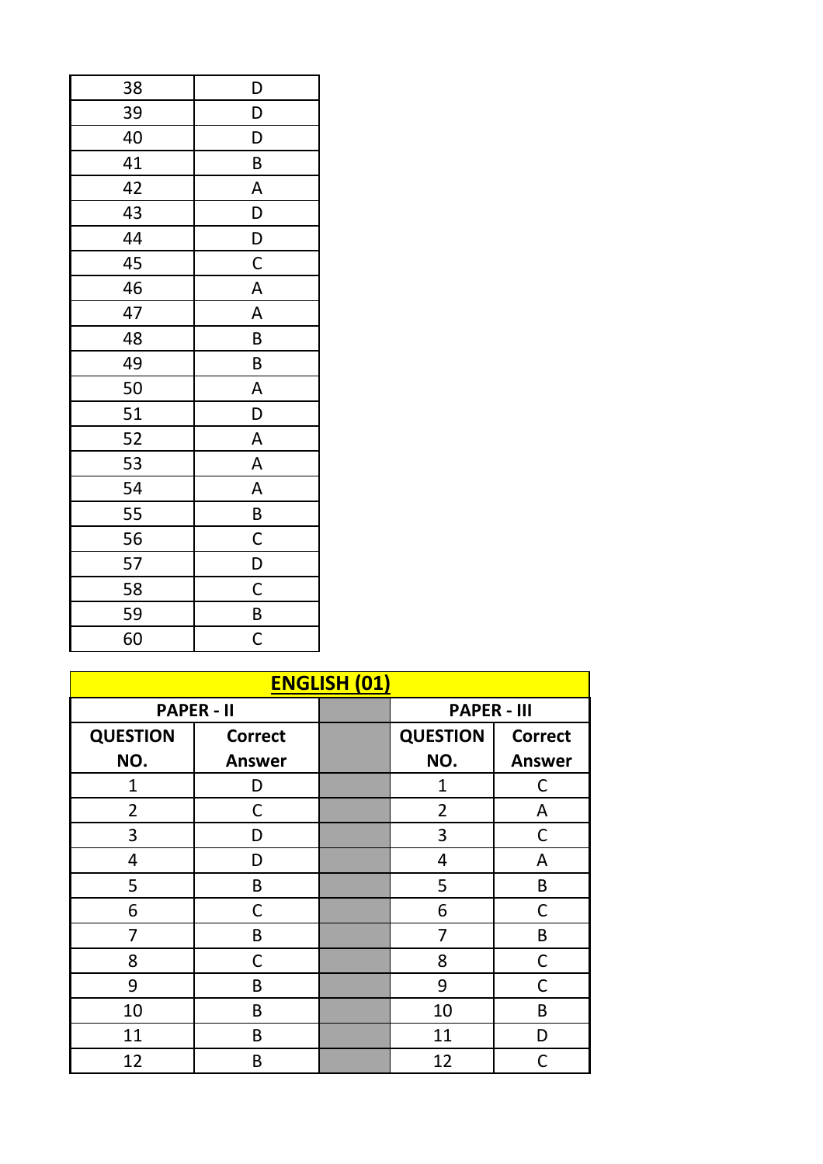| 38 | D           |
|----|-------------|
| 39 | D           |
| 40 | D           |
| 41 | B           |
| 42 | A           |
| 43 | D           |
| 44 | D           |
| 45 | $\mathsf C$ |
| 46 | A           |
| 47 | A           |
| 48 | B           |
| 49 | B           |
| 50 | A           |
| 51 | D           |
| 52 | A           |
| 53 | A           |
| 54 | A           |
| 55 | B           |
| 56 | C           |
| 57 | D           |
| 58 | $\mathsf C$ |
| 59 | B           |
| 60 | C           |

| <b>ENGLISH (01)</b> |                   |  |                    |                |  |
|---------------------|-------------------|--|--------------------|----------------|--|
|                     | <b>PAPER - II</b> |  | <b>PAPER - III</b> |                |  |
| <b>QUESTION</b>     | <b>Correct</b>    |  | <b>QUESTION</b>    | <b>Correct</b> |  |
| NO.                 | <b>Answer</b>     |  | NO.                | <b>Answer</b>  |  |
| 1                   | D                 |  | 1                  | C              |  |
| $\overline{2}$      | С                 |  | $\overline{2}$     | A              |  |
| 3                   | D                 |  | 3                  | C              |  |
| 4                   | D                 |  | 4                  | Α              |  |
| 5                   | B                 |  | 5                  | B              |  |
| 6                   | С                 |  | 6                  | C              |  |
| 7                   | B                 |  | 7                  | B              |  |
| 8                   | C                 |  | 8                  | $\mathsf C$    |  |
| 9                   | B                 |  | 9                  | C              |  |
| 10                  | B                 |  | 10                 | B              |  |
| 11                  | B                 |  | 11                 | D              |  |
| 12                  | B                 |  | 12                 | C              |  |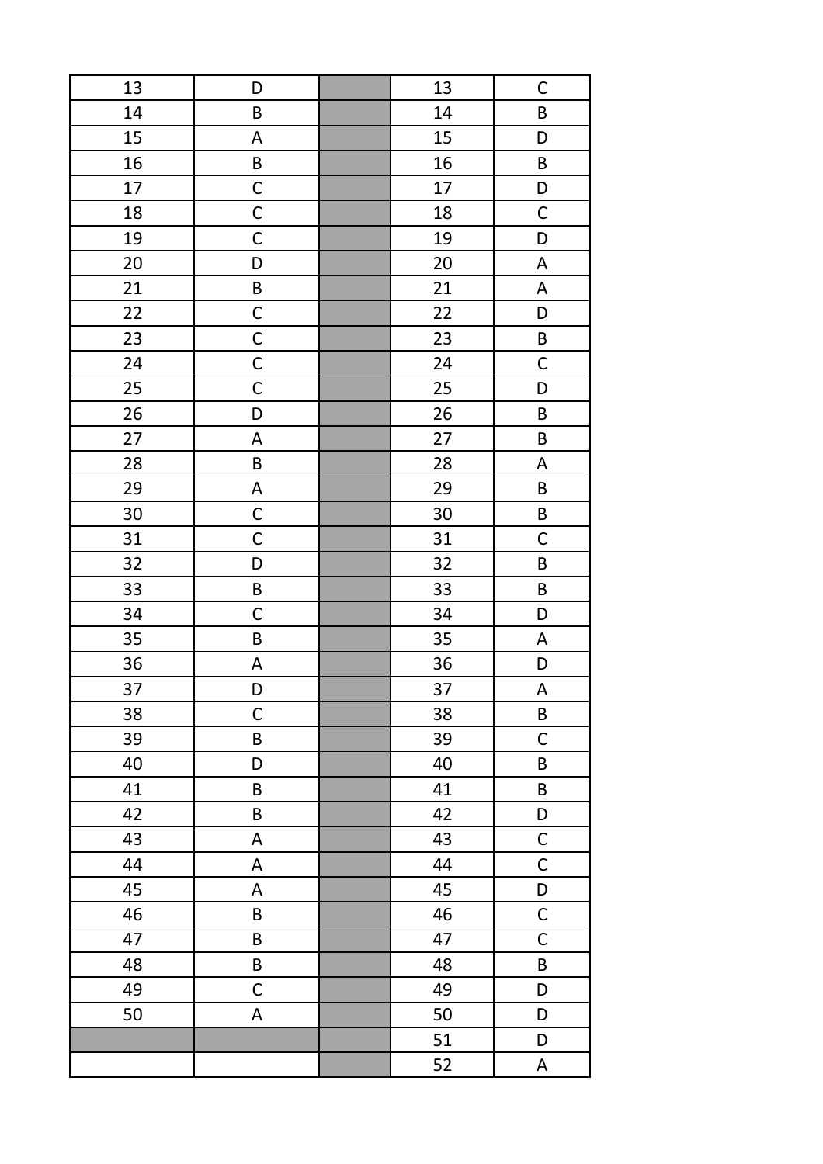| 13 | D                         | 13 | $\mathsf{C}$              |
|----|---------------------------|----|---------------------------|
| 14 | B                         | 14 | $\sf B$                   |
| 15 | A                         | 15 | D                         |
| 16 | B                         | 16 | B                         |
| 17 | $\mathsf C$               | 17 | D                         |
| 18 | $\mathsf C$               | 18 | $\mathsf C$               |
| 19 | $\mathsf C$               | 19 | D                         |
| 20 | D                         | 20 | $\boldsymbol{\mathsf{A}}$ |
| 21 | B                         | 21 | A                         |
| 22 | $\mathsf C$               | 22 | D                         |
| 23 | $\mathsf{C}$              | 23 | B                         |
| 24 | $\mathsf C$               | 24 | $\mathsf C$               |
| 25 | $\mathsf C$               | 25 | D                         |
| 26 | D                         | 26 | B                         |
| 27 | $\mathsf A$               | 27 | $\sf B$                   |
| 28 | $\sf B$                   | 28 | $\boldsymbol{\mathsf{A}}$ |
| 29 | $\boldsymbol{\mathsf{A}}$ | 29 | B                         |
| 30 | $\mathsf C$               | 30 | $\mathsf B$               |
| 31 | $\mathsf C$               | 31 | $\mathsf C$               |
| 32 | D                         | 32 | $\sf B$                   |
| 33 | $\sf B$                   | 33 | $\sf B$                   |
| 34 | $\mathsf C$               | 34 | D                         |
| 35 | $\sf B$                   | 35 | $\boldsymbol{\mathsf{A}}$ |
| 36 | A                         | 36 | D                         |
| 37 | D                         | 37 | $\boldsymbol{\mathsf{A}}$ |
| 38 | $\mathsf C$               | 38 | $\sf B$                   |
| 39 | $\sf B$                   | 39 | $\mathsf C$               |
| 40 | D                         | 40 | $\sf B$                   |
| 41 | $\sf B$                   | 41 | $\sf B$                   |
| 42 | B                         | 42 | D                         |
| 43 | A                         | 43 | $\mathsf C$               |
| 44 | A                         | 44 | $\mathsf C$               |
| 45 | A                         | 45 | D                         |
| 46 | B                         | 46 | $\mathsf C$               |
| 47 | $\sf B$                   | 47 | $\mathsf C$               |
| 48 | $\sf B$                   | 48 | $\sf B$                   |
| 49 | $\mathsf C$               | 49 | D                         |
| 50 | A                         | 50 | D                         |
|    |                           | 51 | D                         |
|    |                           | 52 | $\mathsf A$               |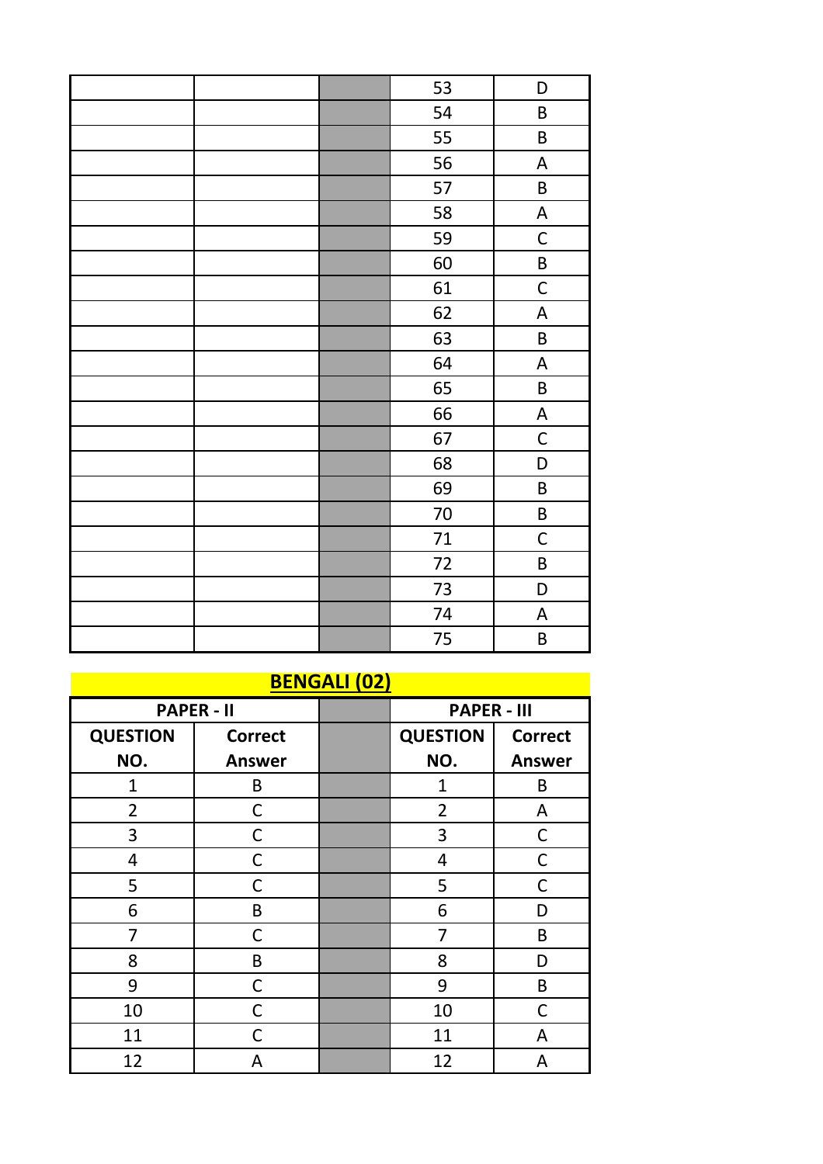|  | 53 | D                         |
|--|----|---------------------------|
|  | 54 | $\sf B$                   |
|  | 55 | $\sf B$                   |
|  | 56 | $\boldsymbol{\mathsf{A}}$ |
|  | 57 | $\sf B$                   |
|  | 58 | $\boldsymbol{\mathsf{A}}$ |
|  | 59 | $\mathsf C$               |
|  | 60 | $\sf B$                   |
|  | 61 | $\mathsf C$               |
|  | 62 | $\boldsymbol{\mathsf{A}}$ |
|  | 63 | $\sf B$                   |
|  | 64 | $\boldsymbol{\mathsf{A}}$ |
|  | 65 | $\sf B$                   |
|  | 66 | $\boldsymbol{\mathsf{A}}$ |
|  | 67 | $\mathsf C$               |
|  | 68 | D                         |
|  | 69 | B                         |
|  | 70 | B                         |
|  | 71 | $\mathsf C$               |
|  | 72 | $\sf B$                   |
|  | 73 | D                         |
|  | 74 | $\boldsymbol{\mathsf{A}}$ |
|  | 75 | B                         |

| <b>BENGALI (02)</b> |                |  |                    |                |
|---------------------|----------------|--|--------------------|----------------|
| <b>PAPER - II</b>   |                |  | <b>PAPER - III</b> |                |
| <b>QUESTION</b>     | <b>Correct</b> |  | <b>QUESTION</b>    | <b>Correct</b> |
| NO.                 | <b>Answer</b>  |  | NO.                | <b>Answer</b>  |
| $\mathbf{1}$        | B              |  | $\mathbf{1}$       | B              |
| $\overline{2}$      | С              |  | 2                  | A              |
| 3                   | C              |  | 3                  | $\mathsf{C}$   |
| 4                   | С              |  | 4                  | C              |
| 5                   | C              |  | 5                  | С              |
| 6                   | B              |  | 6                  | D              |
| 7                   | С              |  | 7                  | B              |
| 8                   | B              |  | 8                  | D              |
| 9                   | C              |  | 9                  | B              |
| 10                  | С              |  | 10                 | C              |
| 11                  | C              |  | 11                 | A              |
| 12                  | А              |  | 12                 | A              |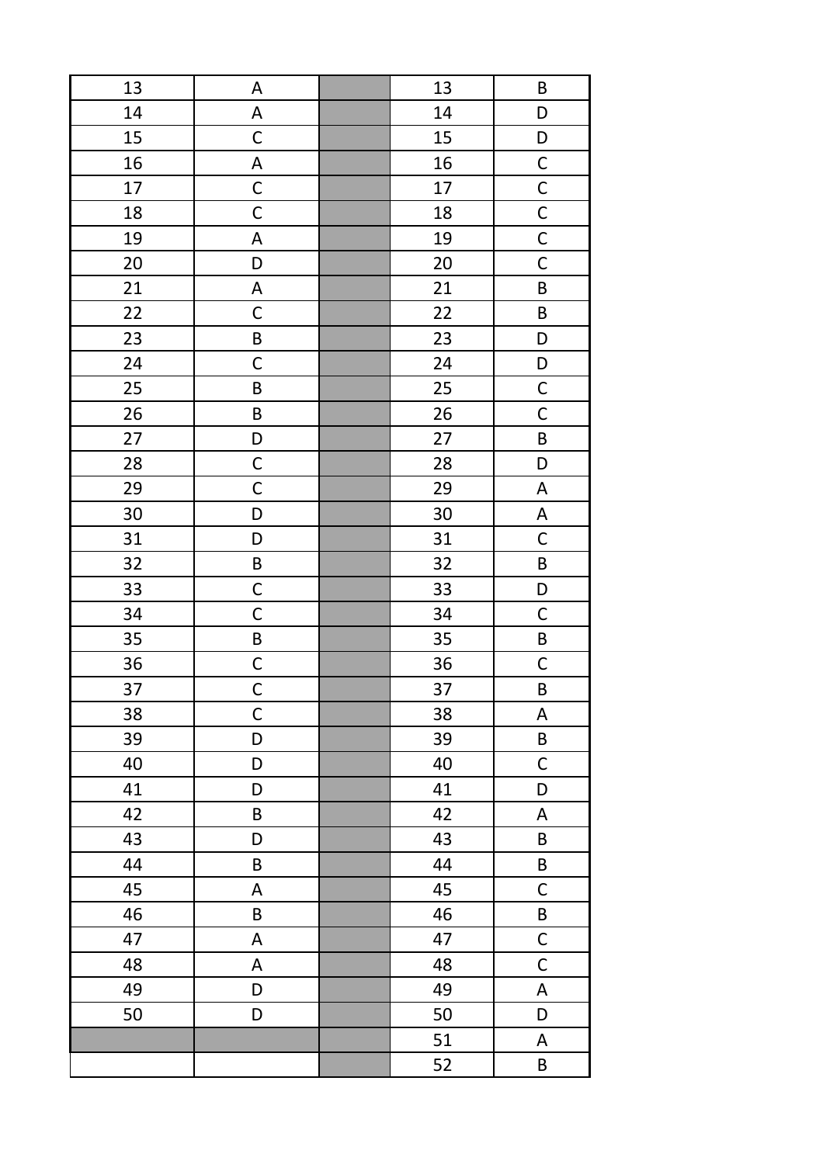| 13 | A           | 13 | $\sf B$                   |
|----|-------------|----|---------------------------|
| 14 | A           | 14 | D                         |
| 15 | $\mathsf C$ | 15 | D                         |
| 16 | A           | 16 | $\overline{C}$            |
| 17 | $\mathsf C$ | 17 | $rac{C}{C}$               |
| 18 | $\mathsf C$ | 18 |                           |
| 19 | A           | 19 | $\overline{\mathsf{C}}$   |
| 20 | D           | 20 | $\mathsf C$               |
| 21 | A           | 21 | $\sf B$                   |
| 22 | $\mathsf C$ | 22 | $\sf B$                   |
| 23 | B           | 23 | D                         |
| 24 | $\mathsf C$ | 24 | D                         |
| 25 | $\sf B$     | 25 | $\mathsf{C}$              |
| 26 | $\sf B$     | 26 | $\mathsf C$               |
| 27 | D           | 27 | B                         |
| 28 | $\mathsf C$ | 28 | D                         |
| 29 | $\mathsf C$ | 29 | $\boldsymbol{\mathsf{A}}$ |
| 30 | D           | 30 | $\boldsymbol{\mathsf{A}}$ |
| 31 | D           | 31 | $\mathsf C$               |
| 32 | B           | 32 | $\sf B$                   |
| 33 | $\mathsf C$ | 33 | D                         |
| 34 | $\mathsf C$ | 34 | $\mathsf C$               |
| 35 | $\sf B$     | 35 | $\sf B$                   |
| 36 | $\mathsf C$ | 36 | $\mathsf{C}$              |
| 37 | $\mathsf C$ | 37 | $\sf B$                   |
| 38 | $\mathsf C$ | 38 | $\boldsymbol{\mathsf{A}}$ |
| 39 | D           | 39 | $\sf B$                   |
| 40 | D           | 40 | $\mathsf C$               |
| 41 | D           | 41 | D                         |
| 42 | $\sf B$     | 42 | A                         |
| 43 | D           | 43 | B                         |
| 44 | B           | 44 | B                         |
| 45 | A           | 45 | $\mathsf C$               |
| 46 | B           | 46 | B                         |
| 47 | $\mathsf A$ | 47 | $\mathsf C$               |
| 48 | A           | 48 | $\mathsf C$               |
| 49 | D           | 49 | $\boldsymbol{\mathsf{A}}$ |
| 50 | D           | 50 | D                         |
|    |             | 51 | $\mathsf A$               |
|    |             | 52 | B                         |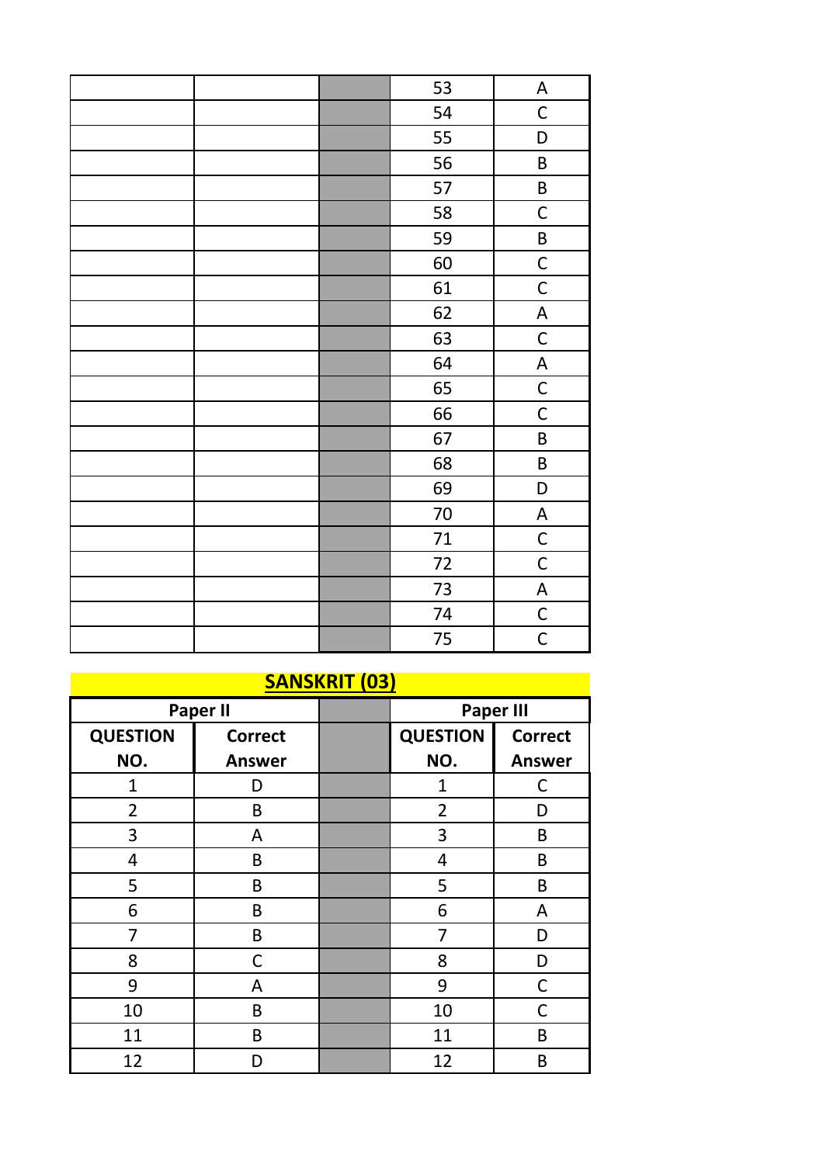|                | 53     | A                         |
|----------------|--------|---------------------------|
|                | 54     | $\mathsf C$               |
|                | 55     | D                         |
|                | 56     | $\sf B$                   |
|                | 57     | $\sf B$                   |
|                | 58     | $\mathsf C$               |
|                | 59     | $\sf B$                   |
|                | 60     | $\mathsf C$               |
|                | 61     | $\mathsf C$               |
|                | 62     | $\boldsymbol{\mathsf{A}}$ |
|                | 63     | $\mathsf C$               |
|                | 64     | $\mathsf A$               |
|                | 65     | $\mathsf C$               |
|                | 66     | $\mathsf C$               |
|                | 67     | $\sf B$                   |
|                | 68     | $\sf B$                   |
|                | 69     | D                         |
|                | $70\,$ | $\mathsf A$               |
|                | 71     | $\mathsf C$               |
|                | 72     | $\mathsf C$               |
|                | 73     | $\mathsf A$               |
|                | 74     | $\mathsf C$               |
|                | 75     | $\mathsf C$               |
| CABICIANT (AA) |        |                           |

| <b>SANSKRIT (03)</b> |                |  |                  |                |
|----------------------|----------------|--|------------------|----------------|
|                      | Paper II       |  | <b>Paper III</b> |                |
| <b>QUESTION</b>      | <b>Correct</b> |  | <b>QUESTION</b>  | <b>Correct</b> |
| NO.                  | <b>Answer</b>  |  | NO.              | <b>Answer</b>  |
| 1                    | D              |  | 1                | С              |
| 2                    | B              |  | 2                | D              |
| 3                    | A              |  | 3                | B              |
| 4                    | B              |  | 4                | B              |
| 5                    | B              |  | 5                | B              |
| 6                    | B              |  | 6                | A              |
| 7                    | B              |  | 7                | D              |
| 8                    | С              |  | 8                | D              |
| 9                    | A              |  | 9                | $\mathsf C$    |
| 10                   | B              |  | 10               | C              |
| 11                   | B              |  | 11               | B              |
| 12                   | D              |  | 12               | B              |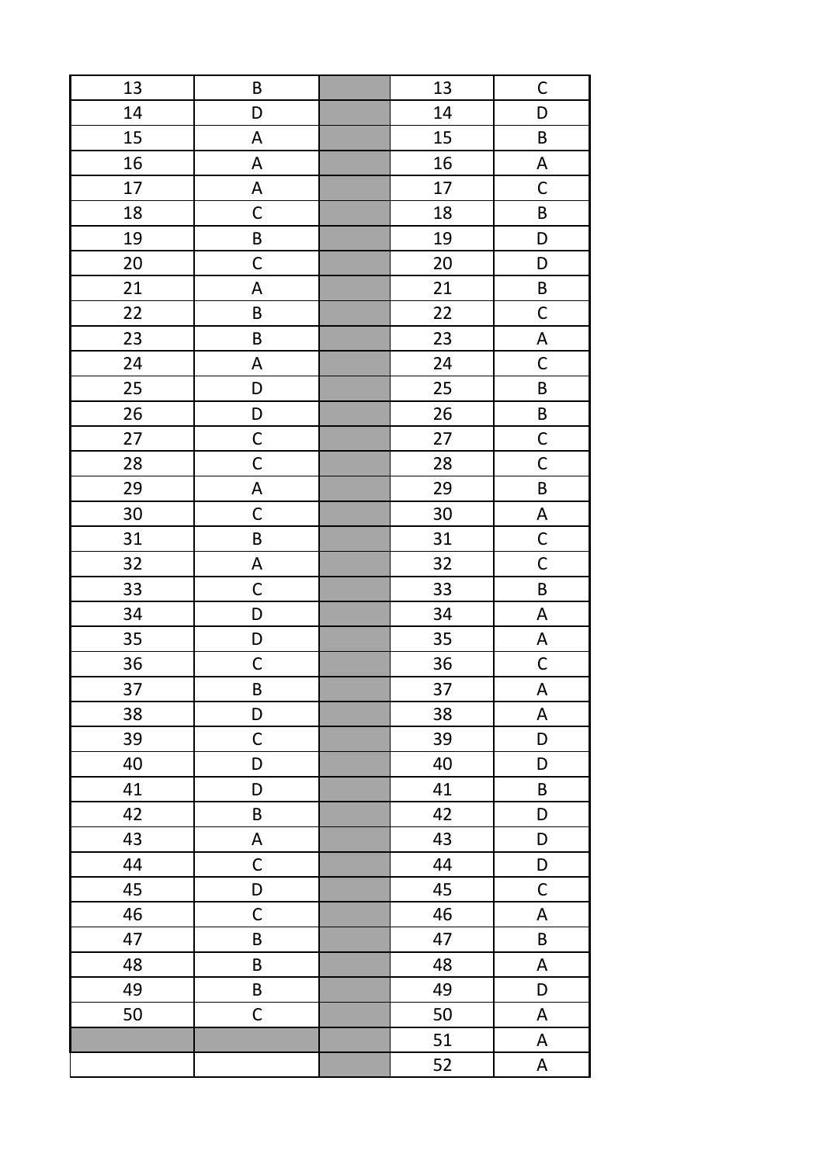| 13 | $\sf B$                   | 13 | $\mathsf C$               |
|----|---------------------------|----|---------------------------|
| 14 | D                         | 14 | D                         |
| 15 | A                         | 15 | $\sf B$                   |
| 16 | A                         | 16 | $\boldsymbol{\mathsf{A}}$ |
| 17 | A                         | 17 | $\mathsf C$               |
| 18 | $\mathsf C$               | 18 | $\sf B$                   |
| 19 | $\sf B$                   | 19 | D                         |
| 20 | $\mathsf C$               | 20 | D                         |
| 21 | A                         | 21 | $\sf B$                   |
| 22 | B                         | 22 | $\mathsf C$               |
| 23 | B                         | 23 | $\boldsymbol{\mathsf{A}}$ |
| 24 | A                         | 24 | $\mathsf C$               |
| 25 | D                         | 25 | $\sf B$                   |
| 26 | D                         | 26 | $\mathsf B$               |
| 27 | $\mathsf C$               | 27 | $\mathsf{C}$              |
| 28 | $\mathsf C$               | 28 | $\mathsf C$               |
| 29 | $\mathsf A$               | 29 | $\sf B$                   |
| 30 | $\mathsf C$               | 30 | A                         |
| 31 | $\sf B$                   | 31 | $\mathsf{C}$              |
| 32 | $\boldsymbol{\mathsf{A}}$ | 32 | $\mathsf{C}$              |
| 33 | $\mathsf C$               | 33 | B                         |
| 34 | D                         | 34 | $\boldsymbol{\mathsf{A}}$ |
| 35 | D                         | 35 | $\boldsymbol{\mathsf{A}}$ |
| 36 | $\mathsf C$               | 36 | $\mathsf{C}$              |
| 37 | $\sf B$                   | 37 | $\boldsymbol{\mathsf{A}}$ |
| 38 | D                         | 38 | $\boldsymbol{\mathsf{A}}$ |
| 39 | $\mathsf C$               | 39 | D                         |
| 40 | D                         | 40 | D                         |
| 41 | D                         | 41 | $\sf B$                   |
| 42 | $\sf B$                   | 42 | D                         |
| 43 | A                         | 43 | D                         |
| 44 | $\mathsf C$               | 44 | D                         |
| 45 | D                         | 45 | $\mathsf C$               |
| 46 | $\mathsf C$               | 46 | A                         |
| 47 | B                         | 47 | B                         |
| 48 | $\sf B$                   | 48 | A                         |
| 49 | $\sf B$                   | 49 | D                         |
| 50 | $\mathsf C$               | 50 | A                         |
|    |                           | 51 | $\mathsf A$               |
|    |                           | 52 | A                         |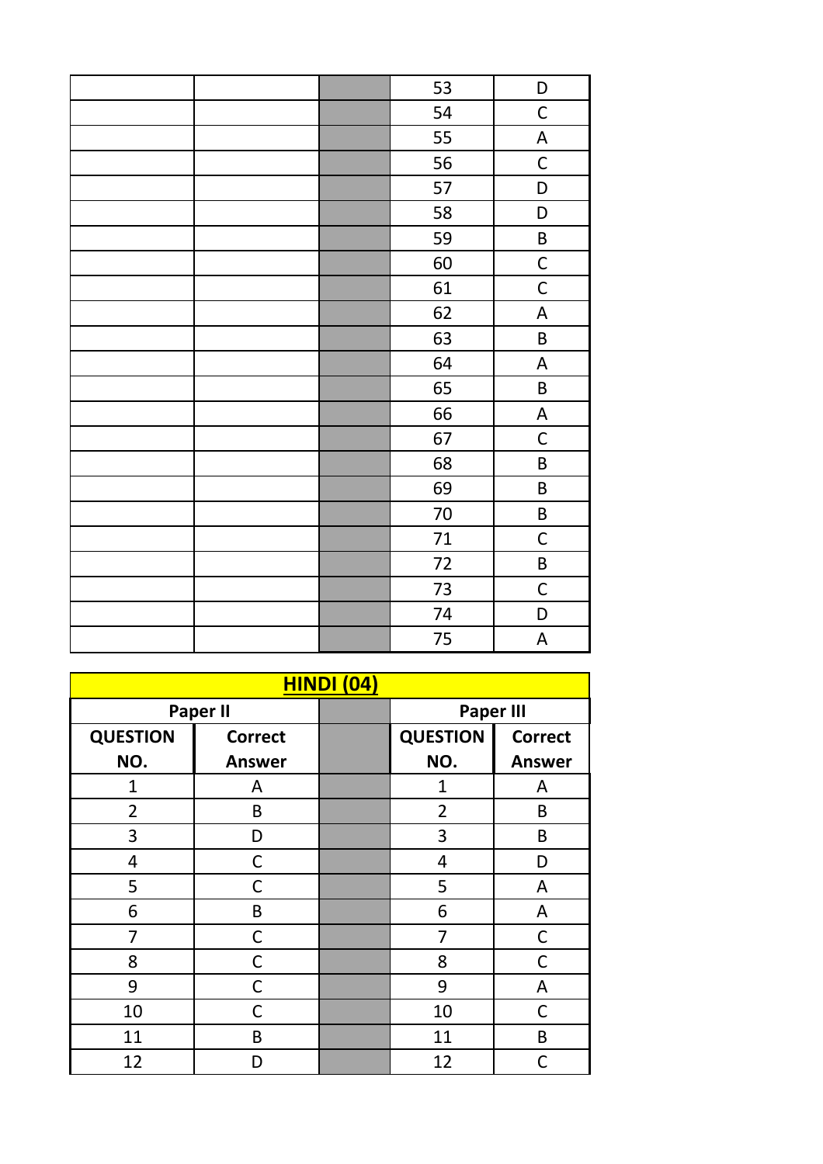| 53     | D                         |
|--------|---------------------------|
| 54     | $\mathsf C$               |
| 55     | $\boldsymbol{\mathsf{A}}$ |
| 56     | $\mathsf C$               |
| 57     | D                         |
| 58     | D                         |
| 59     | $\sf B$                   |
| 60     | $\mathsf C$               |
| 61     | $\mathsf{C}$              |
| 62     | A                         |
| 63     | $\sf B$                   |
| 64     | $\mathsf A$               |
| 65     | $\sf B$                   |
| 66     | $\boldsymbol{\mathsf{A}}$ |
| 67     | $\mathsf C$               |
| 68     | $\sf B$                   |
| 69     | $\sf B$                   |
| $70\,$ | $\sf B$                   |
| 71     | $\mathsf C$               |
| 72     | $\sf B$                   |
| 73     | $\mathsf C$               |
| 74     | D                         |
| 75     | $\boldsymbol{\mathsf{A}}$ |

| <b>HINDI (04)</b>                   |  |                 |                |  |
|-------------------------------------|--|-----------------|----------------|--|
| <b>Paper II</b><br><b>Paper III</b> |  |                 |                |  |
| <b>Correct</b>                      |  | <b>QUESTION</b> | <b>Correct</b> |  |
| <b>Answer</b>                       |  | NO.             | <b>Answer</b>  |  |
| A                                   |  | $\mathbf{1}$    | A              |  |
| B                                   |  | 2               | B              |  |
| D                                   |  | 3               | B              |  |
| С                                   |  | 4               | D              |  |
| C                                   |  | 5               | A              |  |
| B                                   |  | 6               | A              |  |
| C                                   |  | 7               | C              |  |
| C                                   |  | 8               | $\mathsf{C}$   |  |
| C                                   |  | 9               | A              |  |
| С                                   |  | 10              | C              |  |
| B                                   |  | 11              | B              |  |
| D                                   |  | 12              | $\overline{C}$ |  |
|                                     |  |                 |                |  |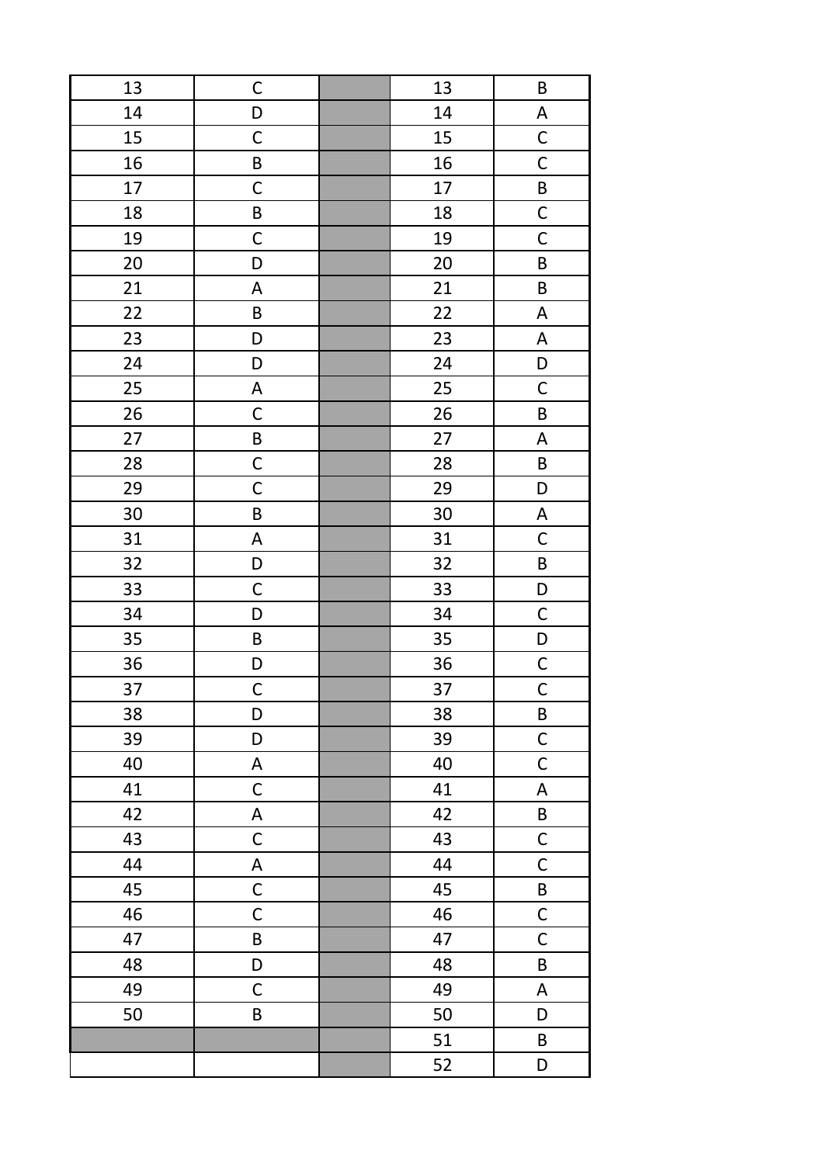| 13 | $\mathsf C$  | 13 | $\sf B$                   |
|----|--------------|----|---------------------------|
| 14 | D            | 14 | $\boldsymbol{\mathsf{A}}$ |
| 15 | $\mathsf C$  | 15 | $\mathsf{C}$              |
| 16 | $\sf B$      | 16 | $\mathsf C$               |
| 17 | $\mathsf C$  | 17 | $\overline{\mathsf{B}}$   |
| 18 | $\sf B$      | 18 | $\overline{C}$            |
| 19 | $\mathsf C$  | 19 | $\mathsf C$               |
| 20 | D            | 20 | $\sf B$                   |
| 21 | A            | 21 | $\sf B$                   |
| 22 | $\sf B$      | 22 | A                         |
| 23 | D            | 23 | A                         |
| 24 | D            | 24 | D                         |
| 25 | $\mathsf A$  | 25 | $\mathsf C$               |
| 26 | $\mathsf C$  | 26 | B                         |
| 27 | $\sf B$      | 27 | $\boldsymbol{\mathsf{A}}$ |
| 28 | $\mathsf C$  | 28 | $\sf B$                   |
| 29 | $\mathsf C$  | 29 | D                         |
| 30 | $\sf B$      | 30 | A                         |
| 31 | $\mathsf A$  | 31 | $\mathsf C$               |
| 32 | D            | 32 | $\sf B$                   |
| 33 | $\mathsf C$  | 33 | D                         |
| 34 | D            | 34 | $\mathsf C$               |
| 35 | $\sf B$      | 35 | $\mathsf D$               |
| 36 | D            | 36 | $\mathsf{C}$              |
| 37 | $\mathsf C$  | 37 | $\overline{\mathsf{C}}$   |
| 38 | D            | 38 | $\sf B$                   |
| 39 | D            | 39 | $\mathsf C$               |
| 40 | A            | 40 | $\mathsf C$               |
| 41 | $\mathsf C$  | 41 | $\boldsymbol{\mathsf{A}}$ |
| 42 | A            | 42 | $\sf B$                   |
| 43 | $\mathsf C$  | 43 | $\mathsf C$               |
| 44 | A            | 44 | $\mathsf C$               |
| 45 | $\mathsf{C}$ | 45 | B                         |
| 46 | $\mathsf C$  | 46 | $\mathsf C$               |
| 47 | $\sf B$      | 47 | $\mathsf C$               |
| 48 | D            | 48 | B                         |
| 49 | $\mathsf C$  | 49 | $\mathsf A$               |
| 50 | $\sf B$      | 50 | D                         |
|    |              | 51 | B                         |
|    |              | 52 | D                         |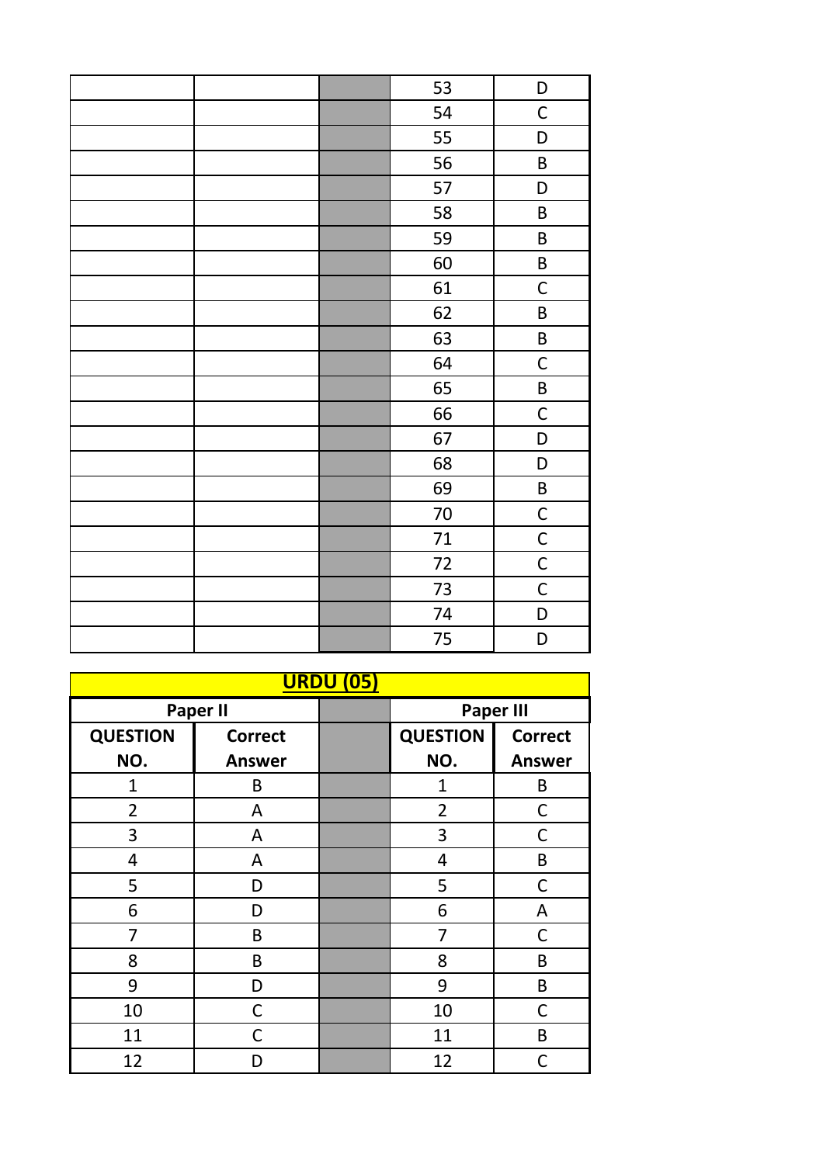|  | 53 | D            |
|--|----|--------------|
|  | 54 | $\mathsf C$  |
|  | 55 | D            |
|  | 56 | $\sf B$      |
|  | 57 | D            |
|  | 58 | $\sf B$      |
|  | 59 | B            |
|  | 60 | B            |
|  | 61 | $\mathsf C$  |
|  | 62 | B            |
|  | 63 | B            |
|  | 64 | $\mathsf C$  |
|  | 65 | B            |
|  | 66 | $\mathsf C$  |
|  | 67 | D            |
|  | 68 | D            |
|  | 69 | $\sf B$      |
|  | 70 | $\mathsf{C}$ |
|  | 71 | $\mathsf C$  |
|  | 72 | $\mathsf{C}$ |
|  | 73 | $\mathsf C$  |
|  | 74 | D            |
|  | 75 | D            |

| <b>URDU (05)</b> |                |  |                 |                  |
|------------------|----------------|--|-----------------|------------------|
| <b>Paper II</b>  |                |  |                 | <b>Paper III</b> |
| <b>QUESTION</b>  | <b>Correct</b> |  | <b>QUESTION</b> | <b>Correct</b>   |
| NO.              | <b>Answer</b>  |  | NO.             | <b>Answer</b>    |
| 1                | B              |  | $\overline{1}$  | B                |
| $\overline{2}$   | A              |  | $\overline{2}$  | C                |
| 3                | A              |  | 3               | $\mathsf C$      |
| 4                | A              |  | 4               | B                |
| 5                | D              |  | 5               | C                |
| 6                | D              |  | 6               | A                |
| 7                | B              |  | 7               | C                |
| 8                | B              |  | 8               | B                |
| 9                | D              |  | 9               | B                |
| 10               | C              |  | 10              | C                |
| 11               | С              |  | 11              | B                |
| 12               | D              |  | 12              | $\mathsf{C}$     |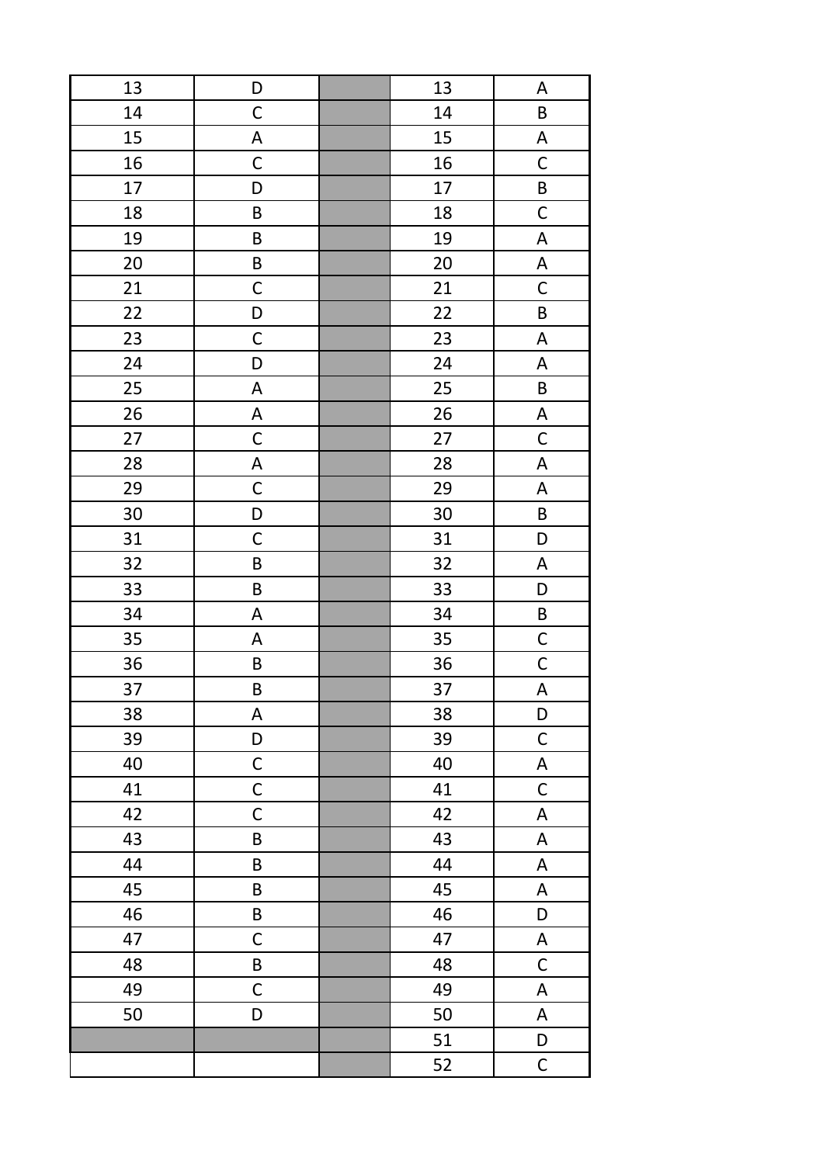| 13 | D                         | 13 | A                         |
|----|---------------------------|----|---------------------------|
| 14 | $\mathsf C$               | 14 | B                         |
| 15 | $\boldsymbol{\mathsf{A}}$ | 15 | $\boldsymbol{\mathsf{A}}$ |
| 16 | $\mathsf C$               | 16 | $\mathsf C$               |
| 17 | D                         | 17 | $\sf B$                   |
| 18 | B                         | 18 | $\mathsf C$               |
| 19 | B                         | 19 | $\boldsymbol{\mathsf{A}}$ |
| 20 | $\sf B$                   | 20 | $\boldsymbol{\mathsf{A}}$ |
| 21 | $\mathsf C$               | 21 | $\mathsf C$               |
| 22 | D                         | 22 | $\sf B$                   |
| 23 | $\mathsf C$               | 23 | $\boldsymbol{\mathsf{A}}$ |
| 24 | D                         | 24 | A                         |
| 25 | $\mathsf A$               | 25 | $\sf B$                   |
| 26 | A                         | 26 | A                         |
| 27 | $\mathsf C$               | 27 | $\mathsf C$               |
| 28 | $\mathsf A$               | 28 | $\boldsymbol{\mathsf{A}}$ |
| 29 | $\mathsf C$               | 29 | $\boldsymbol{\mathsf{A}}$ |
| 30 | D                         | 30 | $\sf B$                   |
| 31 | $\mathsf C$               | 31 | D                         |
| 32 | $\sf B$                   | 32 | $\boldsymbol{\mathsf{A}}$ |
| 33 | $\sf B$                   | 33 | D                         |
| 34 | $\mathsf A$               | 34 | $\sf B$                   |
| 35 | A                         | 35 | $\mathsf{C}$              |
| 36 | B                         | 36 | $\mathsf{C}$              |
| 37 | B                         | 37 | A                         |
| 38 | A                         | 38 | D                         |
| 39 | D                         | 39 | $\mathsf C$               |
| 40 | $\mathsf C$               | 40 | $\boldsymbol{\mathsf{A}}$ |
| 41 | $\mathsf C$               | 41 | $\mathsf C$               |
| 42 | $\mathsf C$               | 42 | A                         |
| 43 | $\sf B$                   | 43 | $\mathsf A$               |
| 44 | $\sf B$                   | 44 | A                         |
| 45 | $\sf B$                   | 45 | A                         |
| 46 | $\sf B$                   | 46 | D                         |
| 47 | $\mathsf C$               | 47 | A                         |
| 48 | B                         | 48 | $\mathsf C$               |
| 49 | $\mathsf C$               | 49 | A                         |
| 50 | D                         | 50 | A                         |
|    |                           | 51 | D                         |
|    |                           | 52 | $\mathsf C$               |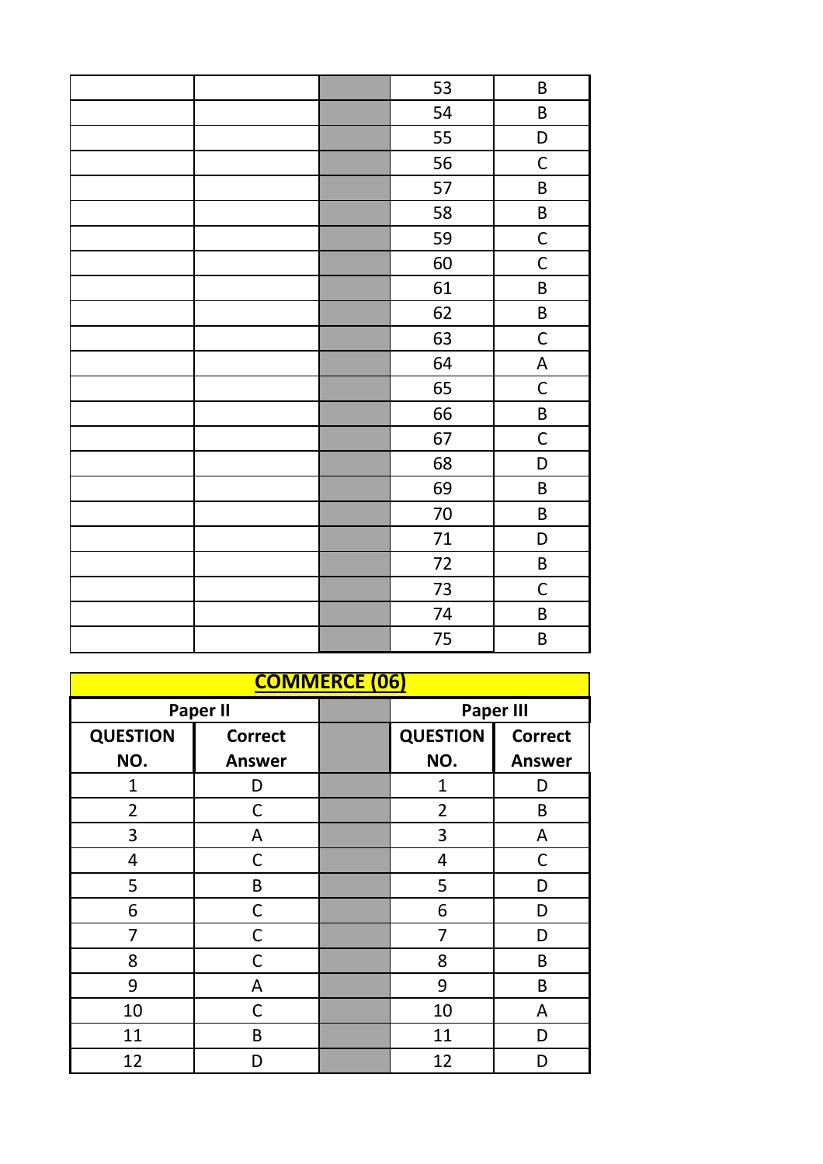|  | 53     | $\sf B$                   |
|--|--------|---------------------------|
|  | 54     | $\sf B$                   |
|  | 55     | D                         |
|  | 56     | $\mathsf C$               |
|  | 57     | $\sf B$                   |
|  | 58     | B                         |
|  | 59     | $\mathsf{C}$              |
|  | 60     | $\mathsf C$               |
|  | 61     | B                         |
|  | 62     | $\sf B$                   |
|  | 63     | $\mathsf C$               |
|  | 64     | $\boldsymbol{\mathsf{A}}$ |
|  | 65     | $\mathsf C$               |
|  | 66     | $\mathsf B$               |
|  | 67     | $\mathsf C$               |
|  | 68     | D                         |
|  | 69     | B                         |
|  | $70\,$ | B                         |
|  | 71     | D                         |
|  | 72     | $\sf B$                   |
|  | 73     | $\mathsf C$               |
|  | 74     | B                         |
|  | 75     | B                         |

| <b>COMMERCE (06)</b>                |                |  |                                   |               |  |
|-------------------------------------|----------------|--|-----------------------------------|---------------|--|
| <b>Paper II</b><br><b>Paper III</b> |                |  |                                   |               |  |
| <b>QUESTION</b>                     | <b>Correct</b> |  | <b>QUESTION</b><br><b>Correct</b> |               |  |
| NO.                                 | <b>Answer</b>  |  | NO.                               | <b>Answer</b> |  |
| 1                                   | D              |  | $\overline{1}$                    | D             |  |
| $\overline{2}$                      | С              |  | $\overline{2}$                    | B             |  |
| 3                                   | A              |  | 3                                 | A             |  |
| 4                                   | C              |  | 4                                 | C             |  |
| 5                                   | B              |  | 5                                 | D             |  |
| 6                                   | C              |  | 6                                 | D             |  |
| 7                                   | C              |  | $\overline{7}$                    | D             |  |
| 8                                   | C              |  | 8                                 | B             |  |
| 9                                   | A              |  | 9                                 | B             |  |
| 10                                  | C              |  | 10                                | A             |  |
| 11                                  | B              |  | 11                                | D             |  |
| 12                                  | D              |  | 12                                | D             |  |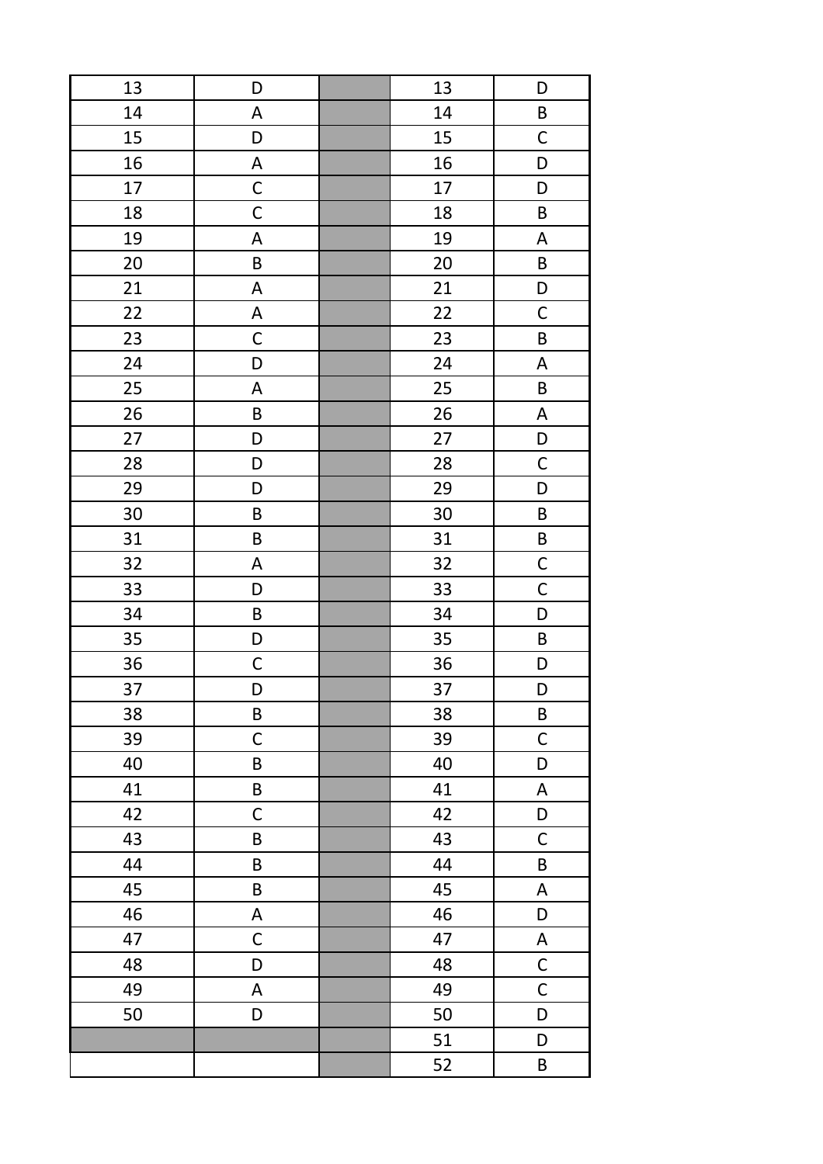| 13 | D           | 13 | D                         |
|----|-------------|----|---------------------------|
| 14 | A           | 14 | $\sf B$                   |
| 15 | D           | 15 | $\mathsf C$               |
| 16 | A           | 16 | D                         |
| 17 | $\mathsf C$ | 17 | D                         |
| 18 | $\mathsf C$ | 18 | $\sf B$                   |
| 19 | A           | 19 | $\boldsymbol{\mathsf{A}}$ |
| 20 | $\sf B$     | 20 | $\sf B$                   |
| 21 | A           | 21 | D                         |
| 22 | A           | 22 | $\mathsf C$               |
| 23 | $\mathsf C$ | 23 | B                         |
| 24 | D           | 24 | $\boldsymbol{\mathsf{A}}$ |
| 25 | A           | 25 | $\sf B$                   |
| 26 | $\sf B$     | 26 | $\boldsymbol{\mathsf{A}}$ |
| 27 | D           | 27 | $\mathsf D$               |
| 28 | D           | 28 | $\mathsf C$               |
| 29 | D           | 29 | D                         |
| 30 | $\sf B$     | 30 | $\sf B$                   |
| 31 | $\sf B$     | 31 | $\sf B$                   |
| 32 | A           | 32 | $\mathsf{C}$              |
| 33 | D           | 33 | $\mathsf{C}$              |
| 34 | $\sf B$     | 34 | D                         |
| 35 | D           | 35 | $\sf B$                   |
| 36 | $\mathsf C$ | 36 | D                         |
| 37 | D           | 37 | D                         |
| 38 | $\sf B$     | 38 | $\sf B$                   |
| 39 | $\mathsf C$ | 39 | $\mathsf C$               |
| 40 | $\sf B$     | 40 | D                         |
| 41 | $\sf B$     | 41 | $\boldsymbol{\mathsf{A}}$ |
| 42 | $\mathsf C$ | 42 | D                         |
| 43 | B           | 43 | $\mathsf C$               |
| 44 | $\sf B$     | 44 | $\sf B$                   |
| 45 | $\sf B$     | 45 | $\boldsymbol{\mathsf{A}}$ |
| 46 | A           | 46 | D                         |
| 47 | $\mathsf C$ | 47 | $\boldsymbol{\mathsf{A}}$ |
| 48 | D           | 48 | $\mathsf C$               |
| 49 | A           | 49 | $\mathsf{C}$              |
| 50 | D           | 50 | D                         |
|    |             | 51 | D                         |
|    |             | 52 | $\sf B$                   |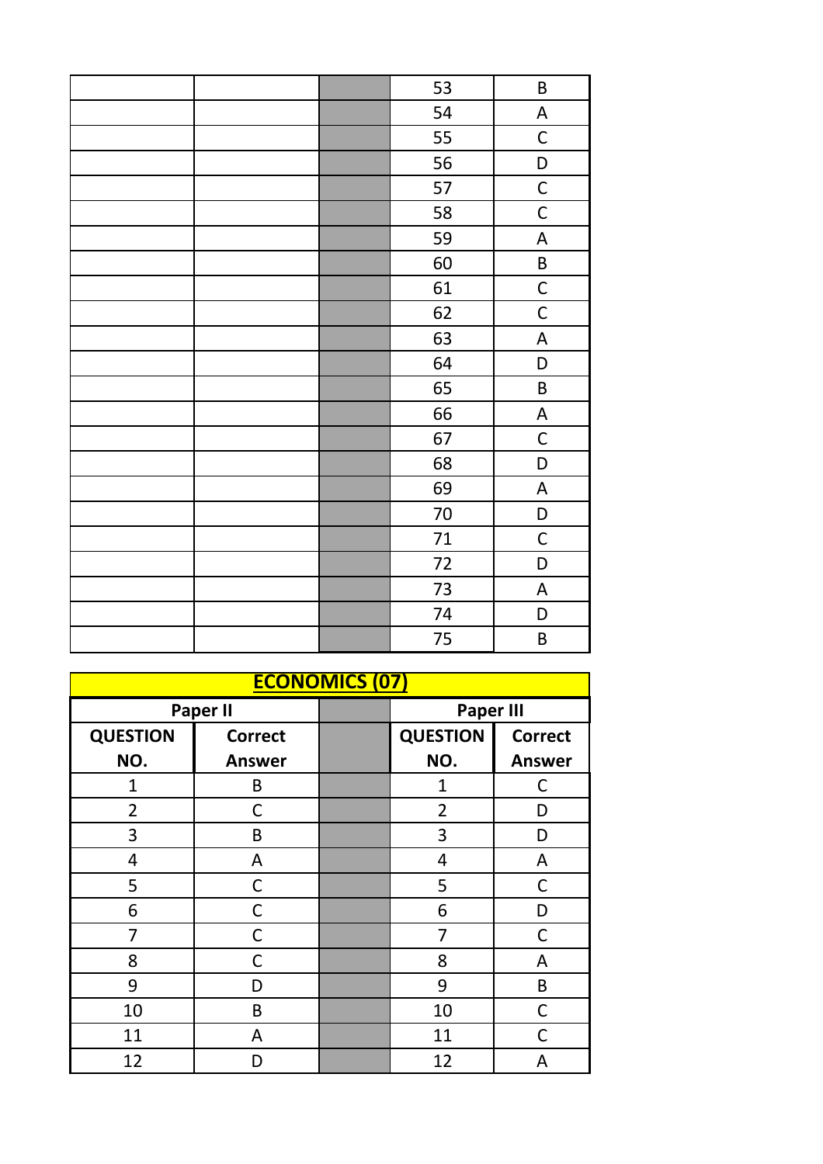|  | 53     | $\sf B$                   |
|--|--------|---------------------------|
|  | 54     | $\boldsymbol{\mathsf{A}}$ |
|  | 55     | $\mathsf{C}$              |
|  | 56     | D                         |
|  | 57     | $\mathsf{C}$              |
|  | 58     | $\mathsf C$               |
|  | 59     | $\boldsymbol{\mathsf{A}}$ |
|  | 60     | $\sf B$                   |
|  | 61     | $\mathsf{C}$              |
|  | 62     | $\mathsf C$               |
|  | 63     | $\boldsymbol{\mathsf{A}}$ |
|  | 64     | D                         |
|  | 65     | $\sf B$                   |
|  | 66     | $\boldsymbol{\mathsf{A}}$ |
|  | 67     | $\mathsf C$               |
|  | 68     | D                         |
|  | 69     | A                         |
|  | $70\,$ | D                         |
|  | 71     | $\mathsf C$               |
|  | 72     | D                         |
|  | 73     | $\boldsymbol{\mathsf{A}}$ |
|  | 74     | D                         |
|  | 75     | B                         |

| <b>ECONOMICS (07)</b>               |                |  |                                   |               |  |
|-------------------------------------|----------------|--|-----------------------------------|---------------|--|
| <b>Paper II</b><br><b>Paper III</b> |                |  |                                   |               |  |
| <b>QUESTION</b>                     | <b>Correct</b> |  | <b>QUESTION</b><br><b>Correct</b> |               |  |
| NO.                                 | <b>Answer</b>  |  | NO.                               | <b>Answer</b> |  |
| 1                                   | B              |  | 1                                 | C             |  |
| $\overline{2}$                      | С              |  | $\overline{2}$                    | D             |  |
| 3                                   | B              |  | 3                                 | D             |  |
| 4                                   | A              |  | 4                                 | A             |  |
| 5                                   | С              |  | 5                                 | $\mathsf C$   |  |
| 6                                   | C              |  | 6                                 | D             |  |
| 7                                   | С              |  | 7                                 | C             |  |
| 8                                   | С              |  | 8                                 | A             |  |
| 9                                   | D              |  | 9                                 | B             |  |
| 10                                  | B              |  | 10                                | $\mathsf C$   |  |
| 11                                  | A              |  | 11                                | C             |  |
| 12                                  | D              |  | 12                                | A             |  |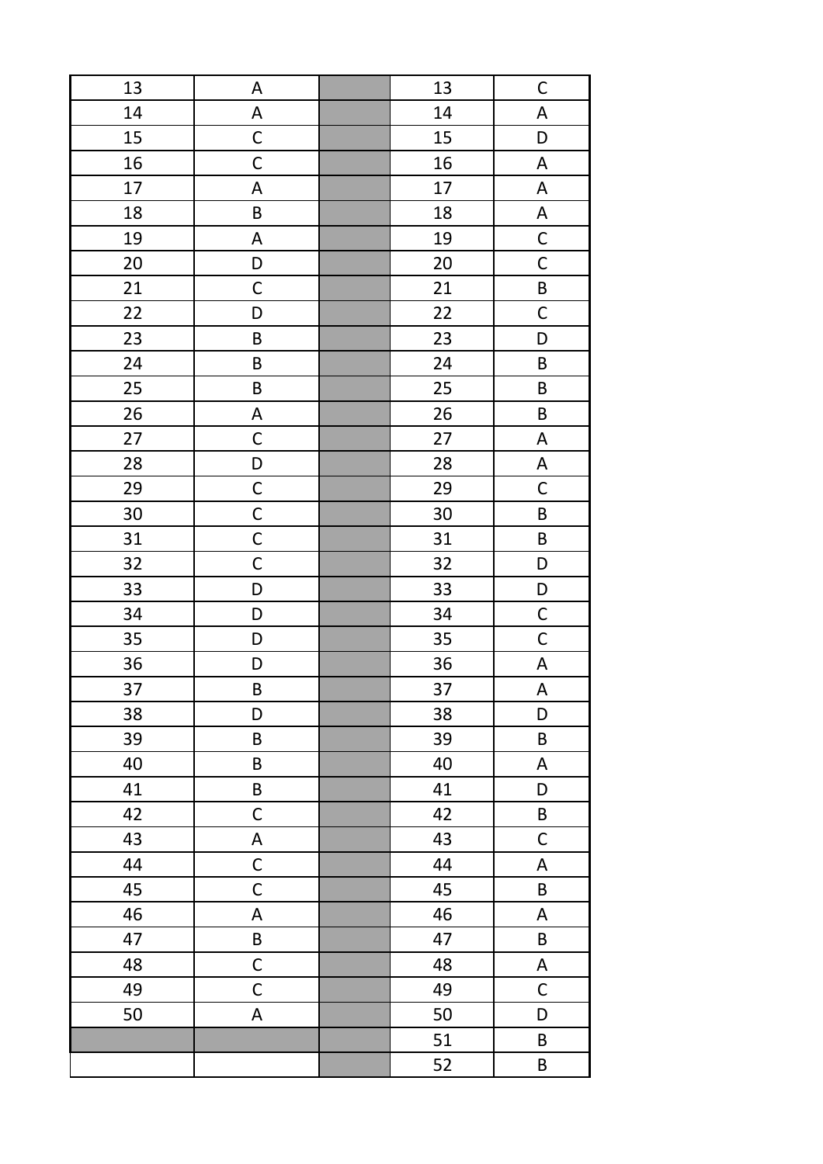| 13 | A                         | 13 | $\mathsf{C}$              |
|----|---------------------------|----|---------------------------|
| 14 | $\boldsymbol{\mathsf{A}}$ | 14 | $\boldsymbol{\mathsf{A}}$ |
| 15 | $\mathsf C$               | 15 | D                         |
| 16 | $\mathsf C$               | 16 | A                         |
| 17 | $\mathsf A$               | 17 | $\boldsymbol{\mathsf{A}}$ |
| 18 | $\sf B$                   | 18 | $\boldsymbol{\mathsf{A}}$ |
| 19 | $\mathsf A$               | 19 | $\mathsf C$               |
| 20 | D                         | 20 | $\mathsf C$               |
| 21 | $\mathsf C$               | 21 | B                         |
| 22 | D                         | 22 | $\mathsf C$               |
| 23 | B                         | 23 | D                         |
| 24 | $\sf B$                   | 24 | B                         |
| 25 | $\sf B$                   | 25 | $\sf B$                   |
| 26 | $\mathsf A$               | 26 | $\sf B$                   |
| 27 | $\mathsf C$               | 27 | $\boldsymbol{\mathsf{A}}$ |
| 28 | $\mathsf D$               | 28 | $\boldsymbol{\mathsf{A}}$ |
| 29 | $\mathsf C$               | 29 | $\mathsf{C}$              |
| 30 | $\mathsf{C}$              | 30 | $\sf B$                   |
| 31 | $\mathsf C$               | 31 | $\sf B$                   |
| 32 | $\mathsf C$               | 32 | D                         |
| 33 | D                         | 33 | D                         |
| 34 | D                         | 34 | $\mathsf{C}$              |
| 35 | D                         | 35 | $\mathsf C$               |
| 36 | D                         | 36 | $\boldsymbol{\mathsf{A}}$ |
| 37 | $\sf B$                   | 37 | $\boldsymbol{\mathsf{A}}$ |
| 38 | D                         | 38 | D                         |
| 39 | $\sf B$                   | 39 | $\sf B$                   |
| 40 | $\sf B$                   | 40 | A                         |
| 41 | $\sf B$                   | 41 | D                         |
| 42 | $\mathsf C$               | 42 | $\sf B$                   |
| 43 | $\boldsymbol{\mathsf{A}}$ | 43 | $\mathsf C$               |
| 44 | $\mathsf C$               | 44 | A                         |
| 45 | $\mathsf C$               | 45 | B                         |
| 46 | A                         | 46 | A                         |
| 47 | B                         | 47 | B                         |
| 48 | $\mathsf C$               | 48 | A                         |
| 49 | $\mathsf C$               | 49 | $\mathsf C$               |
| 50 | A                         | 50 | D                         |
|    |                           | 51 | B                         |
|    |                           | 52 | B                         |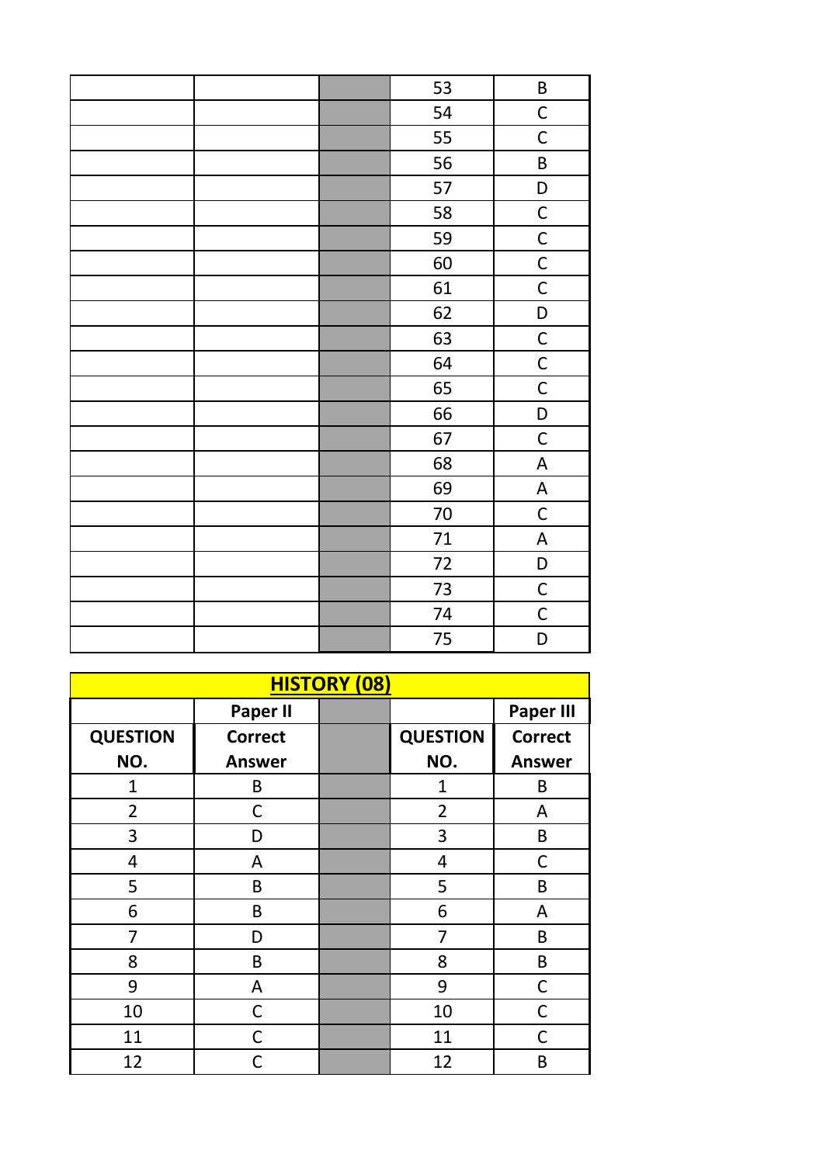| 53     | B                         |
|--------|---------------------------|
| 54     | $\mathsf C$               |
| 55     | $\mathsf C$               |
| 56     | $\sf B$                   |
| 57     | D                         |
| 58     | $\mathsf{C}$              |
| 59     | $\mathsf{C}$              |
| 60     | $\overline{C}$            |
| 61     | $\overline{C}$            |
| 62     | D                         |
| 63     | $\overline{C}$            |
| 64     | $\mathsf{C}$              |
| 65     | $\overline{C}$            |
| 66     | $\mathsf D$               |
| 67     | $\mathsf C$               |
| 68     | $\mathsf A$               |
| 69     | $\boldsymbol{\mathsf{A}}$ |
| $70\,$ | $\mathsf C$               |
| $71\,$ | $\boldsymbol{\mathsf{A}}$ |
| 72     | D                         |
| 73     | $\mathsf C$               |
| 74     | $\mathsf C$               |
| 75     | D                         |

| <b>QUESTION</b><br>NO. | <b>Paper III</b><br><b>Correct</b> |
|------------------------|------------------------------------|
|                        |                                    |
|                        |                                    |
|                        | <b>Answer</b>                      |
| $\mathbf{1}$           | B                                  |
| 2                      | А                                  |
| 3                      | B                                  |
| 4                      | C                                  |
| 5                      | B                                  |
| 6                      | А                                  |
| 7                      | B                                  |
| 8                      | B                                  |
| 9                      | $\mathsf C$                        |
| 10                     | C                                  |
| 11                     | C                                  |
| 12                     | B                                  |
|                        |                                    |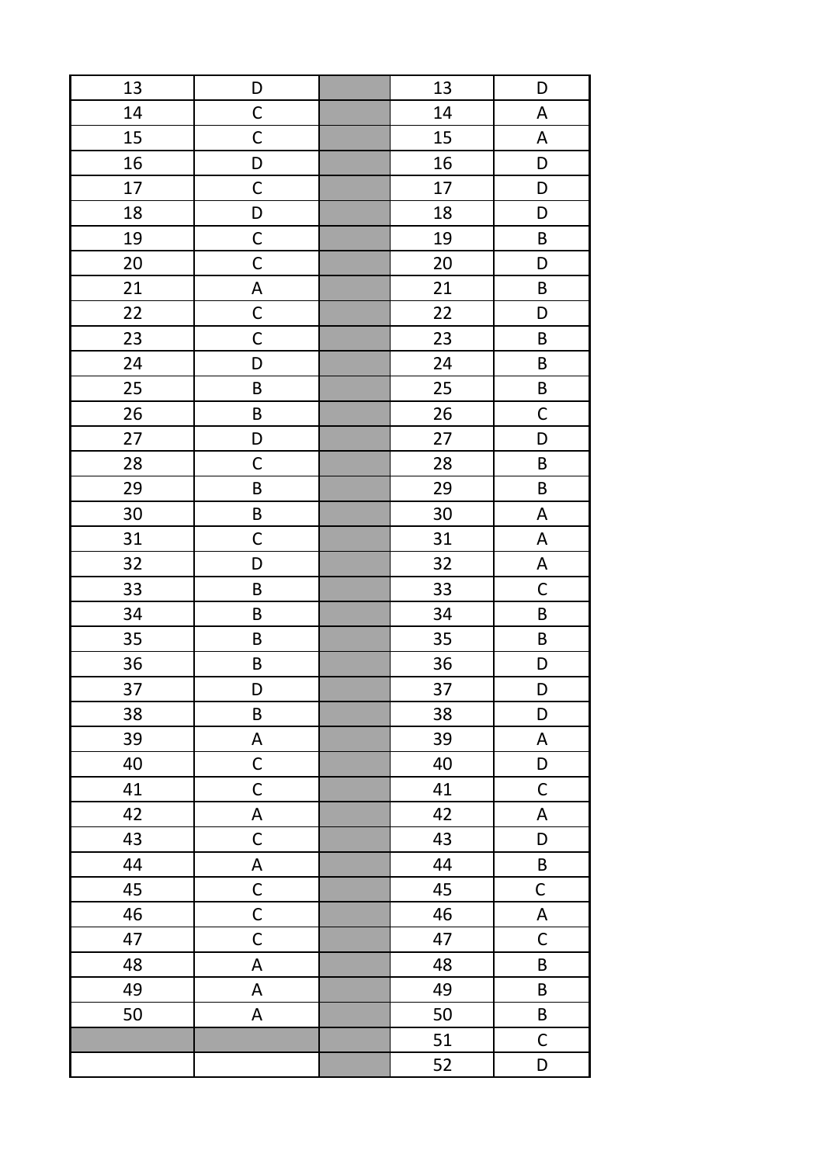| 13 | D                         | 13 | D                         |
|----|---------------------------|----|---------------------------|
| 14 | $\mathsf C$               | 14 | A                         |
| 15 | $\mathsf C$               | 15 | $\boldsymbol{\mathsf{A}}$ |
| 16 | D                         | 16 | D                         |
| 17 | $\mathsf C$               | 17 | D                         |
| 18 | D                         | 18 | D                         |
| 19 | $\mathsf C$               | 19 | $\sf B$                   |
| 20 | $\mathsf C$               | 20 | D                         |
| 21 | $\boldsymbol{\mathsf{A}}$ | 21 | $\sf B$                   |
| 22 | $\mathsf C$               | 22 | D                         |
| 23 | $\mathsf C$               | 23 | $\sf B$                   |
| 24 | D                         | 24 | B                         |
| 25 | B                         | 25 | $\sf B$                   |
| 26 | B                         | 26 | $\mathsf C$               |
| 27 | D                         | 27 | D                         |
| 28 | $\mathsf C$               | 28 | $\sf B$                   |
| 29 | $\sf B$                   | 29 | $\sf B$                   |
| 30 | $\sf B$                   | 30 | $\boldsymbol{\mathsf{A}}$ |
| 31 | $\mathsf C$               | 31 | $\boldsymbol{\mathsf{A}}$ |
| 32 | D                         | 32 | $\boldsymbol{\mathsf{A}}$ |
| 33 | $\sf B$                   | 33 | $\mathsf C$               |
| 34 | B                         | 34 | $\sf B$                   |
| 35 | B                         | 35 | $\sf B$                   |
| 36 | $\sf B$                   | 36 | D                         |
| 37 | D                         | 37 | D                         |
| 38 | $\sf B$                   | 38 | D                         |
| 39 | A                         | 39 | A                         |
| 40 | $\mathsf C$               | 40 | D                         |
| 41 | $\mathsf C$               | 41 | $\mathsf C$               |
| 42 | $\mathsf A$               | 42 | A                         |
| 43 | $\mathsf{C}$              | 43 | D                         |
| 44 | $\boldsymbol{\mathsf{A}}$ | 44 | $\sf B$                   |
| 45 | $\mathsf{C}$              | 45 | C                         |
| 46 | $\mathsf C$               | 46 | A                         |
| 47 | $\mathsf C$               | 47 | $\mathsf C$               |
| 48 | A                         | 48 | B                         |
| 49 | $\sf A$                   | 49 | B                         |
| 50 | A                         | 50 | B                         |
|    |                           | 51 | $\mathsf C$               |
|    |                           | 52 | D                         |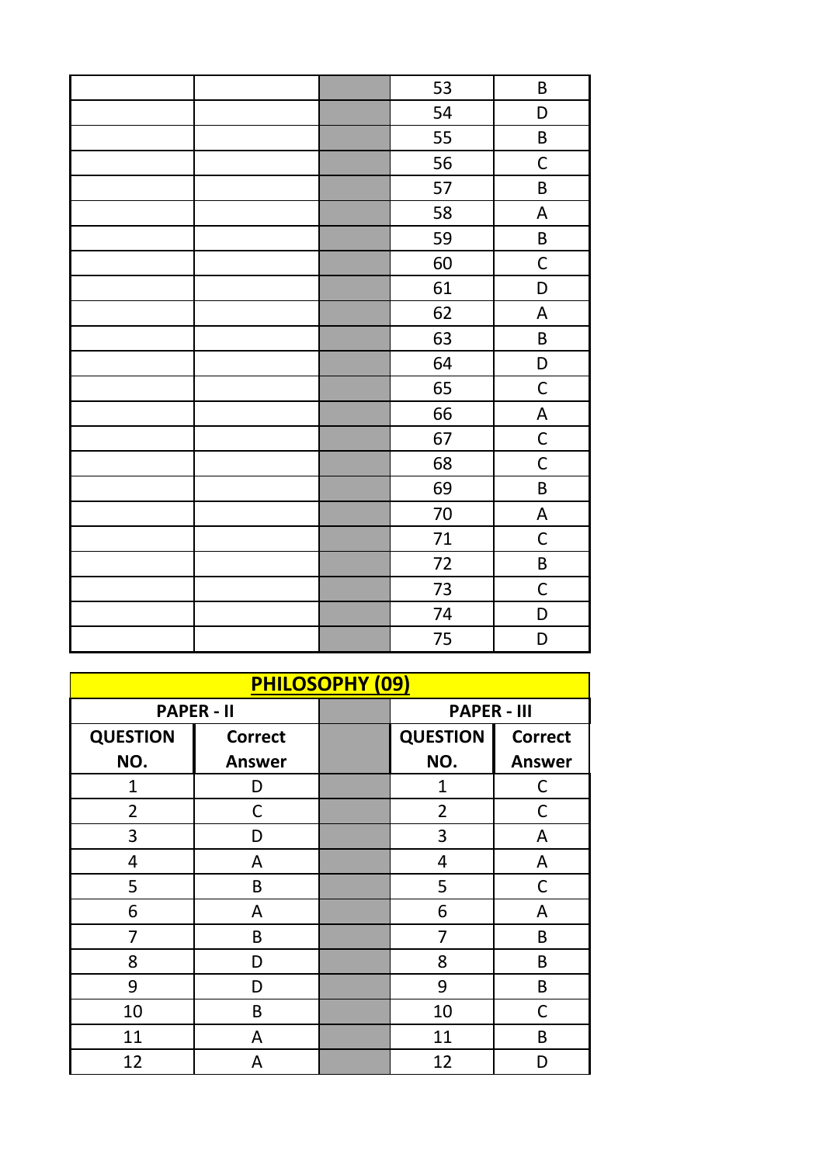| 53     | B                         |
|--------|---------------------------|
| 54     | D                         |
| 55     | $\sf B$                   |
| 56     | $\mathsf C$               |
| 57     | $\sf B$                   |
| 58     | $\boldsymbol{\mathsf{A}}$ |
| 59     | $\sf B$                   |
| 60     | $\mathsf C$               |
| 61     | D                         |
| 62     | $\boldsymbol{\mathsf{A}}$ |
| 63     | $\sf B$                   |
| 64     | $\mathsf D$               |
| 65     | $\mathsf C$               |
| 66     | A                         |
| 67     | $\mathsf C$               |
| 68     | $\mathsf C$               |
| 69     | $\sf B$                   |
| $70\,$ | A                         |
| 71     | $\mathsf C$               |
| 72     | $\sf B$                   |
| 73     | $\mathsf C$               |
| 74     | D                         |
| 75     | D                         |

| <b>PHILOSOPHY (09)</b> |                   |  |                    |                |
|------------------------|-------------------|--|--------------------|----------------|
|                        | <b>PAPER - II</b> |  | <b>PAPER - III</b> |                |
| <b>QUESTION</b>        | <b>Correct</b>    |  | <b>QUESTION</b>    | <b>Correct</b> |
| NO.                    | <b>Answer</b>     |  | NO.                | <b>Answer</b>  |
| 1                      | D                 |  | 1                  | C              |
| $\overline{2}$         | C                 |  | $\overline{2}$     | C              |
| 3                      | D                 |  | 3                  | A              |
| 4                      | A                 |  | 4                  | A              |
| 5                      | B                 |  | 5                  | C              |
| 6                      | A                 |  | 6                  | A              |
| 7                      | B                 |  | 7                  | B              |
| 8                      | D                 |  | 8                  | B              |
| 9                      | D                 |  | 9                  | B              |
| 10                     | B                 |  | 10                 | C              |
| 11                     | A                 |  | 11                 | B              |
| 12                     | A                 |  | 12                 | D              |
|                        |                   |  |                    |                |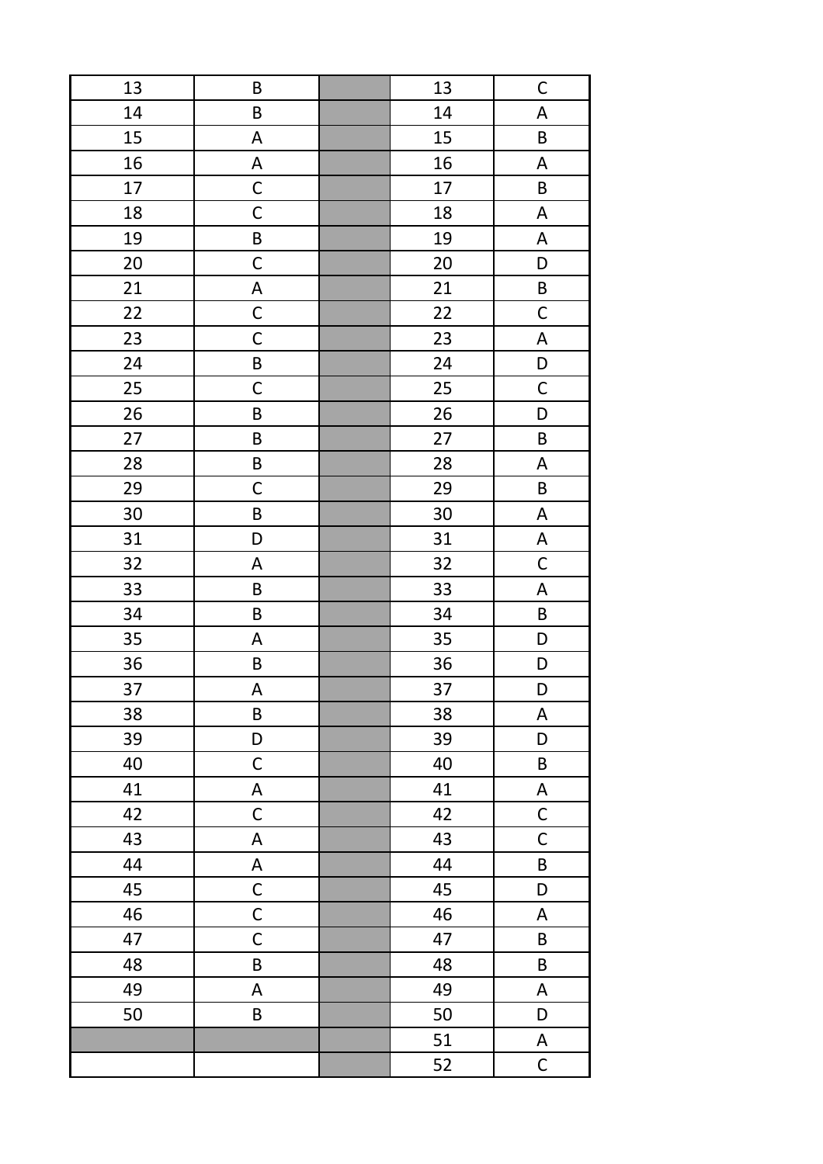| 13 | $\sf B$                   | 13 | $\mathsf{C}$              |
|----|---------------------------|----|---------------------------|
| 14 | $\sf B$                   | 14 | $\boldsymbol{\mathsf{A}}$ |
| 15 | A                         | 15 | $\sf B$                   |
| 16 | A                         | 16 | A                         |
| 17 | $\mathsf C$               | 17 | $\sf B$                   |
| 18 | $\mathsf C$               | 18 | $\boldsymbol{\mathsf{A}}$ |
| 19 | $\sf B$                   | 19 | $\boldsymbol{\mathsf{A}}$ |
| 20 | $\mathsf C$               | 20 | D                         |
| 21 | A                         | 21 | $\sf B$                   |
| 22 | $\mathsf C$               | 22 | $\mathsf C$               |
| 23 | $\mathsf C$               | 23 | $\boldsymbol{\mathsf{A}}$ |
| 24 | B                         | 24 | D                         |
| 25 | $\mathsf C$               | 25 | $\mathsf C$               |
| 26 | $\sf B$                   | 26 | D                         |
| 27 | $\sf B$                   | 27 | $\sf B$                   |
| 28 | $\sf B$                   | 28 | $\boldsymbol{\mathsf{A}}$ |
| 29 | $\mathsf C$               | 29 | $\sf B$                   |
| 30 | $\sf B$                   | 30 | $\boldsymbol{\mathsf{A}}$ |
| 31 | D                         | 31 | $\boldsymbol{\mathsf{A}}$ |
| 32 | $\boldsymbol{\mathsf{A}}$ | 32 | $\mathsf C$               |
| 33 | $\sf B$                   | 33 | $\boldsymbol{\mathsf{A}}$ |
| 34 | $\sf B$                   | 34 | B                         |
| 35 | $\boldsymbol{\mathsf{A}}$ | 35 | D                         |
| 36 | $\sf B$                   | 36 | D                         |
| 37 | A                         | 37 | D                         |
| 38 | $\sf B$                   | 38 | $\boldsymbol{\mathsf{A}}$ |
| 39 | D                         | 39 | D                         |
| 40 | $\mathsf C$               | 40 | B                         |
| 41 | A                         | 41 | $\boldsymbol{\mathsf{A}}$ |
| 42 | $\mathsf C$               | 42 | $\mathsf C$               |
| 43 | $\mathsf A$               | 43 | $\mathsf C$               |
| 44 | A                         | 44 | B                         |
| 45 | $\mathsf C$               | 45 | D                         |
| 46 | $\mathsf C$               | 46 | A                         |
| 47 | $\mathsf C$               | 47 | B                         |
| 48 | $\sf B$                   | 48 | B                         |
| 49 | A                         | 49 | $\mathsf A$               |
| 50 | $\sf B$                   | 50 | D                         |
|    |                           | 51 | $\boldsymbol{\mathsf{A}}$ |
|    |                           | 52 | $\mathsf C$               |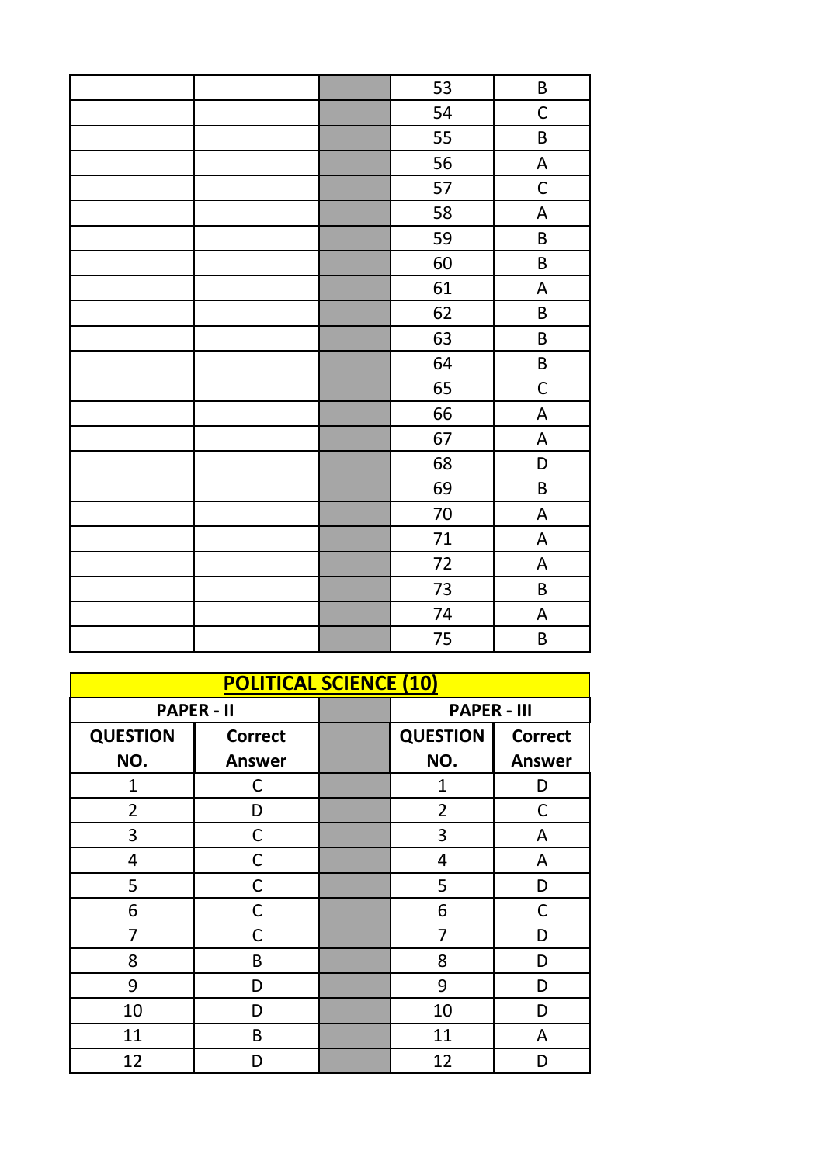| 53 | B                         |
|----|---------------------------|
| 54 | $\mathsf C$               |
| 55 | $\sf B$                   |
| 56 | $\boldsymbol{\mathsf{A}}$ |
| 57 | $\mathsf C$               |
| 58 | $\boldsymbol{\mathsf{A}}$ |
| 59 | $\sf B$                   |
| 60 | $\sf B$                   |
| 61 | $\boldsymbol{\mathsf{A}}$ |
| 62 | $\sf B$                   |
| 63 | $\sf B$                   |
| 64 | $\sf B$                   |
| 65 | $\mathsf C$               |
| 66 | $\boldsymbol{\mathsf{A}}$ |
| 67 | $\boldsymbol{\mathsf{A}}$ |
| 68 | D                         |
| 69 | $\sf B$                   |
| 70 | $\boldsymbol{\mathsf{A}}$ |
| 71 | $\mathsf A$               |
| 72 | $\boldsymbol{\mathsf{A}}$ |
| 73 | $\sf B$                   |
| 74 | $\boldsymbol{\mathsf{A}}$ |
| 75 | B                         |

| <b>POLITICAL SCIENCE (10)</b> |                   |  |                    |                |
|-------------------------------|-------------------|--|--------------------|----------------|
|                               | <b>PAPER - II</b> |  | <b>PAPER - III</b> |                |
| <b>QUESTION</b>               | <b>Correct</b>    |  | <b>QUESTION</b>    | <b>Correct</b> |
| NO.                           | <b>Answer</b>     |  | NO.                | <b>Answer</b>  |
| 1                             | C                 |  | 1                  | D              |
| $\overline{2}$                | D                 |  | $\overline{2}$     | C              |
| 3                             | C                 |  | 3                  | A              |
| 4                             | С                 |  | 4                  | A              |
| 5                             | С                 |  | 5                  | D              |
| 6                             | C                 |  | 6                  | C              |
| 7                             | C                 |  | 7                  | D              |
| 8                             | B                 |  | 8                  | D              |
| 9                             | D                 |  | 9                  | D              |
| 10                            | D                 |  | 10                 | D              |
| 11                            | B                 |  | 11                 | A              |
| 12                            | D                 |  | 12                 | D              |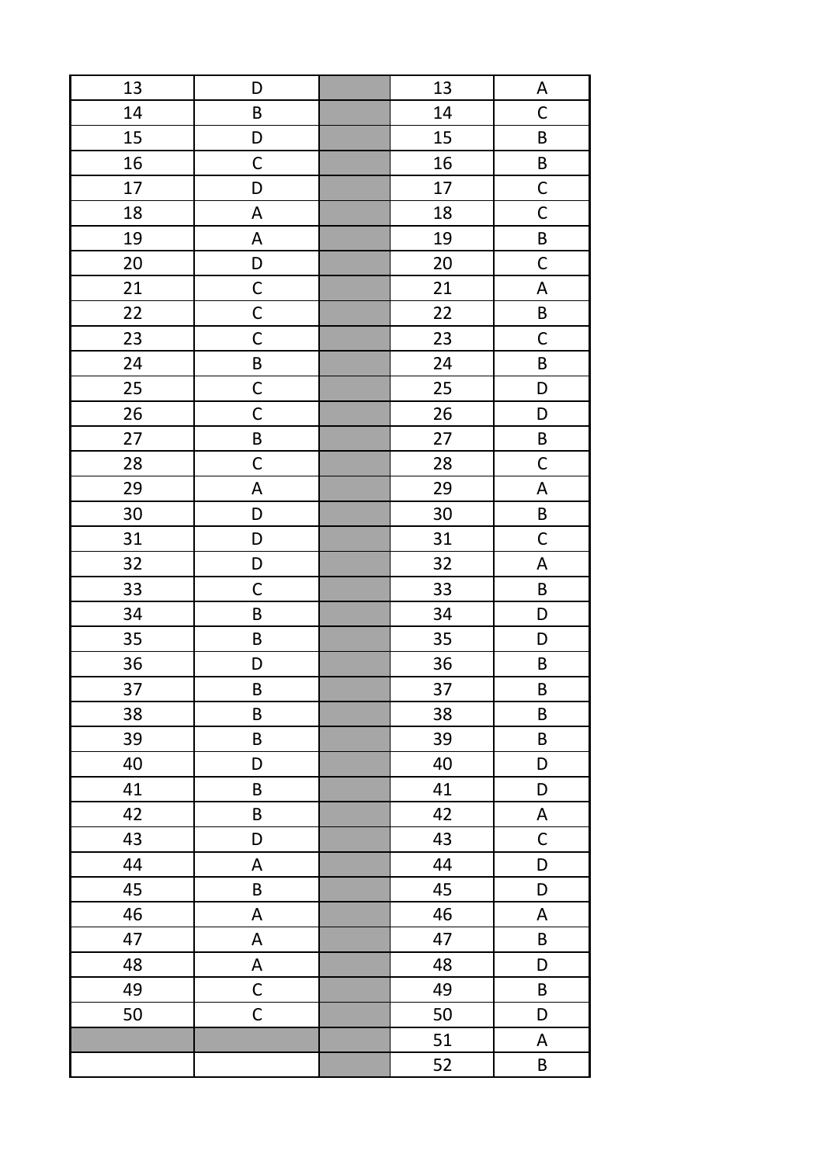| 13 | D                         | 13 | A                         |
|----|---------------------------|----|---------------------------|
| 14 | B                         | 14 | $\mathsf C$               |
| 15 | D                         | 15 | $\sf B$                   |
| 16 | $\mathsf C$               | 16 | $\sf B$                   |
| 17 | D                         | 17 | $\mathsf{C}$              |
| 18 | A                         | 18 | $\overline{C}$            |
| 19 | A                         | 19 | B                         |
| 20 | D                         | 20 | $\mathsf C$               |
| 21 | $\mathsf C$               | 21 | $\boldsymbol{\mathsf{A}}$ |
| 22 | $\mathsf C$               | 22 | B                         |
| 23 | $\mathsf C$               | 23 | $\mathsf C$               |
| 24 | $\sf B$                   | 24 | B                         |
| 25 | $\mathsf C$               | 25 | D                         |
| 26 | $\mathsf C$               | 26 | D                         |
| 27 | $\sf B$                   | 27 | $\sf B$                   |
| 28 | $\mathsf C$               | 28 | $\mathsf C$               |
| 29 | $\mathsf A$               | 29 | $\boldsymbol{\mathsf{A}}$ |
| 30 | D                         | 30 | $\mathsf B$               |
| 31 | D                         | 31 | $\mathsf C$               |
| 32 | D                         | 32 | $\boldsymbol{\mathsf{A}}$ |
| 33 | $\mathsf C$               | 33 | $\sf B$                   |
| 34 | B                         | 34 | D                         |
| 35 | $\sf B$                   | 35 | D                         |
| 36 | D                         | 36 | $\sf B$                   |
| 37 | $\sf B$                   | 37 | $\sf B$                   |
| 38 | $\sf B$                   | 38 | $\sf B$                   |
| 39 | $\sf B$                   | 39 | $\sf B$                   |
| 40 | D                         | 40 | D                         |
| 41 | $\sf B$                   | 41 | D                         |
| 42 | B                         | 42 | A                         |
| 43 | D                         | 43 | $\mathsf C$               |
| 44 | A                         | 44 | D                         |
| 45 | B                         | 45 | D                         |
| 46 | A                         | 46 | A                         |
| 47 | $\boldsymbol{\mathsf{A}}$ | 47 | B                         |
| 48 | A                         | 48 | D                         |
| 49 | $\mathsf{C}$              | 49 | B                         |
| 50 | $\mathsf C$               | 50 | D                         |
|    |                           | 51 | $\mathsf A$               |
|    |                           | 52 | $\sf B$                   |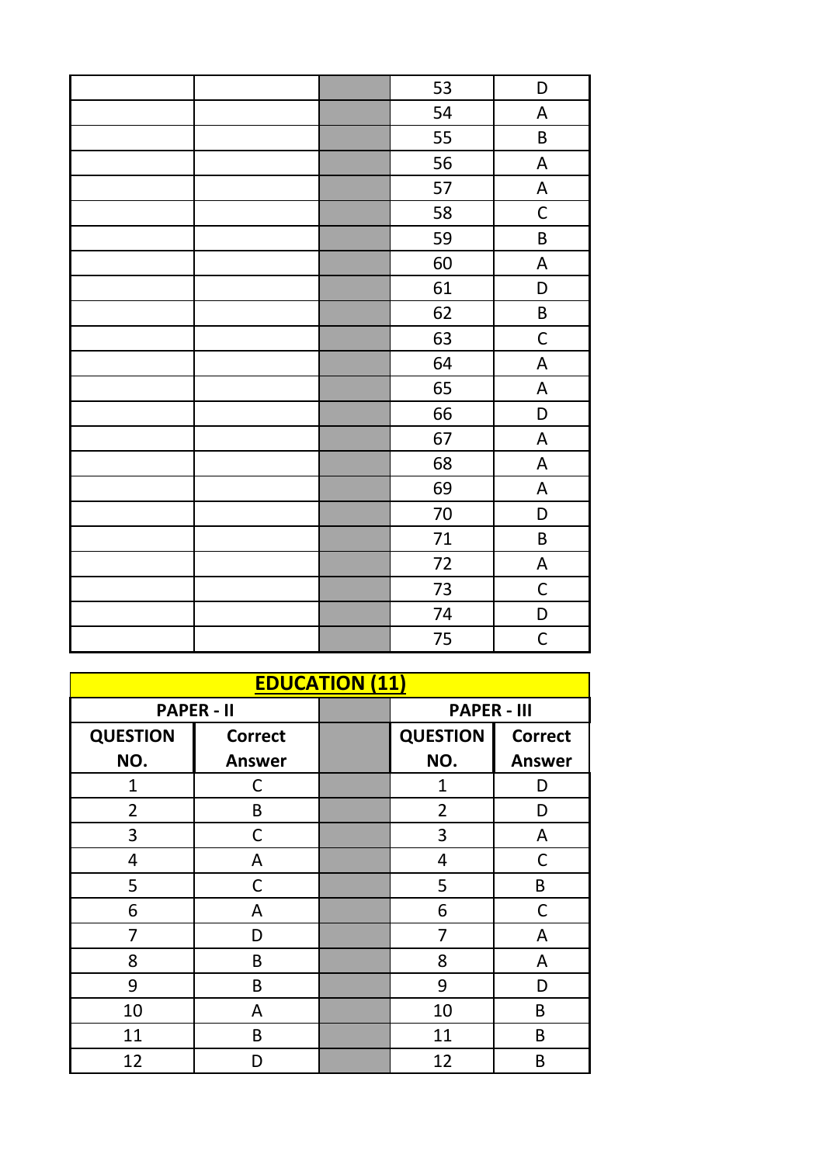|  | 53     | D                         |
|--|--------|---------------------------|
|  | 54     | $\boldsymbol{\mathsf{A}}$ |
|  | 55     | $\sf B$                   |
|  | 56     | $\boldsymbol{\mathsf{A}}$ |
|  | 57     | $\boldsymbol{\mathsf{A}}$ |
|  | 58     | $\mathsf C$               |
|  | 59     | B                         |
|  | 60     | $\boldsymbol{\mathsf{A}}$ |
|  | 61     | D                         |
|  | 62     | $\sf B$                   |
|  | 63     | $\mathsf C$               |
|  | 64     | $\boldsymbol{\mathsf{A}}$ |
|  | 65     | $\boldsymbol{\mathsf{A}}$ |
|  | 66     | D                         |
|  | 67     | $\boldsymbol{\mathsf{A}}$ |
|  | 68     | $\boldsymbol{\mathsf{A}}$ |
|  | 69     | $\boldsymbol{\mathsf{A}}$ |
|  | $70\,$ | D                         |
|  | 71     | $\sf B$                   |
|  | 72     | $\boldsymbol{\mathsf{A}}$ |
|  | 73     | $\mathsf C$               |
|  | 74     | D                         |
|  | 75     | $\mathsf C$               |

| <b>EDUCATION (11)</b> |                   |  |                    |                |
|-----------------------|-------------------|--|--------------------|----------------|
|                       | <b>PAPER - II</b> |  | <b>PAPER - III</b> |                |
| <b>QUESTION</b>       | <b>Correct</b>    |  | <b>QUESTION</b>    | <b>Correct</b> |
| NO.                   | <b>Answer</b>     |  | NO.                | <b>Answer</b>  |
| 1                     | С                 |  | $\overline{1}$     | D              |
| $\overline{2}$        | B                 |  | $\overline{2}$     | D              |
| 3                     | C                 |  | 3                  | A              |
| 4                     | A                 |  | 4                  | C              |
| 5                     | С                 |  | 5                  | B              |
| 6                     | A                 |  | 6                  | $\mathsf C$    |
| 7                     | D                 |  | 7                  | А              |
| 8                     | B                 |  | 8                  | A              |
| 9                     | B                 |  | 9                  | D              |
| 10                    | A                 |  | 10                 | B              |
| 11                    | B                 |  | 11                 | B              |
| 12                    | D                 |  | 12                 | B              |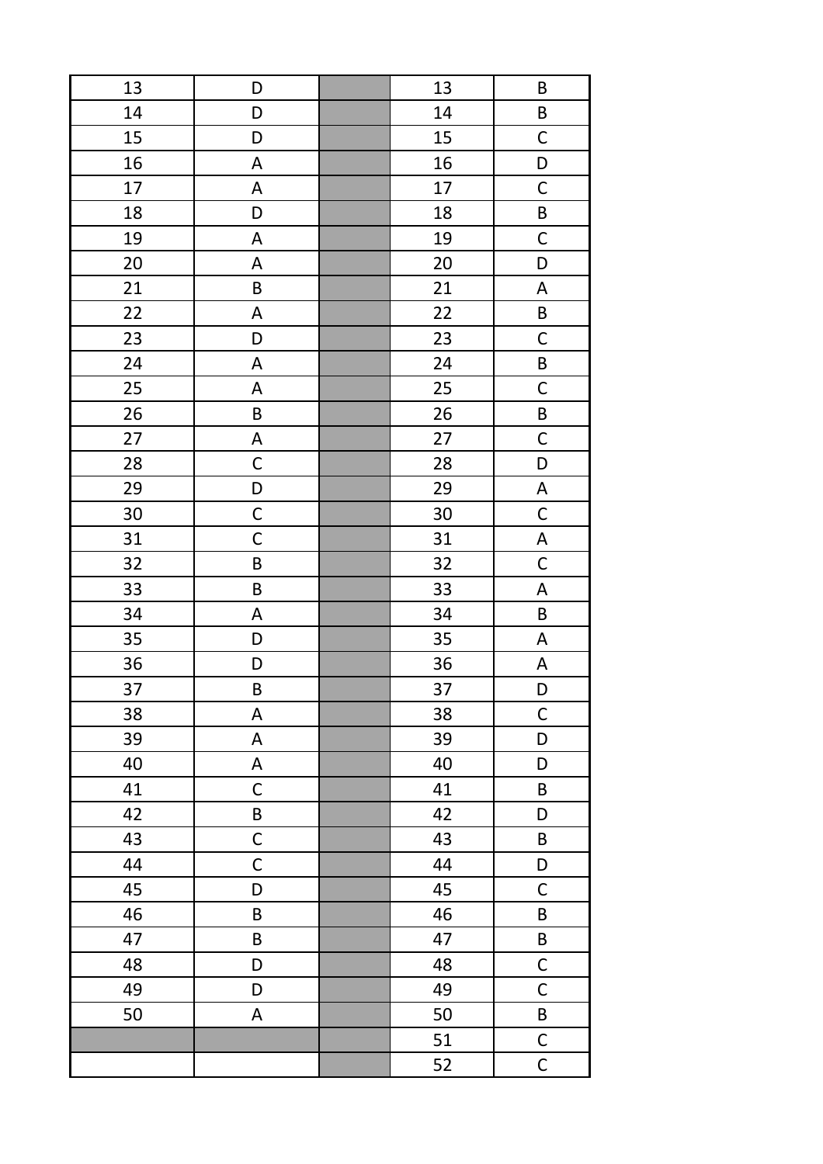| 13 | D                         | 13 | $\sf B$                   |
|----|---------------------------|----|---------------------------|
| 14 | D                         | 14 | $\sf B$                   |
| 15 | D                         | 15 | $\mathsf C$               |
| 16 | A                         | 16 | D                         |
| 17 | A                         | 17 | $\mathsf{C}$              |
| 18 | D                         | 18 | $\sf B$                   |
| 19 | A                         | 19 | $\mathsf C$               |
| 20 | A                         | 20 | D                         |
| 21 | B                         | 21 | $\boldsymbol{\mathsf{A}}$ |
| 22 | A                         | 22 | B                         |
| 23 | D                         | 23 | $\mathsf C$               |
| 24 | A                         | 24 | $\sf B$                   |
| 25 | A                         | 25 | $\mathsf C$               |
| 26 | $\sf B$                   | 26 | B                         |
| 27 | $\boldsymbol{\mathsf{A}}$ | 27 | $\mathsf{C}$              |
| 28 | $\mathsf C$               | 28 | D                         |
| 29 | D                         | 29 | $\boldsymbol{\mathsf{A}}$ |
| 30 | $\mathsf C$               | 30 | $\mathsf C$               |
| 31 | $\mathsf C$               | 31 | $\boldsymbol{\mathsf{A}}$ |
| 32 | $\sf B$                   | 32 | $\mathsf C$               |
| 33 | $\sf B$                   | 33 | $\boldsymbol{\mathsf{A}}$ |
| 34 | A                         | 34 | B                         |
| 35 | D                         | 35 | $\boldsymbol{\mathsf{A}}$ |
| 36 | D                         | 36 | A                         |
| 37 | $\sf B$                   | 37 | D                         |
| 38 | A                         | 38 | $\mathsf C$               |
| 39 | A                         | 39 | D                         |
| 40 | A                         | 40 | D                         |
| 41 | $\mathsf C$               | 41 | $\sf B$                   |
| 42 | B                         | 42 | D                         |
| 43 | $\mathsf C$               | 43 | B                         |
| 44 | $\mathsf C$               | 44 | D                         |
| 45 | D                         | 45 | $\mathsf C$               |
| 46 | B                         | 46 | B                         |
| 47 | $\sf B$                   | 47 | B                         |
| 48 | D                         | 48 | $\mathsf C$               |
| 49 | D                         | 49 | $\mathsf C$               |
| 50 | A                         | 50 | $\sf B$                   |
|    |                           | 51 | $\overline{C}$            |
|    |                           | 52 | $\mathsf C$               |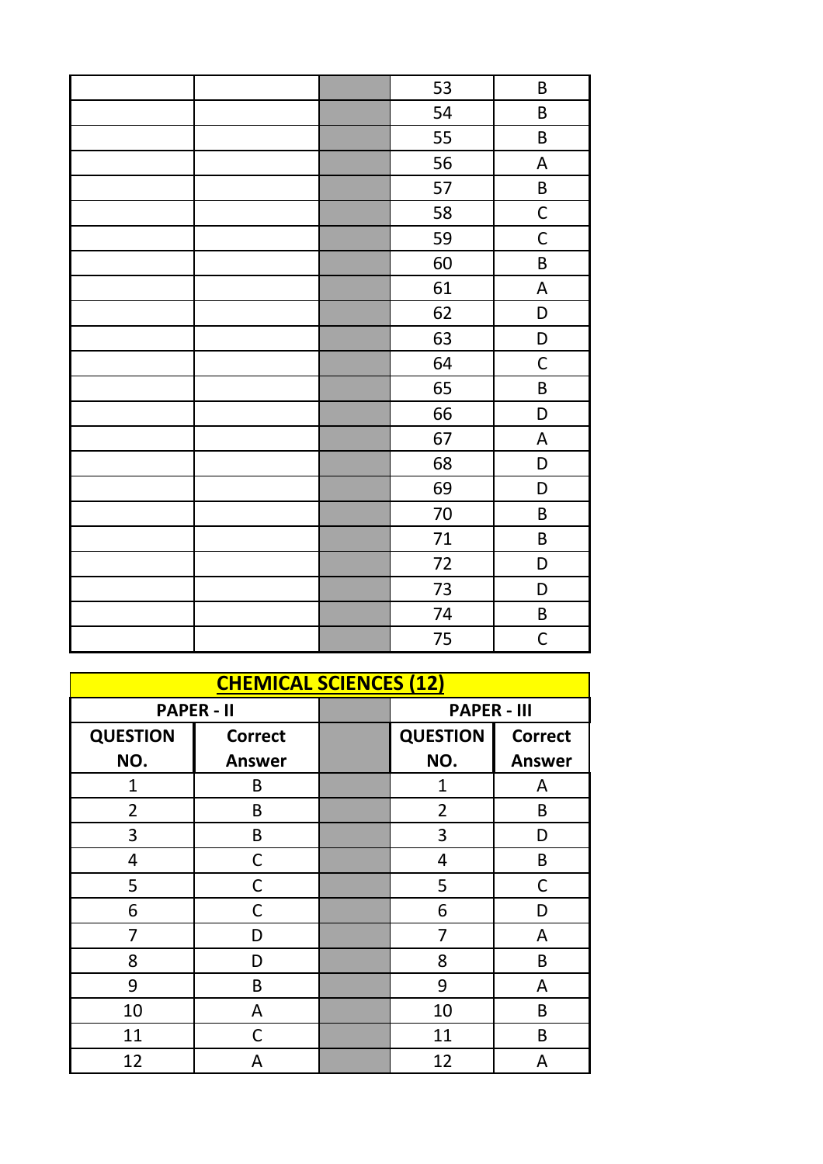|  | 53     | $\sf B$                   |
|--|--------|---------------------------|
|  | 54     | $\sf B$                   |
|  | 55     | B                         |
|  | 56     | $\boldsymbol{\mathsf{A}}$ |
|  | 57     | B                         |
|  | 58     | $\mathsf C$               |
|  | 59     | $\mathsf C$               |
|  | 60     | $\sf B$                   |
|  | 61     | $\overline{\mathsf{A}}$   |
|  | 62     | D                         |
|  | 63     | D                         |
|  | 64     | $\mathsf C$               |
|  | 65     | B                         |
|  | 66     | D                         |
|  | 67     | $\boldsymbol{\mathsf{A}}$ |
|  | 68     | D                         |
|  | 69     | D                         |
|  | $70\,$ | $\sf B$                   |
|  | 71     | $\sf B$                   |
|  | 72     | D                         |
|  | 73     | D                         |
|  | 74     | B                         |
|  | 75     | $\mathsf{C}$              |

| <b>CHEMICAL SCIENCES (12)</b> |                   |  |                    |                |
|-------------------------------|-------------------|--|--------------------|----------------|
|                               | <b>PAPER - II</b> |  | <b>PAPER - III</b> |                |
| <b>QUESTION</b>               | <b>Correct</b>    |  | <b>QUESTION</b>    | <b>Correct</b> |
| NO.                           | <b>Answer</b>     |  | NO.                | <b>Answer</b>  |
| 1                             | B                 |  | 1                  | A              |
| $\overline{2}$                | B                 |  | $\overline{2}$     | B              |
| 3                             | B                 |  | 3                  | D              |
| 4                             | С                 |  | 4                  | B              |
| 5                             | С                 |  | 5                  | C              |
| 6                             | C                 |  | 6                  | D              |
| 7                             | D                 |  | 7                  | A              |
| 8                             | D                 |  | 8                  | B              |
| 9                             | B                 |  | 9                  | A              |
| 10                            | A                 |  | 10                 | B              |
| 11                            | C                 |  | 11                 | B              |
| 12                            | Α                 |  | 12                 | Α              |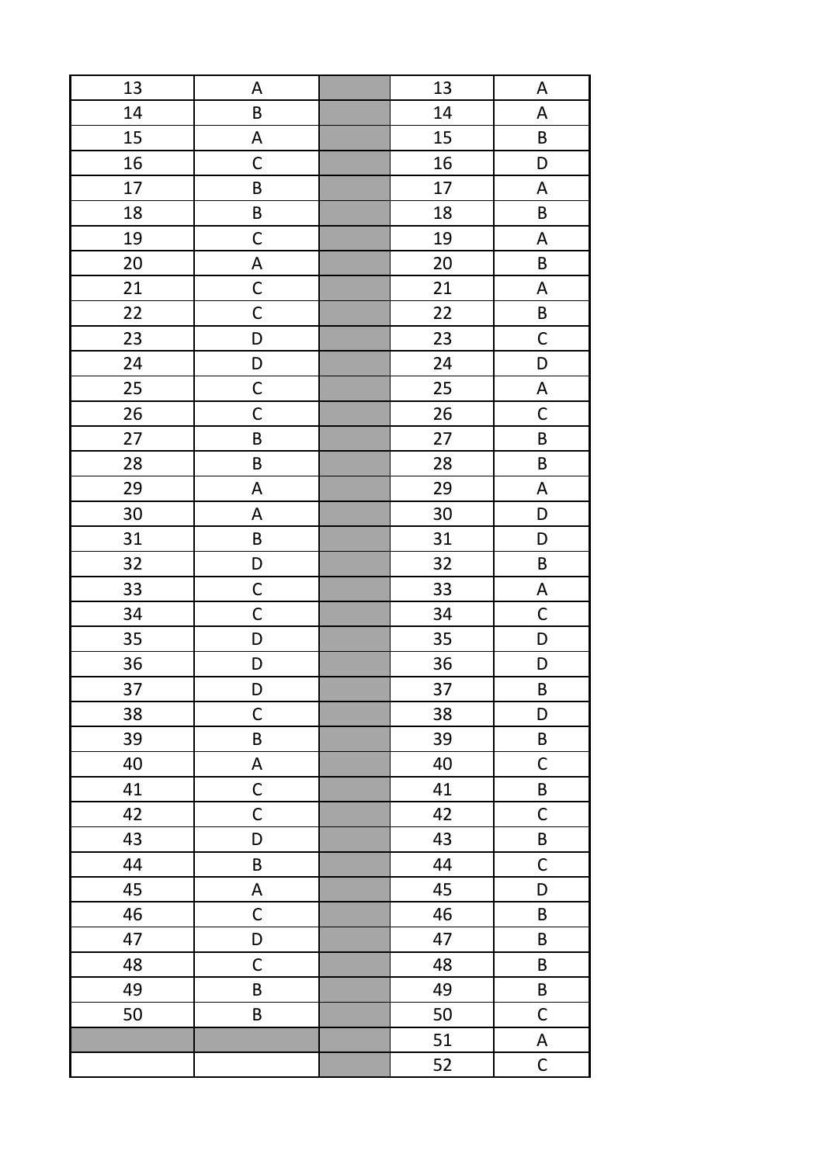| 13 | Α           | 13 | $\boldsymbol{\mathsf{A}}$ |
|----|-------------|----|---------------------------|
| 14 | $\sf B$     | 14 | $\boldsymbol{\mathsf{A}}$ |
| 15 | A           | 15 | $\sf B$                   |
| 16 | $\mathsf C$ | 16 | D                         |
| 17 | $\sf B$     | 17 | $\boldsymbol{\mathsf{A}}$ |
| 18 | $\sf B$     | 18 | B                         |
| 19 | $\mathsf C$ | 19 | $\boldsymbol{\mathsf{A}}$ |
| 20 | A           | 20 | $\sf B$                   |
| 21 | $\mathsf C$ | 21 | $\boldsymbol{\mathsf{A}}$ |
| 22 | $\mathsf C$ | 22 | B                         |
| 23 | D           | 23 | $\mathsf C$               |
| 24 | D           | 24 | D                         |
| 25 | $\mathsf C$ | 25 | $\boldsymbol{\mathsf{A}}$ |
| 26 | $\mathsf C$ | 26 | $\mathsf C$               |
| 27 | $\sf B$     | 27 | $\sf B$                   |
| 28 | $\sf B$     | 28 | $\sf B$                   |
| 29 | $\mathsf A$ | 29 | $\boldsymbol{\mathsf{A}}$ |
| 30 | A           | 30 | D                         |
| 31 | $\sf B$     | 31 | D                         |
| 32 | D           | 32 | $\sf B$                   |
| 33 | $\mathsf C$ | 33 | $\boldsymbol{\mathsf{A}}$ |
| 34 | $\mathsf C$ | 34 | $\mathsf C$               |
| 35 | D           | 35 | D                         |
| 36 | D           | 36 | D                         |
| 37 | D           | 37 | $\sf B$                   |
| 38 | $\mathsf C$ | 38 | D                         |
| 39 | $\sf B$     | 39 | $\sf B$                   |
| 40 | A           | 40 | $\mathsf C$               |
| 41 | $\mathsf C$ | 41 | $\sf B$                   |
| 42 | $\mathsf C$ | 42 | $\mathsf C$               |
| 43 | D           | 43 | B                         |
| 44 | B           | 44 | $\mathsf C$               |
| 45 | A           | 45 | D                         |
| 46 | $\mathsf C$ | 46 | B                         |
| 47 | D           | 47 | B                         |
| 48 | $\mathsf C$ | 48 | B                         |
| 49 | B           | 49 | $\sf B$                   |
| 50 | $\sf B$     | 50 | $\mathsf C$               |
|    |             | 51 | $\boldsymbol{\mathsf{A}}$ |
|    |             | 52 | $\mathsf C$               |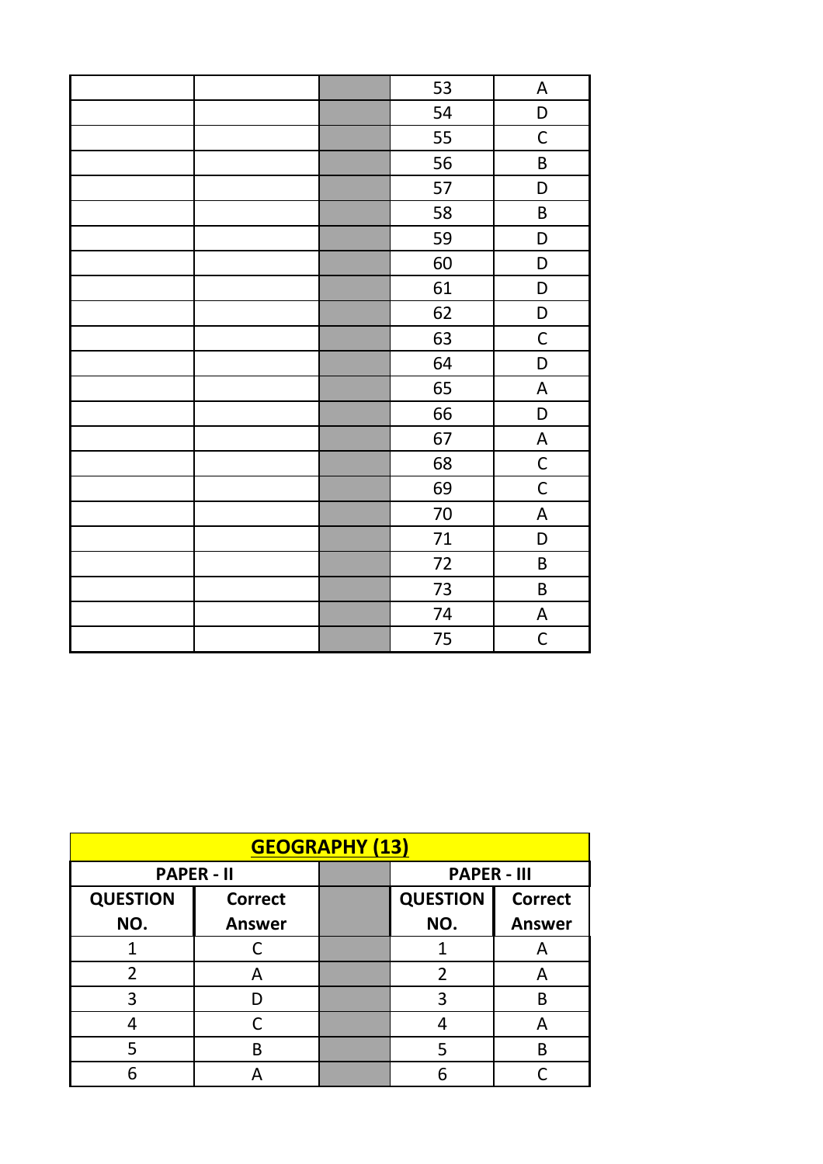|  | 53     | A                         |
|--|--------|---------------------------|
|  | 54     | D                         |
|  | 55     | $\mathsf C$               |
|  | 56     | $\sf B$                   |
|  | 57     | D                         |
|  | 58     | B                         |
|  | 59     | D                         |
|  | 60     | D                         |
|  | 61     | D                         |
|  | 62     | D                         |
|  | 63     | $\mathsf C$               |
|  | 64     | D                         |
|  | 65     | A                         |
|  | 66     | D                         |
|  | 67     | $\boldsymbol{\mathsf{A}}$ |
|  | 68     | $\mathsf C$               |
|  | 69     | $\mathsf C$               |
|  | $70\,$ | $\boldsymbol{\mathsf{A}}$ |
|  | 71     | D                         |
|  | $72\,$ | $\sf B$                   |
|  | 73     | $\sf B$                   |
|  | 74     | $\boldsymbol{\mathsf{A}}$ |
|  | 75     | $\mathsf C$               |

| <b>GEOGRAPHY (13)</b> |                   |  |                    |                |
|-----------------------|-------------------|--|--------------------|----------------|
|                       | <b>PAPER - II</b> |  | <b>PAPER - III</b> |                |
| <b>QUESTION</b>       | <b>Correct</b>    |  | <b>QUESTION</b>    | <b>Correct</b> |
| NO.                   | <b>Answer</b>     |  | NO.                | <b>Answer</b>  |
|                       |                   |  |                    | А              |
| 2                     | А                 |  | 2                  | Α              |
| 3                     |                   |  | 3                  | B              |
|                       |                   |  |                    | А              |
|                       | R                 |  | 5                  | B              |
|                       |                   |  |                    |                |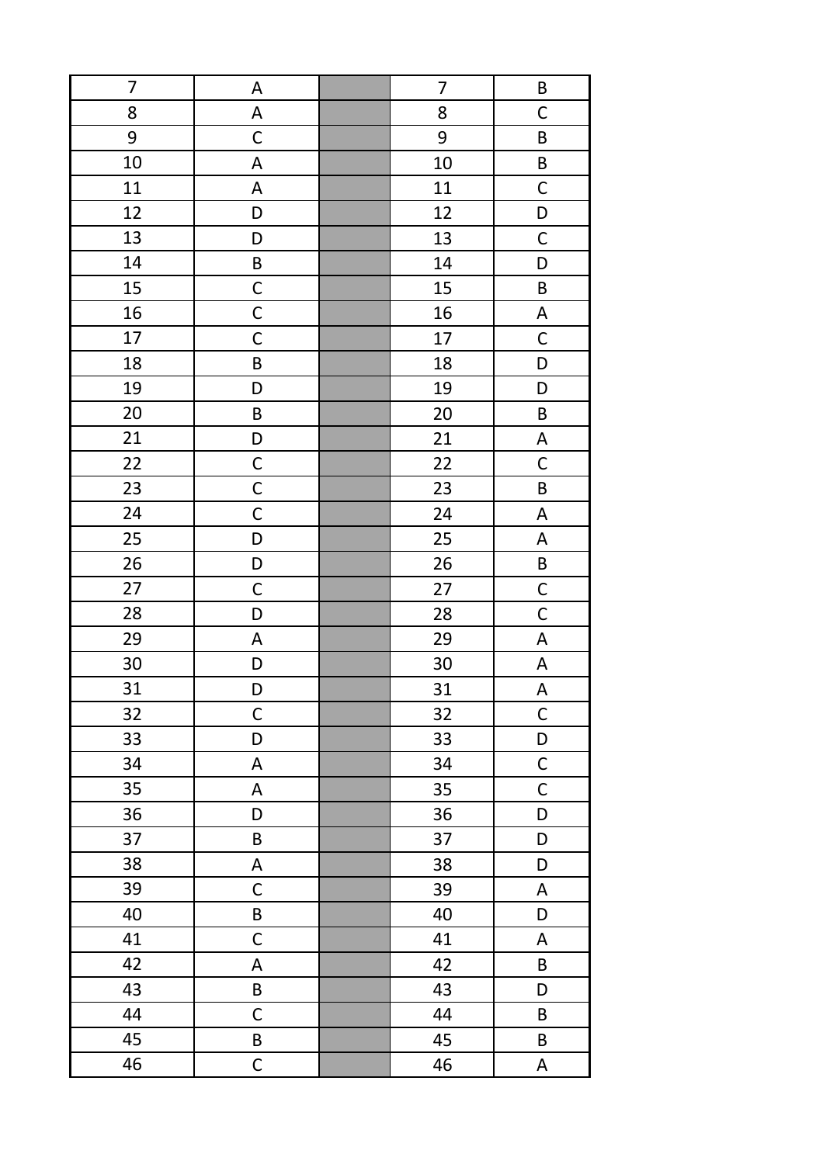| 7  | А                         | 7  | B                         |
|----|---------------------------|----|---------------------------|
| 8  | $\mathsf A$               | 8  | $\mathsf C$               |
| 9  | $\mathsf C$               | 9  | $\sf B$                   |
| 10 | A                         | 10 | $\sf B$                   |
| 11 | A                         | 11 | $\mathsf C$               |
| 12 | D                         | 12 | D                         |
| 13 | D                         | 13 | $\mathsf C$               |
| 14 | B                         | 14 | D                         |
| 15 | $\mathsf C$               | 15 | $\sf B$                   |
| 16 | $\mathsf C$               | 16 | $\boldsymbol{\mathsf{A}}$ |
| 17 | $\mathsf C$               | 17 | $\mathsf C$               |
| 18 | B                         | 18 | D                         |
| 19 | D                         | 19 | D                         |
| 20 | $\sf B$                   | 20 | B                         |
| 21 | D                         | 21 | $\boldsymbol{\mathsf{A}}$ |
| 22 | $\mathsf C$               | 22 | $\mathsf C$               |
| 23 | $\mathsf C$               | 23 | $\sf B$                   |
| 24 | $\mathsf C$               | 24 | $\boldsymbol{\mathsf{A}}$ |
| 25 | D                         | 25 | $\boldsymbol{\mathsf{A}}$ |
| 26 | D                         | 26 | $\mathsf B$               |
| 27 | $\mathsf C$               | 27 | $\mathsf{C}$              |
| 28 | D                         | 28 | $\mathsf{C}$              |
| 29 | A                         | 29 | $\boldsymbol{\mathsf{A}}$ |
| 30 | D                         | 30 | $\boldsymbol{\mathsf{A}}$ |
| 31 | D                         | 31 | $\boldsymbol{\mathsf{A}}$ |
| 32 | $\mathsf C$               | 32 | $\mathsf C$               |
| 33 | D                         | 33 | D                         |
| 34 | $\mathsf A$               | 34 | $\mathsf{C}$              |
| 35 | A                         | 35 | $\mathsf{C}$              |
| 36 | D                         | 36 | $\mathsf D$               |
| 37 | $\sf B$                   | 37 | D                         |
| 38 | $\boldsymbol{\mathsf{A}}$ | 38 | D                         |
| 39 | $\mathsf C$               | 39 | A                         |
| 40 | $\sf B$                   | 40 | D                         |
| 41 | $\mathsf C$               | 41 | A                         |
| 42 | A                         | 42 | B                         |
| 43 | $\sf B$                   | 43 | D                         |
| 44 | $\mathsf C$               | 44 | B                         |
| 45 | $\sf B$                   | 45 | B                         |
| 46 | $\mathsf C$               | 46 | A                         |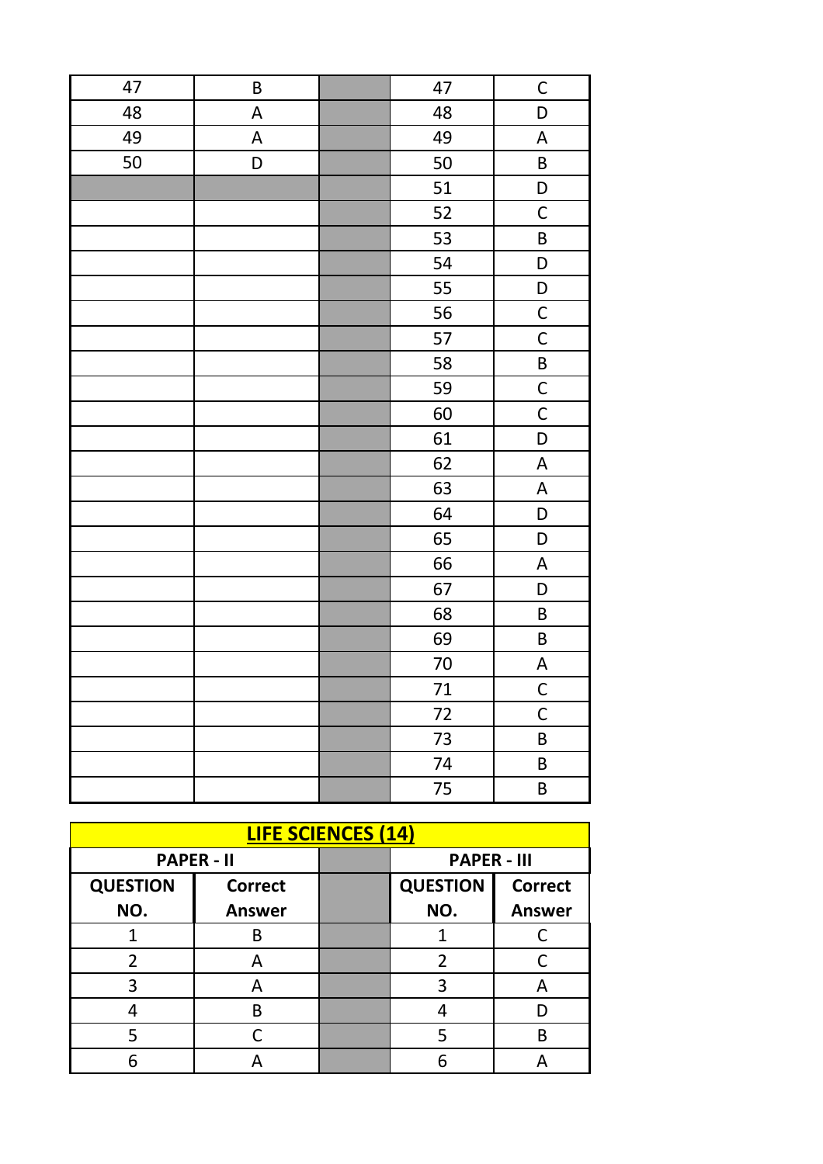| 47 | $\sf B$                   | 47     | $\mathsf{C}$              |
|----|---------------------------|--------|---------------------------|
| 48 | $\boldsymbol{\mathsf{A}}$ | 48     | D                         |
| 49 | $\boldsymbol{\mathsf{A}}$ | 49     | A                         |
| 50 | D                         | 50     | $\sf B$                   |
|    |                           | 51     | D                         |
|    |                           | 52     | $\mathsf C$               |
|    |                           | 53     | $\sf B$                   |
|    |                           | 54     | D                         |
|    |                           | 55     | D                         |
|    |                           | 56     | $\mathsf C$               |
|    |                           | 57     | $\mathsf C$               |
|    |                           | 58     | $\sf B$                   |
|    |                           | 59     | $\mathsf C$               |
|    |                           | 60     | $\mathsf{C}$              |
|    |                           | 61     | $\mathsf D$               |
|    |                           | 62     | $\boldsymbol{\mathsf{A}}$ |
|    |                           | 63     | $\boldsymbol{\mathsf{A}}$ |
|    |                           | 64     | $\mathsf D$               |
|    |                           | 65     | $\mathsf D$               |
|    |                           | 66     | $\boldsymbol{\mathsf{A}}$ |
|    |                           | 67     | D                         |
|    |                           | 68     | $\sf B$                   |
|    |                           | 69     | $\sf B$                   |
|    |                           | $70\,$ | A                         |
|    |                           | 71     | $\mathsf C$               |
|    |                           | 72     | $\mathsf C$               |
|    |                           | 73     | $\sf B$                   |
|    |                           | 74     | $\sf B$                   |
|    |                           | 75     | $\sf B$                   |

| <b>LIFE SCIENCES (14)</b> |                   |  |                    |                |
|---------------------------|-------------------|--|--------------------|----------------|
|                           | <b>PAPER - II</b> |  | <b>PAPER - III</b> |                |
| <b>QUESTION</b>           | <b>Correct</b>    |  | <b>QUESTION</b>    | <b>Correct</b> |
| NO.                       | <b>Answer</b>     |  | NO.                | <b>Answer</b>  |
|                           | B                 |  |                    |                |
| 2                         | А                 |  | 2                  |                |
| 3                         |                   |  | З                  |                |
|                           | В                 |  |                    |                |
|                           |                   |  |                    | B              |
|                           |                   |  |                    |                |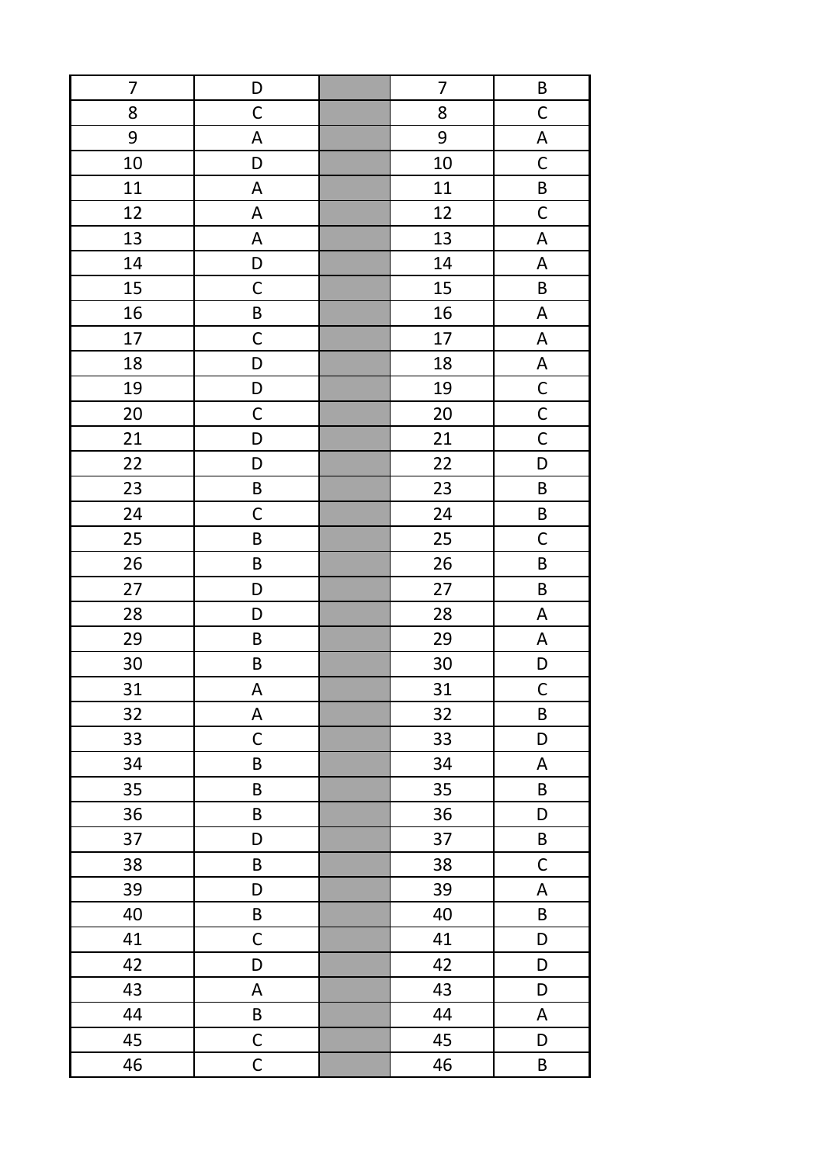| $\overline{7}$ | D            | $\overline{7}$ | $\sf B$                   |
|----------------|--------------|----------------|---------------------------|
| 8              | $\mathsf C$  | 8              | $\mathsf C$               |
| 9              | A            | 9              | $\boldsymbol{\mathsf{A}}$ |
| 10             | D            | 10             | $\mathsf C$               |
| 11             | A            | 11             | $\sf B$                   |
| 12             | A            | 12             | $\mathsf C$               |
| 13             | $\mathsf A$  | 13             | $\boldsymbol{\mathsf{A}}$ |
| 14             | D            | 14             | $\boldsymbol{\mathsf{A}}$ |
| 15             | $\mathsf C$  | 15             | B                         |
| 16             | $\sf B$      | 16             | A                         |
| 17             | $\mathsf C$  | 17             | A                         |
| 18             | D            | 18             | A                         |
| 19             | D            | 19             | $\mathsf{C}$              |
| 20             | $\mathsf C$  | 20             | $\overline{C}$            |
| 21             | D            | 21             | $\overline{\mathsf{C}}$   |
| 22             | D            | 22             | $\mathsf D$               |
| 23             | $\sf B$      | 23             | $\sf B$                   |
| 24             | $\mathsf C$  | 24             | $\mathsf B$               |
| 25             | $\sf B$      | 25             | $\mathsf C$               |
| 26             | $\sf B$      | 26             | $\sf B$                   |
| 27             | D            | 27             | $\sf B$                   |
| 28             | D            | 28             | $\boldsymbol{\mathsf{A}}$ |
| 29             | $\sf B$      | 29             | $\mathsf A$               |
| 30             | $\sf B$      | 30             | $\mathsf D$               |
| 31             | A            | 31             | $\mathsf{C}$              |
| 32             | A            | 32             | $\sf B$                   |
| 33             | $\mathsf C$  | 33             | D                         |
| 34             | $\sf B$      | 34             | A                         |
| 35             | $\sf B$      | 35             | $\sf B$                   |
| 36             | B            | 36             | D                         |
| 37             | D            | 37             | $\sf B$                   |
| 38             | B            | 38             | $\mathsf C$               |
| 39             | D            | 39             | A                         |
| 40             | B            | 40             | B                         |
| 41             | $\mathsf C$  | 41             | D                         |
| 42             | D            | 42             | D                         |
| 43             | $\mathsf A$  | 43             | D                         |
| 44             | $\sf B$      | 44             | A                         |
| 45             | $\mathsf{C}$ | 45             | D                         |
| 46             | $\mathsf C$  | 46             | B                         |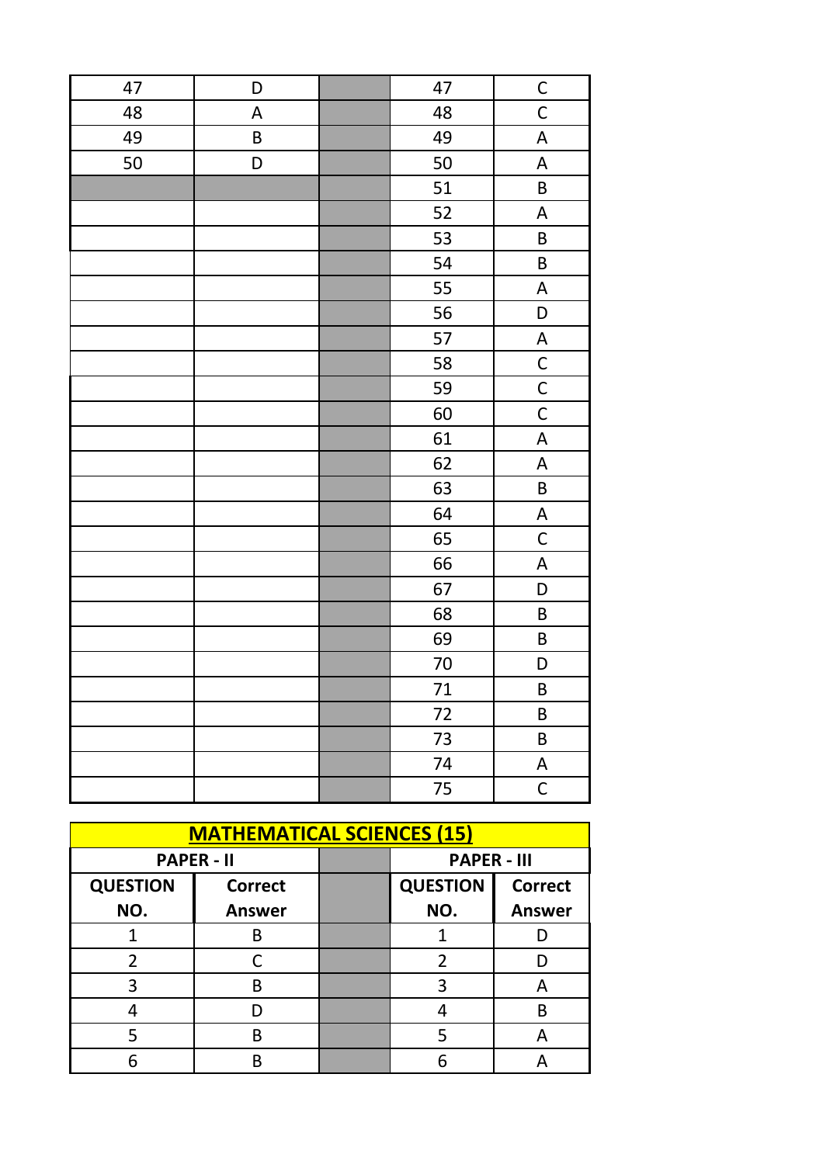| 47 | D           | 47     | $\mathsf{C}$              |
|----|-------------|--------|---------------------------|
| 48 | $\mathsf A$ | 48     | $\mathsf{C}$              |
| 49 | $\sf B$     | 49     | A                         |
| 50 | D           | 50     | $\boldsymbol{\mathsf{A}}$ |
|    |             | 51     | $\sf B$                   |
|    |             | 52     | $\mathsf A$               |
|    |             | 53     | $\sf B$                   |
|    |             | 54     | $\sf B$                   |
|    |             | 55     | $\boldsymbol{\mathsf{A}}$ |
|    |             | 56     | D                         |
|    |             | 57     | $\boldsymbol{\mathsf{A}}$ |
|    |             | 58     | $\mathsf{C}$              |
|    |             | 59     | $\mathsf{C}$              |
|    |             | 60     | $\mathsf C$               |
|    |             | 61     | $\boldsymbol{\mathsf{A}}$ |
|    |             | 62     | $\boldsymbol{\mathsf{A}}$ |
|    |             | 63     | $\sf B$                   |
|    |             | 64     | $\boldsymbol{\mathsf{A}}$ |
|    |             | 65     | $\mathsf C$               |
|    |             | 66     | $\boldsymbol{\mathsf{A}}$ |
|    |             | 67     | $\mathsf D$               |
|    |             | 68     | $\sf B$                   |
|    |             | 69     | $\sf B$                   |
|    |             | $70\,$ | D                         |
|    |             | 71     | $\sf B$                   |
|    |             | 72     | $\sf B$                   |
|    |             | 73     | $\sf B$                   |
|    |             | 74     | A                         |
|    |             | 75     | $\mathsf{C}$              |

| <b>MATHEMATICAL SCIENCES (15)</b> |                   |  |                    |                |
|-----------------------------------|-------------------|--|--------------------|----------------|
|                                   | <b>PAPER - II</b> |  | <b>PAPER - III</b> |                |
| <b>QUESTION</b>                   | <b>Correct</b>    |  | <b>QUESTION</b>    | <b>Correct</b> |
| NO.                               | <b>Answer</b>     |  | NO.                | <b>Answer</b>  |
|                                   | R                 |  |                    |                |
| 2                                 |                   |  | 2                  |                |
| 3                                 | R                 |  |                    |                |
|                                   |                   |  |                    | B              |
|                                   | R                 |  |                    | А              |
|                                   |                   |  |                    |                |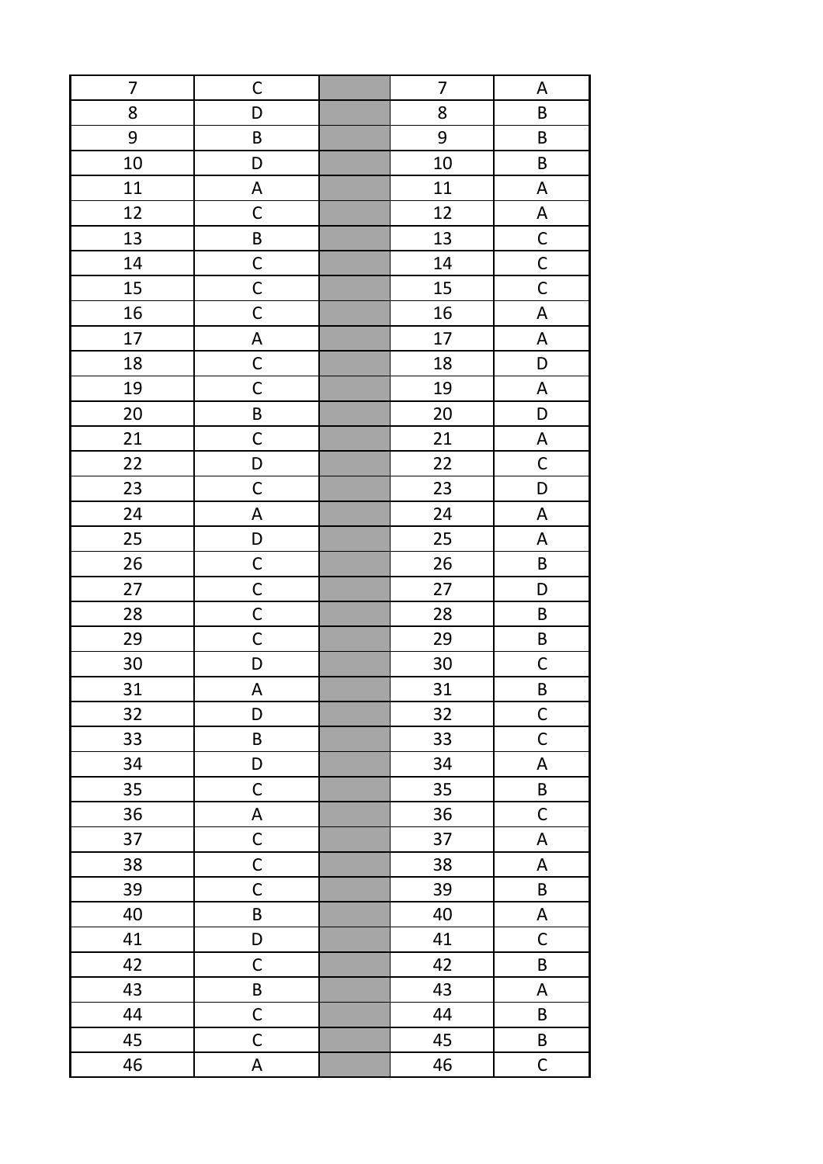| $\overline{7}$ | $\mathsf C$               | 7  | A                         |
|----------------|---------------------------|----|---------------------------|
| 8              | D                         | 8  | B                         |
| 9              | $\sf B$                   | 9  | $\sf B$                   |
| 10             | D                         | 10 | $\sf B$                   |
| 11             | $\boldsymbol{\mathsf{A}}$ | 11 | $\boldsymbol{\mathsf{A}}$ |
| 12             | $\mathsf C$               | 12 | $\boldsymbol{\mathsf{A}}$ |
| 13             | $\sf B$                   | 13 | $\overline{C}$            |
| 14             | $\mathsf C$               | 14 | $\overline{C}$            |
| 15             | $\mathsf{C}$              | 15 | $\overline{\mathsf{C}}$   |
| 16             | $\mathsf C$               | 16 | $\boldsymbol{\mathsf{A}}$ |
| 17             | A                         | 17 | $\boldsymbol{\mathsf{A}}$ |
| 18             | $\mathsf C$               | 18 | D                         |
| 19             | $\mathsf C$               | 19 | $\boldsymbol{\mathsf{A}}$ |
| 20             | $\sf B$                   | 20 | D                         |
| 21             | $\mathsf C$               | 21 | A                         |
| 22             | D                         | 22 | $\mathsf C$               |
| 23             | $\mathsf C$               | 23 | D                         |
| 24             | A                         | 24 | $\boldsymbol{\mathsf{A}}$ |
| 25             | $\mathsf D$               | 25 | $\boldsymbol{\mathsf{A}}$ |
| 26             | $\mathsf{C}$              | 26 | $\sf B$                   |
| 27             | $\mathsf C$               | 27 | D                         |
| 28             | $\mathsf C$               | 28 | $\sf B$                   |
| 29             | $\mathsf C$               | 29 | $\sf B$                   |
| 30             | D                         | 30 | $\mathsf{C}$              |
| 31             | A                         | 31 | B                         |
| 32             | D                         | 32 | $\mathsf{C}$              |
| 33             | $\sf B$                   | 33 | $\mathsf{C}$              |
| 34             | D                         | 34 | $\boldsymbol{\mathsf{A}}$ |
| 35             | $\mathsf C$               | 35 | $\sf B$                   |
| 36             | A                         | 36 | $\mathsf C$               |
| 37             | $\mathsf C$               | 37 | $\mathsf A$               |
| 38             | $\mathsf{C}$              | 38 | A                         |
| 39             | $\mathsf C$               | 39 | B                         |
| 40             | $\sf B$                   | 40 | A                         |
| 41             | D                         | 41 | $\mathsf C$               |
| 42             | $\mathsf C$               | 42 | B                         |
| 43             | $\sf B$                   | 43 | $\mathsf A$               |
| 44             | $\mathsf C$               | 44 | B                         |
| 45             | $\mathsf C$               | 45 | B                         |
| 46             | A                         | 46 | $\mathsf C$               |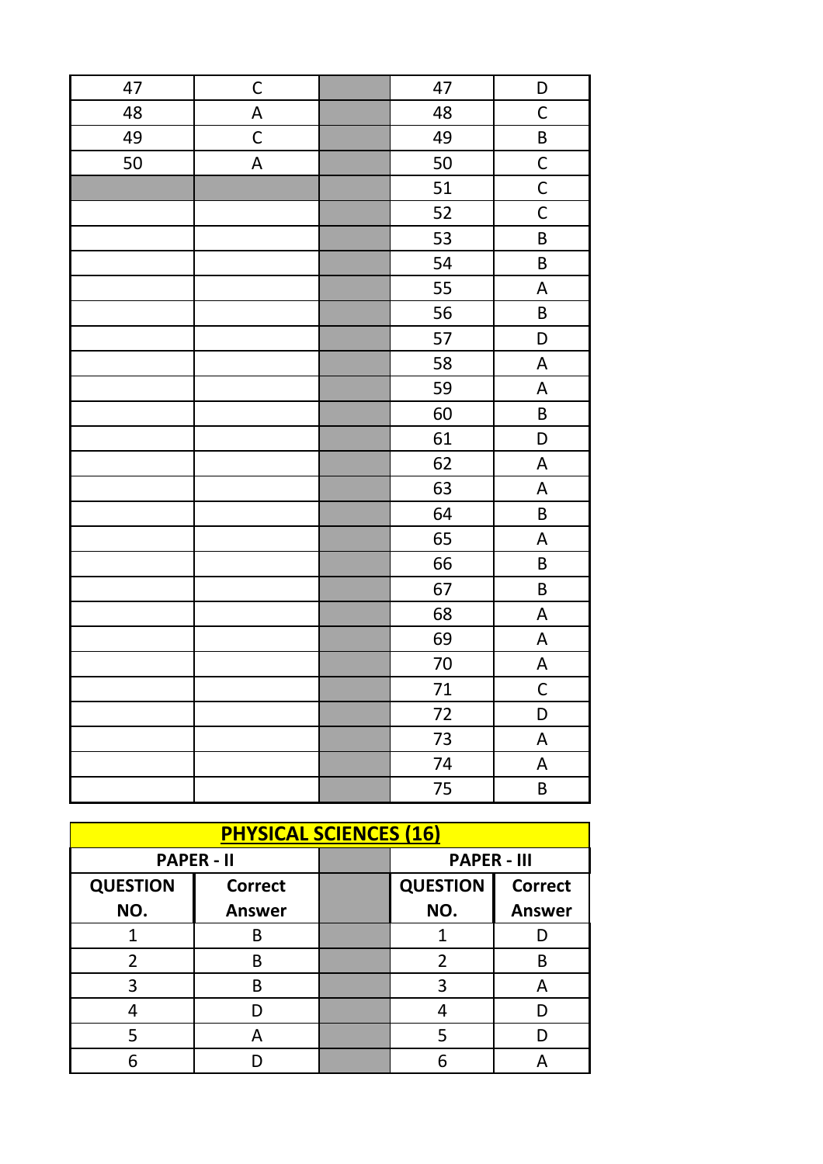| 47 | $\mathsf C$               | 47             | D                         |
|----|---------------------------|----------------|---------------------------|
| 48 | $\overline{\mathsf{A}}$   | 48             | $\mathsf C$               |
| 49 | $\mathsf C$               | 49             | $\sf B$                   |
| 50 | $\boldsymbol{\mathsf{A}}$ | 50             | $\overline{C}$            |
|    |                           | 51             | $\overline{C}$            |
|    |                           | 52             | $\overline{C}$            |
|    |                           | 53             | $\overline{\mathsf{B}}$   |
|    |                           | 54             | $\sf B$                   |
|    |                           | 55             | $\boldsymbol{\mathsf{A}}$ |
|    |                           | 56             | $\sf B$                   |
|    |                           | 57             | $\mathsf{D}$              |
|    |                           | 58             | $\boldsymbol{\mathsf{A}}$ |
|    |                           | 59             | $\boldsymbol{\mathsf{A}}$ |
|    |                           | 60             | $\sf B$                   |
|    |                           | 61             | D                         |
|    |                           | 62             | $\boldsymbol{\mathsf{A}}$ |
|    |                           | 63             | $\boldsymbol{\mathsf{A}}$ |
|    |                           | 64             | $\sf B$                   |
|    |                           | 65             | A                         |
|    |                           | 66             | $\sf B$                   |
|    |                           | 67             | $\overline{\mathsf{B}}$   |
|    |                           | 68             | $\overline{\mathsf{A}}$   |
|    |                           | 69             | $\mathsf A$               |
|    |                           | 70             | $\boldsymbol{\mathsf{A}}$ |
|    |                           | 71             | $\mathsf C$               |
|    |                           | $\frac{1}{72}$ | D                         |
|    |                           | 73             | $\boldsymbol{\mathsf{A}}$ |
|    |                           | 74             | $\boldsymbol{\mathsf{A}}$ |
|    |                           | 75             | B                         |

| <b>PHYSICAL SCIENCES (16)</b> |                   |  |                    |                |
|-------------------------------|-------------------|--|--------------------|----------------|
|                               | <b>PAPER - II</b> |  | <b>PAPER - III</b> |                |
| <b>QUESTION</b>               | <b>Correct</b>    |  | <b>QUESTION</b>    | <b>Correct</b> |
| NO.                           | <b>Answer</b>     |  | NO.                | <b>Answer</b>  |
|                               | B                 |  |                    |                |
| 2                             | B                 |  | 2                  | В              |
| 3                             | B                 |  | 3                  | А              |
|                               |                   |  |                    |                |
|                               | А                 |  | 5                  |                |
|                               |                   |  | հ                  |                |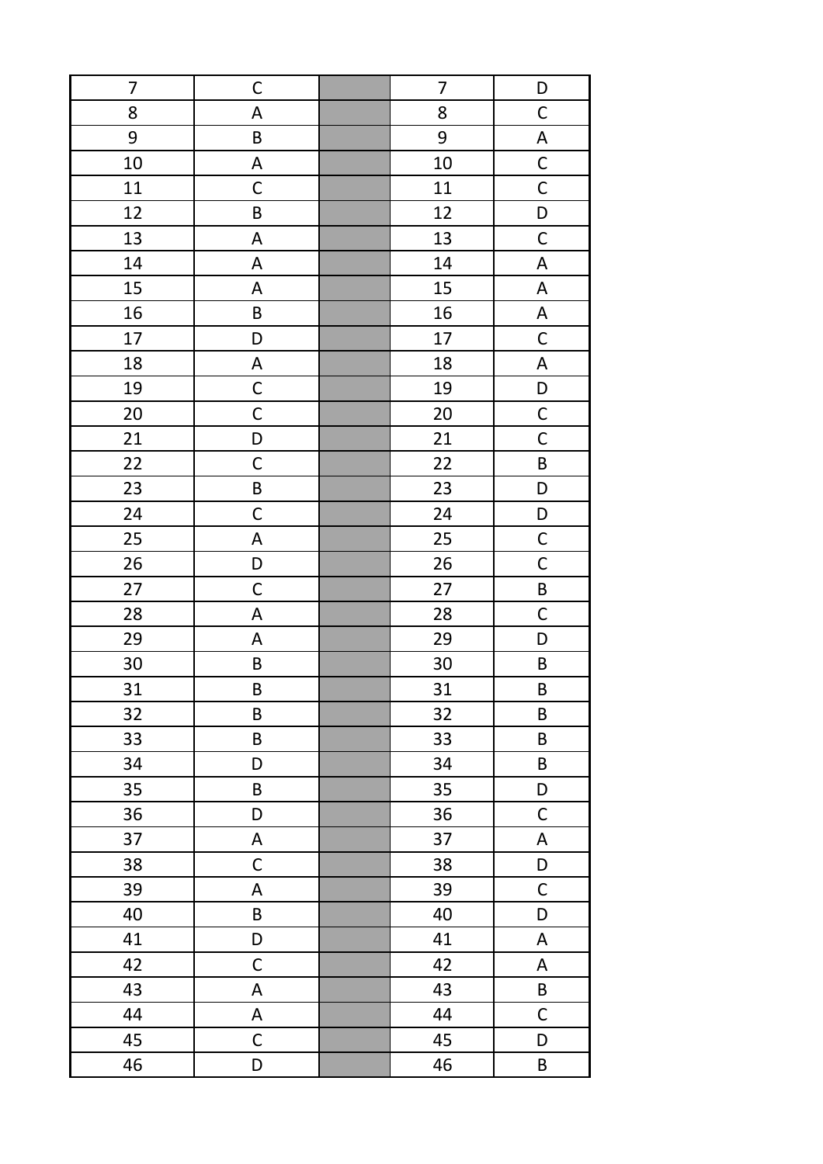| $\overline{7}$ | $\mathsf C$               | $\overline{7}$ | D                         |
|----------------|---------------------------|----------------|---------------------------|
| 8              | $\boldsymbol{\mathsf{A}}$ | 8              | $\mathsf C$               |
| 9              | $\sf B$                   | 9              | $\boldsymbol{\mathsf{A}}$ |
| 10             | $\mathsf A$               | 10             | $\overline{C}$            |
| 11             | $\mathsf C$               | 11             | $\overline{C}$            |
| 12             | $\sf B$                   | 12             | $\mathsf D$               |
| 13             | $\mathsf A$               | 13             | $\mathsf{C}$              |
| 14             | A                         | 14             | $\boldsymbol{\mathsf{A}}$ |
| 15             | A                         | 15             | $\boldsymbol{\mathsf{A}}$ |
| 16             | $\sf B$                   | 16             | $\boldsymbol{\mathsf{A}}$ |
| 17             | D                         | 17             | $\mathsf C$               |
| 18             | A                         | 18             | A                         |
| 19             | $\mathsf C$               | 19             | $\mathsf D$               |
| 20             | $\mathsf C$               | 20             | $\mathsf C$               |
| 21             | D                         | 21             | $\mathsf C$               |
| 22             | $\mathsf C$               | 22             | $\sf B$                   |
| 23             | $\sf B$                   | 23             | $\mathsf D$               |
| 24             | $\mathsf C$               | 24             | $\mathsf D$               |
| 25             | $\mathsf A$               | 25             | $\mathsf{C}$              |
| 26             | D                         | 26             | $\mathsf{C}$              |
| 27             | $\mathsf C$               | 27             | $\sf B$                   |
| 28             | A                         | 28             | $\mathsf C$               |
| 29             | A                         | 29             | D                         |
| 30             | $\sf B$                   | 30             | $\sf B$                   |
| 31             | $\sf B$                   | 31             | $\sf B$                   |
| 32             | $\sf B$                   | 32             | $\sf B$                   |
| 33             | $\sf B$                   | 33             | $\sf B$                   |
| 34             | D                         | 34             | $\sf B$                   |
| 35             | $\sf B$                   | 35             | D                         |
| 36             | D                         | 36             | $\mathsf C$               |
| 37             | $\boldsymbol{\mathsf{A}}$ | 37             | A                         |
| 38             | $\mathsf C$               | 38             | D                         |
| 39             | A                         | 39             | $\mathsf C$               |
| 40             | B                         | 40             | D                         |
| 41             | D                         | 41             | $\boldsymbol{\mathsf{A}}$ |
| 42             | $\mathsf C$               | 42             | A                         |
| 43             | $\mathsf A$               | 43             | B                         |
| 44             | $\mathsf A$               | 44             | $\mathsf C$               |
| 45             | $\mathsf C$               | 45             | D                         |
| 46             | D                         | 46             | B                         |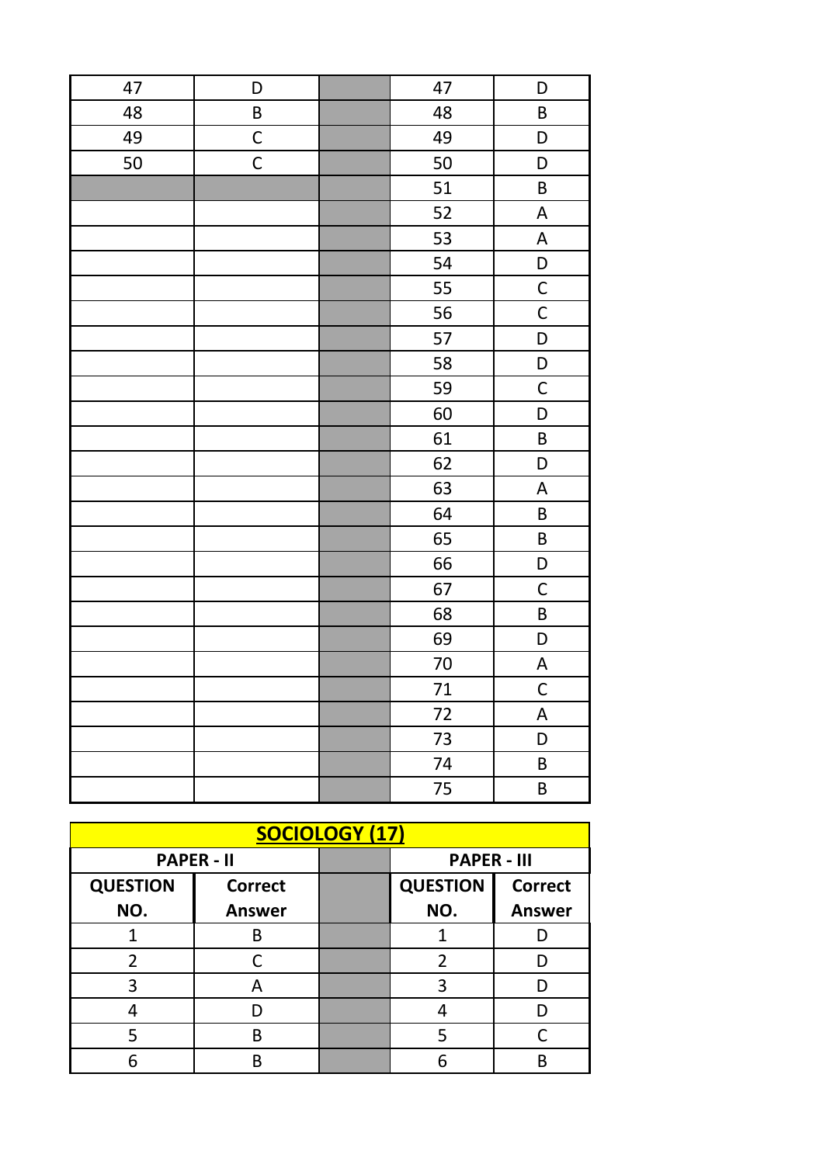| 47 | D           | 47     | D                                |
|----|-------------|--------|----------------------------------|
| 48 | $\sf B$     | 48     | $\sf B$                          |
| 49 | $\mathsf C$ | 49     | D                                |
| 50 | $\mathsf C$ | 50     | D                                |
|    |             | 51     | B                                |
|    |             | 52     | $\boldsymbol{\mathsf{A}}$        |
|    |             | 53     | $\boldsymbol{\mathsf{A}}$        |
|    |             | 54     | $\begin{array}{c} \n\end{array}$ |
|    |             | 55     | $\mathsf C$                      |
|    |             | 56     | $\mathsf C$                      |
|    |             | 57     | D                                |
|    |             | 58     | D                                |
|    |             | 59     | $\mathsf C$                      |
|    |             | 60     | D                                |
|    |             | 61     | $\sf B$                          |
|    |             | 62     | $\begin{array}{c} \n\end{array}$ |
|    |             | 63     | $\boldsymbol{\mathsf{A}}$        |
|    |             | 64     | $\sf B$                          |
|    |             | 65     | $\sf B$                          |
|    |             | 66     | D                                |
|    |             | 67     | $\mathsf C$                      |
|    |             | 68     | $\sf B$                          |
|    |             | 69     | $\mathsf D$                      |
|    |             | $70\,$ | A                                |
|    |             | 71     | $\overline{C}$                   |
|    |             | 72     | $\boldsymbol{\mathsf{A}}$        |
|    |             | 73     | D                                |
|    |             | 74     | $\sf B$                          |
|    |             | 75     | $\sf B$                          |

| <b>SOCIOLOGY (17)</b> |                   |  |                    |                |  |
|-----------------------|-------------------|--|--------------------|----------------|--|
|                       | <b>PAPER - II</b> |  | <b>PAPER - III</b> |                |  |
| <b>QUESTION</b>       | <b>Correct</b>    |  | <b>QUESTION</b>    | <b>Correct</b> |  |
| NO.                   | <b>Answer</b>     |  | NO.                | <b>Answer</b>  |  |
|                       | R                 |  |                    |                |  |
| 2                     |                   |  | 2                  |                |  |
| 3                     | А                 |  | 3                  |                |  |
|                       |                   |  |                    |                |  |
|                       | R                 |  |                    |                |  |
|                       |                   |  |                    |                |  |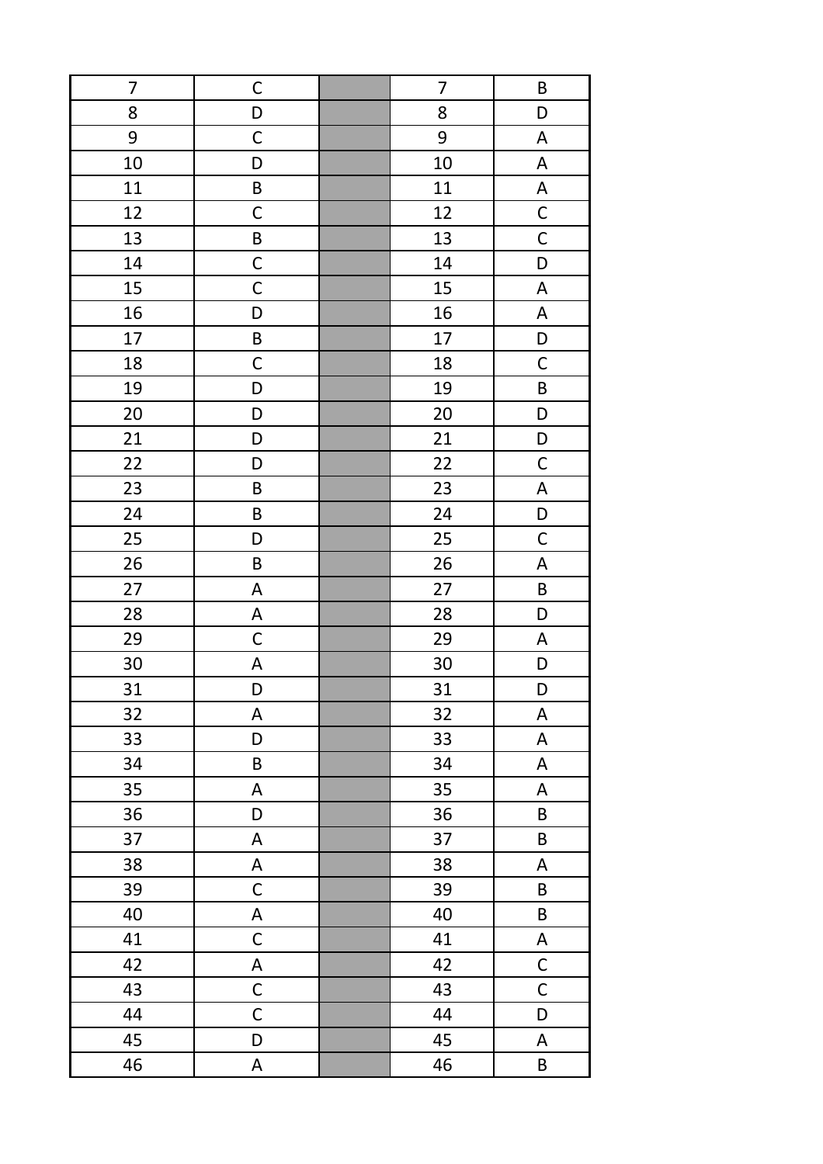| 7  | $\mathsf C$               | 7      | B                         |
|----|---------------------------|--------|---------------------------|
| 8  | D                         | 8      | D                         |
| 9  | $\mathsf C$               | 9      | $\boldsymbol{\mathsf{A}}$ |
| 10 | D                         | 10     | $\boldsymbol{\mathsf{A}}$ |
| 11 | $\sf B$                   | 11     | $\boldsymbol{\mathsf{A}}$ |
| 12 | $\mathsf C$               | 12     | $\overline{C}$            |
| 13 | $\sf B$                   | 13     | $\mathsf{C}$              |
| 14 | $\mathsf C$               | 14     | $\mathsf D$               |
| 15 | $\mathsf C$               | 15     | $\boldsymbol{\mathsf{A}}$ |
| 16 | D                         | 16     | A                         |
| 17 | $\sf B$                   | 17     | D                         |
| 18 | $\mathsf C$               | 18     | $\mathsf C$               |
| 19 | D                         | 19     | $\sf B$                   |
| 20 | D                         | $20\,$ | D                         |
| 21 | D                         | 21     | D                         |
| 22 | D                         | 22     | $\mathsf C$               |
| 23 | $\sf B$                   | 23     | $\boldsymbol{\mathsf{A}}$ |
| 24 | $\sf B$                   | 24     | $\mathsf D$               |
| 25 | D                         | 25     | $\mathsf C$               |
| 26 | $\sf B$                   | 26     | $\boldsymbol{\mathsf{A}}$ |
| 27 | $\mathsf A$               | 27     | $\sf B$                   |
| 28 | $\mathsf A$               | 28     | D                         |
| 29 | $\mathsf C$               | 29     | $\boldsymbol{\mathsf{A}}$ |
| 30 | A                         | 30     | D                         |
| 31 | D                         | 31     | D                         |
| 32 | A                         | 32     | $\mathsf A$               |
| 33 | D                         | 33     | $\boldsymbol{\mathsf{A}}$ |
| 34 | $\sf B$                   | 34     | $\boldsymbol{\mathsf{A}}$ |
| 35 | $\mathsf A$               | 35     | A                         |
| 36 | D                         | 36     | $\sf B$                   |
| 37 | $\mathsf A$               | 37     | $\sf B$                   |
| 38 | $\boldsymbol{\mathsf{A}}$ | 38     | A                         |
| 39 | $\mathsf C$               | 39     | B                         |
| 40 | $\boldsymbol{\mathsf{A}}$ | 40     | $\sf B$                   |
| 41 | $\mathsf C$               | 41     | $\boldsymbol{\mathsf{A}}$ |
| 42 | $\sf A$                   | 42     | $\mathsf C$               |
| 43 | $\mathsf{C}$              | 43     | $\mathsf C$               |
| 44 | $\mathsf C$               | 44     | D                         |
| 45 | D                         | 45     | A                         |
| 46 | A                         | 46     | B                         |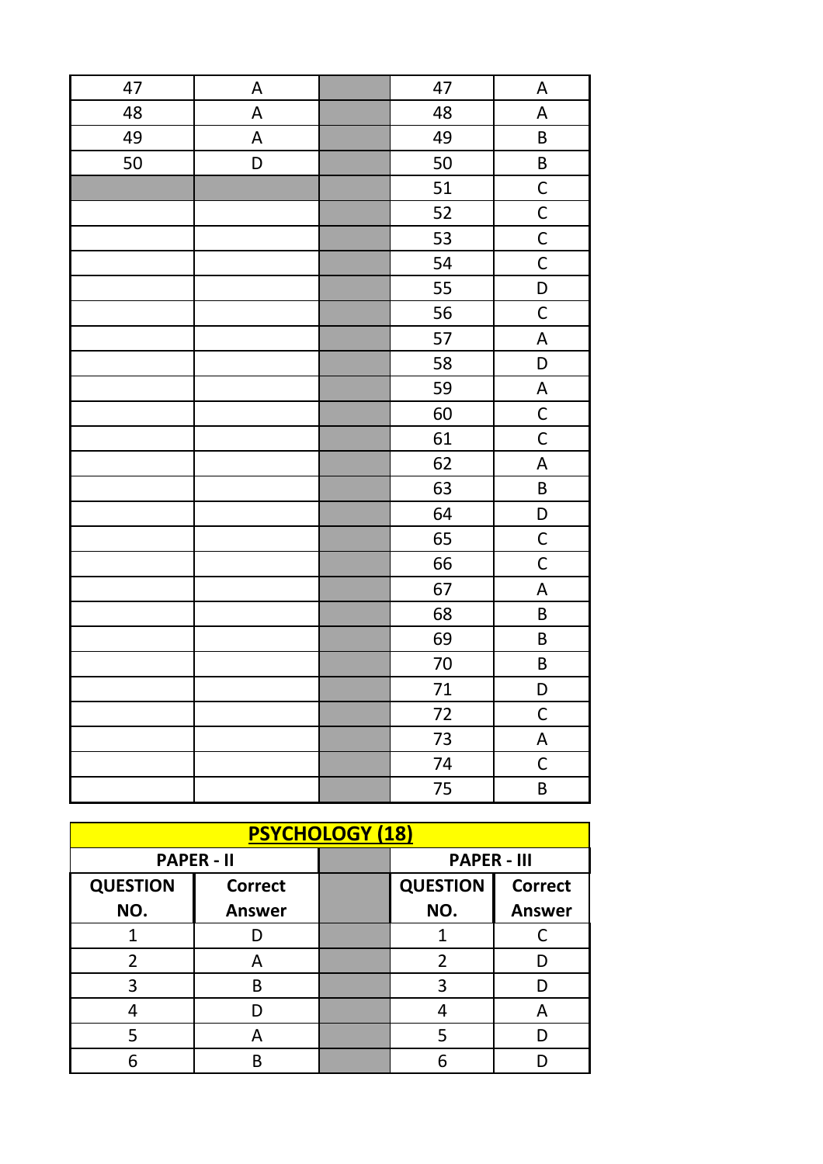| 47 | $\boldsymbol{\mathsf{A}}$ | 47     | A                                |
|----|---------------------------|--------|----------------------------------|
| 48 | A                         | 48     | $\boldsymbol{\mathsf{A}}$        |
| 49 | $\boldsymbol{\mathsf{A}}$ | 49     | $\sf B$                          |
| 50 | D                         | 50     | B                                |
|    |                           | 51     | $\overline{C}$                   |
|    |                           | 52     | $\overline{C}$                   |
|    |                           | 53     | $\mathsf{C}$                     |
|    |                           | 54     | $\mathsf{C}$                     |
|    |                           | 55     | $\begin{array}{c} \n\end{array}$ |
|    |                           | 56     | $\mathsf C$                      |
|    |                           | 57     | $\boldsymbol{\mathsf{A}}$        |
|    |                           | 58     | D                                |
|    |                           | 59     | $\boldsymbol{\mathsf{A}}$        |
|    |                           | 60     | $\mathsf{C}$                     |
|    |                           | 61     | $\mathsf{C}$                     |
|    |                           | 62     | $\boldsymbol{\mathsf{A}}$        |
|    |                           | 63     | $\mathsf B$                      |
|    |                           | 64     | $\mathsf{D}$                     |
|    |                           | 65     | $\mathsf{C}$                     |
|    |                           | 66     | $\mathsf C$                      |
|    |                           | 67     | $\boldsymbol{\mathsf{A}}$        |
|    |                           | 68     | $\sf B$                          |
|    |                           | 69     | $\sf B$                          |
|    |                           | $70\,$ | $\sf B$                          |
|    |                           | 71     | $\mathsf D$                      |
|    |                           | 72     | $\mathsf{C}$                     |
|    |                           | 73     | $\boldsymbol{\mathsf{A}}$        |
|    |                           | 74     | $\mathsf{C}$                     |
|    |                           | 75     | $\sf B$                          |

| <b>PSYCHOLOGY (18)</b> |                   |  |                    |                |
|------------------------|-------------------|--|--------------------|----------------|
|                        | <b>PAPER - II</b> |  | <b>PAPER - III</b> |                |
| <b>QUESTION</b>        | <b>Correct</b>    |  | <b>QUESTION</b>    | <b>Correct</b> |
| NO.                    | <b>Answer</b>     |  | NO.                | <b>Answer</b>  |
|                        |                   |  |                    |                |
| 2                      | А                 |  | 2                  |                |
| 3                      | B                 |  | ੨                  |                |
|                        |                   |  |                    | А              |
|                        |                   |  |                    |                |
|                        | R                 |  |                    |                |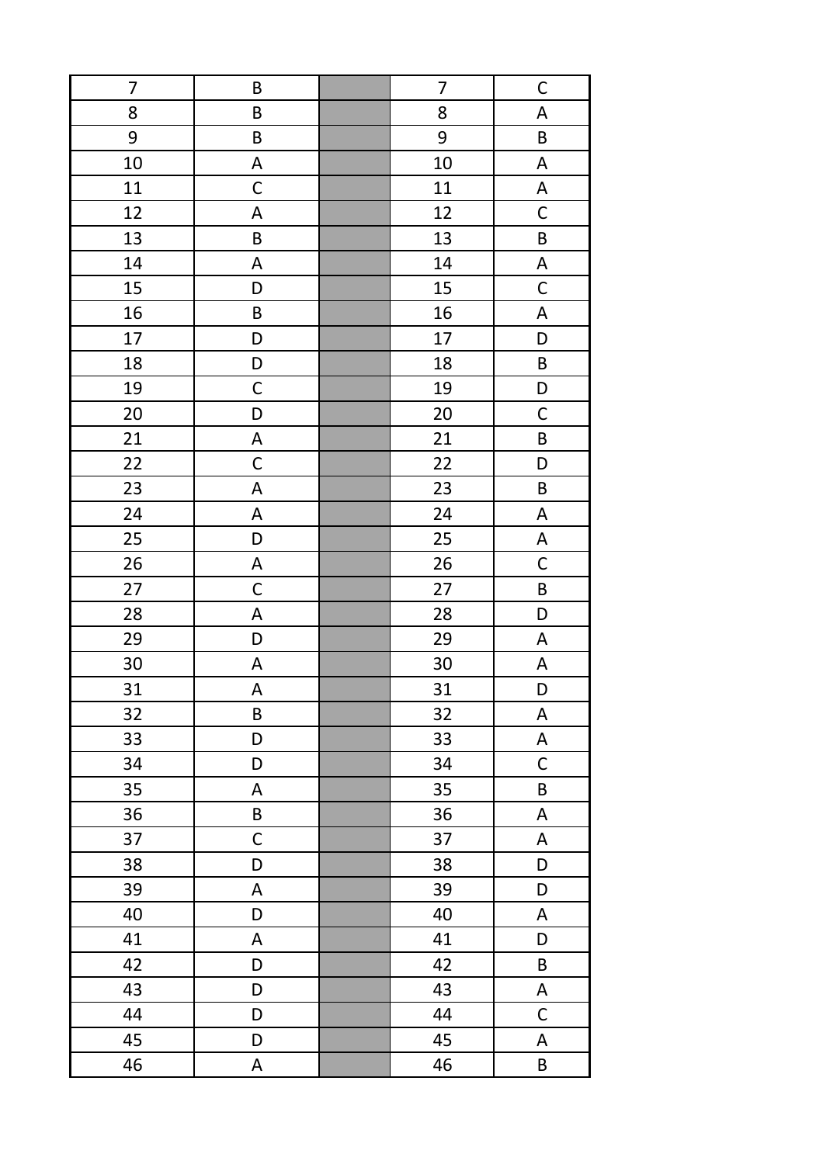| 7  | B                         | 7  | $\mathsf{C}$              |
|----|---------------------------|----|---------------------------|
| 8  | B                         | 8  | $\boldsymbol{\mathsf{A}}$ |
| 9  | $\sf B$                   | 9  | $\sf B$                   |
| 10 | A                         | 10 | $\boldsymbol{\mathsf{A}}$ |
| 11 | $\mathsf C$               | 11 | $\boldsymbol{\mathsf{A}}$ |
| 12 | A                         | 12 | $\mathsf C$               |
| 13 | $\sf B$                   | 13 | $\sf B$                   |
| 14 | A                         | 14 | $\boldsymbol{\mathsf{A}}$ |
| 15 | D                         | 15 | $\mathsf C$               |
| 16 | $\sf B$                   | 16 | A                         |
| 17 | D                         | 17 | D                         |
| 18 | D                         | 18 | B                         |
| 19 | $\mathsf C$               | 19 | D                         |
| 20 | D                         | 20 | $\mathsf C$               |
| 21 | $\mathsf A$               | 21 | $\sf B$                   |
| 22 | $\mathsf C$               | 22 | D                         |
| 23 | $\sf A$                   | 23 | $\sf B$                   |
| 24 | $\mathsf A$               | 24 | $\boldsymbol{\mathsf{A}}$ |
| 25 | D                         | 25 | $\boldsymbol{\mathsf{A}}$ |
| 26 | $\boldsymbol{\mathsf{A}}$ | 26 | $\mathsf{C}$              |
| 27 | $\mathsf C$               | 27 | $\sf B$                   |
| 28 | A                         | 28 | D                         |
| 29 | D                         | 29 | A                         |
| 30 | A                         | 30 | A                         |
| 31 | A                         | 31 | D                         |
| 32 | $\sf B$                   | 32 | $\boldsymbol{\mathsf{A}}$ |
| 33 | D                         | 33 | A                         |
| 34 | D                         | 34 | $\mathsf C$               |
| 35 | A                         | 35 | $\sf B$                   |
| 36 | $\sf B$                   | 36 | $\mathsf A$               |
| 37 | $\mathsf C$               | 37 | $\boldsymbol{\mathsf{A}}$ |
| 38 | D                         | 38 | D                         |
| 39 | $\mathsf A$               | 39 | D                         |
| 40 | D                         | 40 | A                         |
| 41 | A                         | 41 | D                         |
| 42 | D                         | 42 | B                         |
| 43 | D                         | 43 | $\boldsymbol{\mathsf{A}}$ |
| 44 | D                         | 44 | $\mathsf C$               |
| 45 | D                         | 45 | A                         |
| 46 | A                         | 46 | B                         |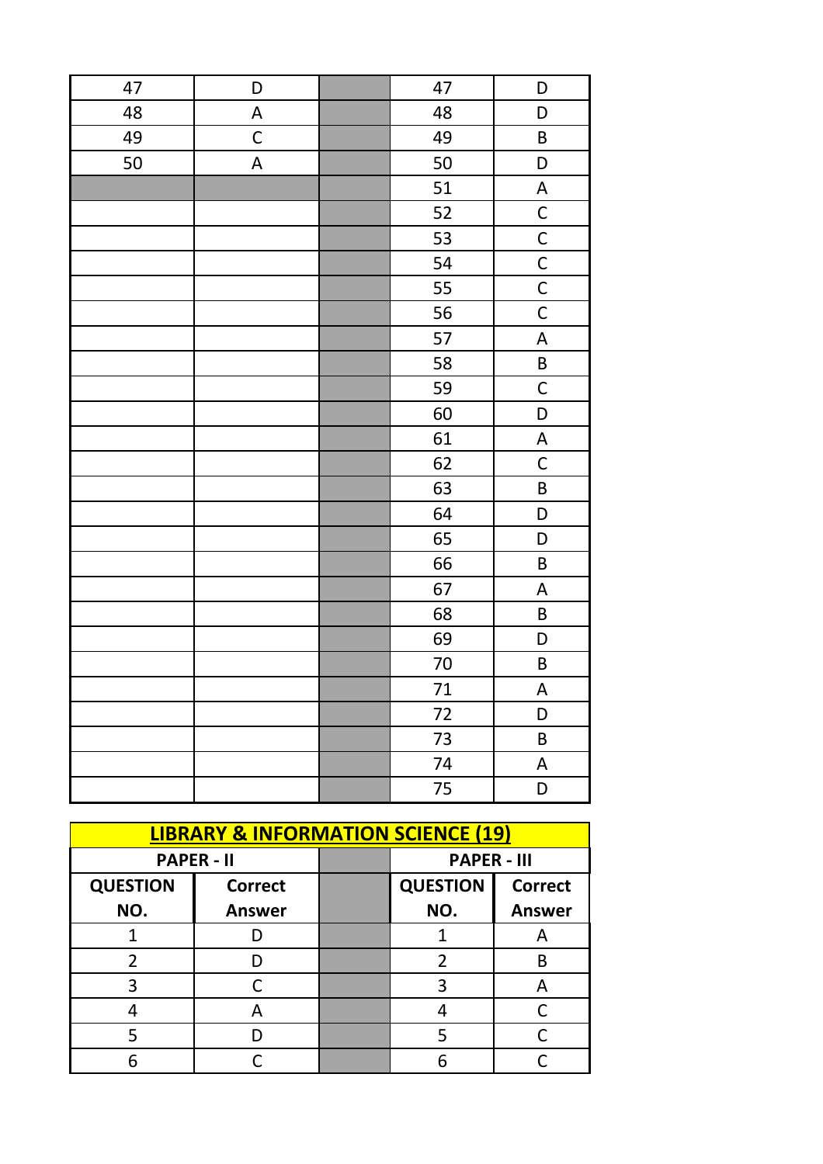| 47 | D                         | 47     | D                                |
|----|---------------------------|--------|----------------------------------|
| 48 | $\boldsymbol{\mathsf{A}}$ | 48     | D                                |
| 49 | $\mathsf C$               | 49     | $\sf B$                          |
| 50 | $\mathsf A$               | 50     | D                                |
|    |                           | 51     | $\boldsymbol{\mathsf{A}}$        |
|    |                           | 52     | $\overline{C}$                   |
|    |                           | 53     | $\overline{C}$                   |
|    |                           | 54     | $\overline{C}$                   |
|    |                           | 55     | $\overline{C}$                   |
|    |                           | 56     | $\mathsf{C}$                     |
|    |                           | 57     | A                                |
|    |                           | 58     | $\sf B$                          |
|    |                           | 59     | $\mathsf C$                      |
|    |                           | 60     | D                                |
|    |                           | 61     | $\boldsymbol{\mathsf{A}}$        |
|    |                           | 62     | $\mathsf{C}$                     |
|    |                           | 63     | $\sf B$                          |
|    |                           | 64     | $\begin{array}{c} \n\end{array}$ |
|    |                           | 65     | $\begin{array}{c} \n\end{array}$ |
|    |                           | 66     | $\sf B$                          |
|    |                           | 67     | $\boldsymbol{\mathsf{A}}$        |
|    |                           | 68     | $\sf B$                          |
|    |                           | 69     | D                                |
|    |                           | $70\,$ | B                                |
|    |                           | 71     | $\boldsymbol{\mathsf{A}}$        |
|    |                           | $72\,$ | D                                |
|    |                           | 73     | $\sf B$                          |
|    |                           | 74     | $\mathsf A$                      |
|    |                           | 75     | D                                |

| <b>LIBRARY &amp; INFORMATION SCIENCE (19)</b> |                   |  |                    |                |
|-----------------------------------------------|-------------------|--|--------------------|----------------|
|                                               | <b>PAPER - II</b> |  | <b>PAPER - III</b> |                |
| <b>QUESTION</b>                               | <b>Correct</b>    |  | <b>QUESTION</b>    | <b>Correct</b> |
| NO.                                           | <b>Answer</b>     |  | NO.                | <b>Answer</b>  |
|                                               |                   |  |                    | А              |
| $\mathfrak{p}$                                |                   |  | 2                  | B              |
| 3                                             |                   |  |                    |                |
|                                               | А                 |  |                    |                |
|                                               |                   |  |                    |                |
|                                               |                   |  |                    |                |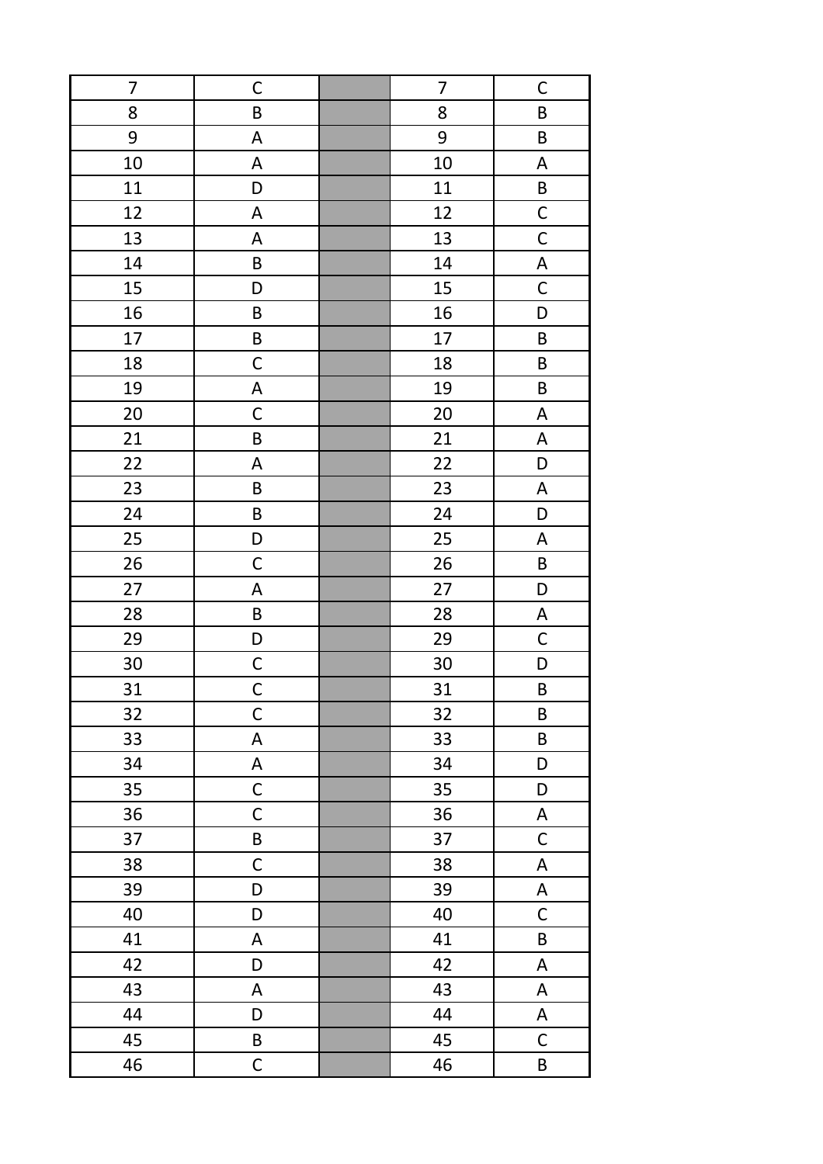| $\overline{7}$ | C                         | 7      | $\mathsf{C}$              |
|----------------|---------------------------|--------|---------------------------|
| 8              | $\sf B$                   | 8      | $\sf B$                   |
| 9              | $\boldsymbol{\mathsf{A}}$ | 9      | $\sf B$                   |
| 10             | A                         | 10     | $\boldsymbol{\mathsf{A}}$ |
| 11             | D                         | 11     | $\sf B$                   |
| 12             | A                         | 12     | $\mathsf{C}$              |
| 13             | A                         | 13     | $\mathsf{C}$              |
| 14             | $\sf B$                   | 14     | $\boldsymbol{\mathsf{A}}$ |
| 15             | D                         | 15     | $\mathsf C$               |
| 16             | $\sf B$                   | 16     | D                         |
| 17             | $\sf B$                   | $17\,$ | $\sf B$                   |
| 18             | $\mathsf C$               | 18     | B                         |
| 19             | A                         | 19     | B                         |
| 20             | $\mathsf C$               | $20\,$ | A                         |
| 21             | B                         | 21     | A                         |
| 22             | A                         | 22     | D                         |
| 23             | $\sf B$                   | 23     | $\boldsymbol{\mathsf{A}}$ |
| 24             | $\sf B$                   | 24     | D                         |
| 25             | D                         | 25     | $\boldsymbol{\mathsf{A}}$ |
| 26             | $\mathsf C$               | 26     | $\sf B$                   |
| 27             | $\mathsf A$               | 27     | D                         |
| 28             | $\sf B$                   | 28     | A                         |
| 29             | D                         | 29     | $\mathsf C$               |
| 30             | $\mathsf C$               | 30     | D                         |
| 31             | $\mathsf C$               | 31     | B                         |
| 32             | $\mathsf C$               | 32     | B                         |
| 33             | $\boldsymbol{\mathsf{A}}$ | 33     | $\sf B$                   |
| 34             | $\boldsymbol{\mathsf{A}}$ | 34     | D                         |
| 35             | $\mathsf C$               | 35     | D                         |
| 36             | $\mathsf C$               | 36     | A                         |
| 37             | B                         | 37     | $\mathsf{C}$              |
| 38             | $\mathsf C$               | 38     | $\boldsymbol{\mathsf{A}}$ |
| 39             | D                         | 39     | A                         |
| 40             | D                         | 40     | $\mathsf C$               |
| 41             | $\mathsf A$               | 41     | $\sf B$                   |
| 42             | D                         | 42     | A                         |
| 43             | $\mathsf A$               | 43     | A                         |
| 44             | D                         | 44     | A                         |
| 45             | $\sf B$                   | 45     | $\mathsf C$               |
| 46             | $\mathsf C$               | 46     | B                         |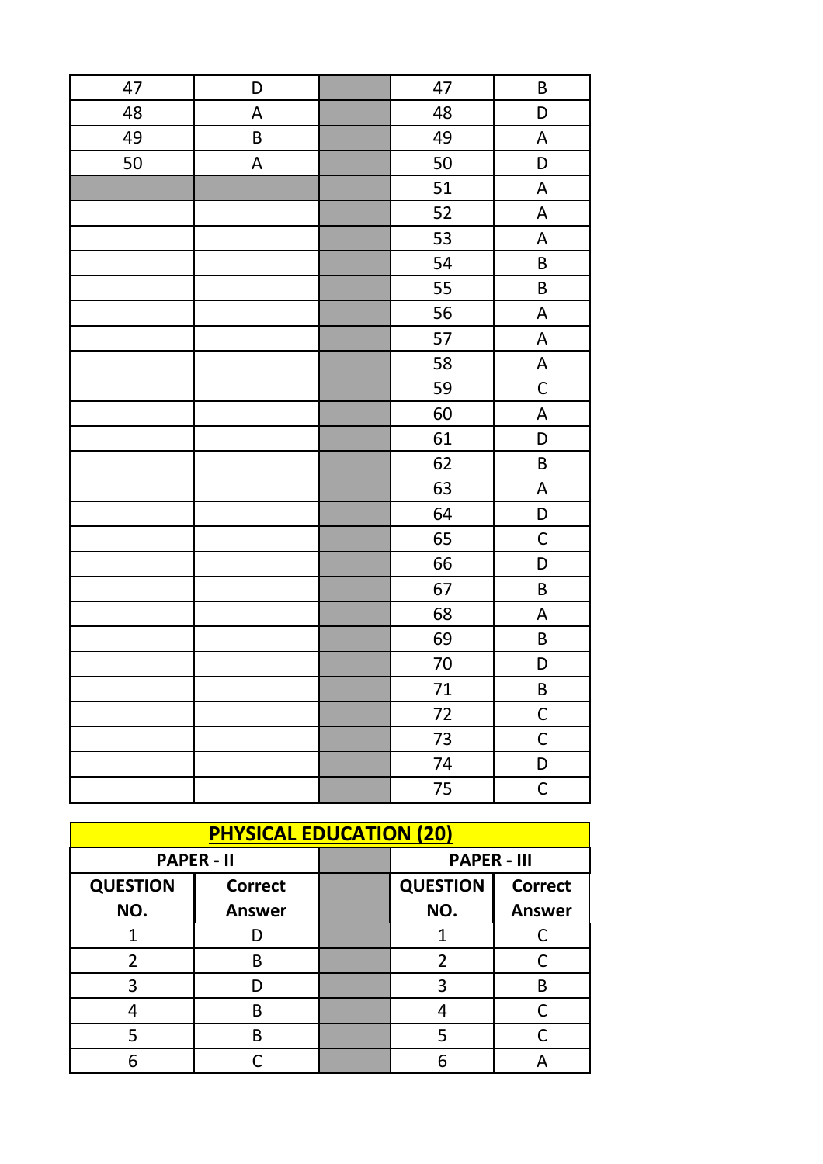| 47 | D           | 47 | $\sf B$                   |
|----|-------------|----|---------------------------|
| 48 | $\mathsf A$ | 48 | D                         |
| 49 | $\sf B$     | 49 | A                         |
| 50 | $\mathsf A$ | 50 | D                         |
|    |             | 51 | $\boldsymbol{\mathsf{A}}$ |
|    |             | 52 | $\mathsf A$               |
|    |             | 53 | $\boldsymbol{\mathsf{A}}$ |
|    |             | 54 | $\sf B$                   |
|    |             | 55 | $\sf B$                   |
|    |             | 56 | $\boldsymbol{\mathsf{A}}$ |
|    |             | 57 | $\boldsymbol{\mathsf{A}}$ |
|    |             | 58 | $\boldsymbol{\mathsf{A}}$ |
|    |             | 59 | $\mathsf C$               |
|    |             | 60 | $\mathsf A$               |
|    |             | 61 | D                         |
|    |             | 62 | $\sf B$                   |
|    |             | 63 | $\boldsymbol{\mathsf{A}}$ |
|    |             | 64 | $\mathsf D$               |
|    |             | 65 | $\mathsf C$               |
|    |             | 66 | D                         |
|    |             | 67 | $\sf B$                   |
|    |             | 68 | $\boldsymbol{\mathsf{A}}$ |
|    |             | 69 | $\sf B$                   |
|    |             | 70 | D                         |
|    |             | 71 | $\sf B$                   |
|    |             | 72 | $\mathsf{C}$              |
|    |             | 73 | $\mathsf C$               |
|    |             | 74 | D                         |
|    |             | 75 | $\mathsf C$               |

| <b>PHYSICAL EDUCATION (20)</b> |                   |  |                    |                |
|--------------------------------|-------------------|--|--------------------|----------------|
|                                | <b>PAPER - II</b> |  | <b>PAPER - III</b> |                |
| <b>QUESTION</b>                | <b>Correct</b>    |  | <b>QUESTION</b>    | <b>Correct</b> |
| NO.                            | <b>Answer</b>     |  | NO.                | <b>Answer</b>  |
|                                |                   |  |                    |                |
| 2                              | В                 |  | 2                  |                |
| 3                              |                   |  | 3                  | В              |
|                                | R                 |  |                    |                |
|                                | В                 |  |                    |                |
|                                |                   |  | հ                  |                |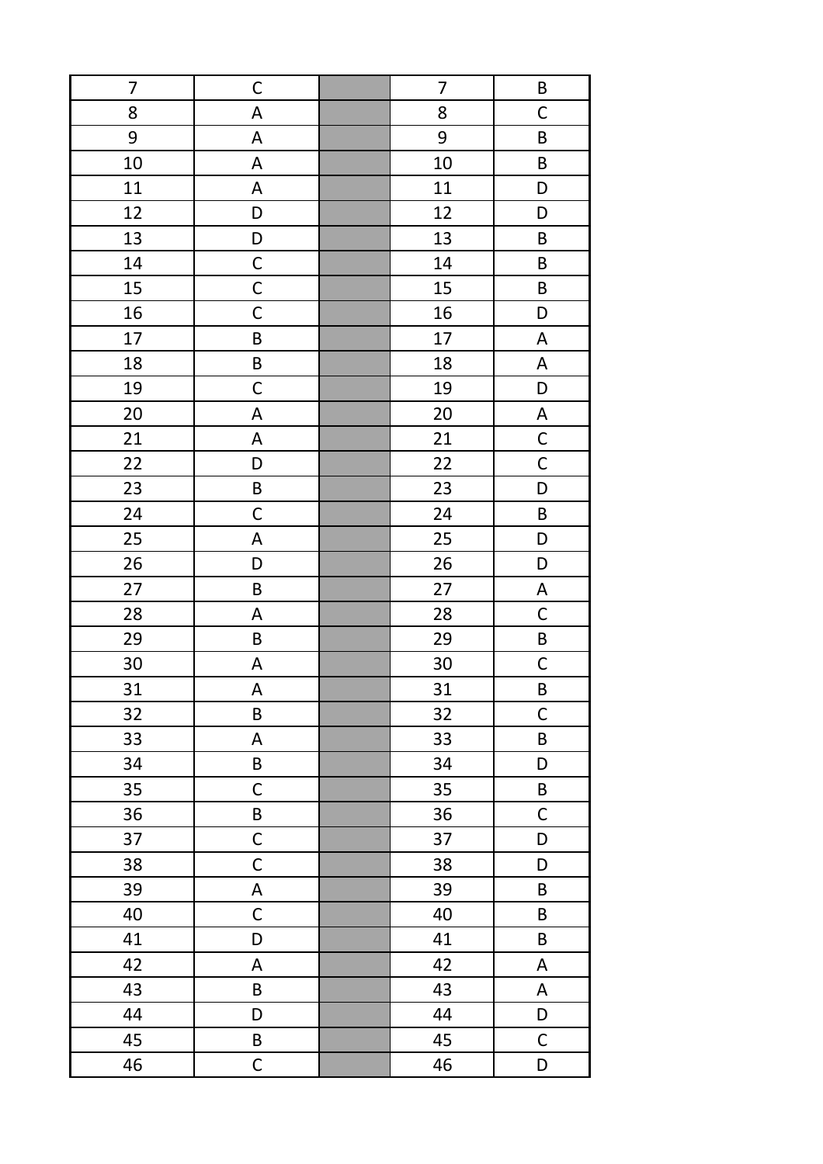| $\overline{7}$ | $\mathsf C$               | $\overline{7}$ | $\sf B$                   |
|----------------|---------------------------|----------------|---------------------------|
| 8              | A                         | 8              | $\mathsf C$               |
| 9              | $\mathsf A$               | 9              | $\sf B$                   |
| 10             | A                         | 10             | $\sf B$                   |
| 11             | $\mathsf A$               | 11             | D                         |
| 12             | D                         | 12             | D                         |
| 13             | D                         | 13             | $\sf B$                   |
| 14             | $\mathsf C$               | 14             | $\sf B$                   |
| 15             | $\mathsf C$               | 15             | B                         |
| 16             | $\mathsf C$               | 16             | D                         |
| 17             | B                         | 17             | A                         |
| 18             | $\sf B$                   | 18             | A                         |
| 19             | $\mathsf C$               | 19             | D                         |
| 20             | A                         | 20             | A                         |
| 21             | $\mathsf A$               | 21             | $\mathsf{C}$              |
| 22             | D                         | 22             | $\mathsf{C}$              |
| 23             | $\sf B$                   | 23             | $\mathsf D$               |
| 24             | $\mathsf C$               | 24             | $\sf B$                   |
| 25             | $\mathsf A$               | 25             | D                         |
| 26             | D                         | 26             | D                         |
| 27             | $\sf B$                   | 27             | $\boldsymbol{\mathsf{A}}$ |
| 28             | A                         | 28             | $\mathsf C$               |
| 29             | $\sf B$                   | 29             | $\sf B$                   |
| 30             | A                         | 30             | $\mathsf{C}$              |
| 31             | $\boldsymbol{\mathsf{A}}$ | 31             | $\sf B$                   |
| 32             | $\sf B$                   | 32             | $\mathsf C$               |
| 33             | $\mathsf A$               | 33             | $\sf B$                   |
| 34             | $\sf B$                   | 34             | D                         |
| 35             | $\mathsf C$               | 35             | $\sf B$                   |
| 36             | $\sf B$                   | 36             | $\mathsf C$               |
| 37             | $\mathsf C$               | 37             | D                         |
| 38             | $\mathsf C$               | 38             | D                         |
| 39             | $\mathsf A$               | 39             | B                         |
| 40             | $\mathsf C$               | 40             | B                         |
| 41             | D                         | 41             | B                         |
| 42             | A                         | 42             | A                         |
| 43             | $\sf B$                   | 43             | A                         |
| 44             | D                         | 44             | D                         |
| 45             | B                         | 45             | $\mathsf C$               |
| 46             | $\mathsf C$               | 46             | D                         |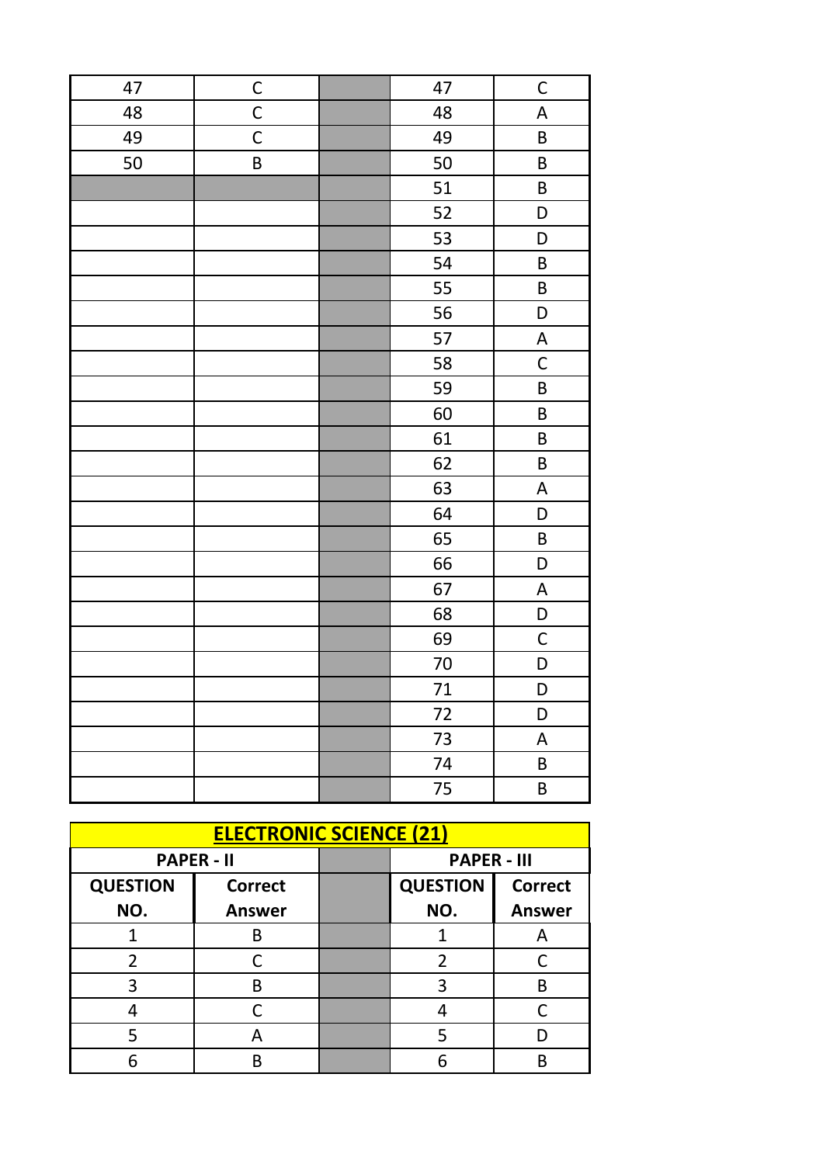| 47 | $\mathsf C$ | 47     | $\mathsf{C}$                     |
|----|-------------|--------|----------------------------------|
| 48 | $\mathsf C$ | 48     | $\boldsymbol{\mathsf{A}}$        |
| 49 | $\mathsf C$ | 49     | B                                |
| 50 | $\sf B$     | 50     | $\sf B$                          |
|    |             | 51     | B                                |
|    |             | 52     | D                                |
|    |             | 53     | D                                |
|    |             | 54     | $\sf B$                          |
|    |             | 55     | B                                |
|    |             | 56     | D                                |
|    |             | 57     | $\boldsymbol{\mathsf{A}}$        |
|    |             | 58     | $\mathsf C$                      |
|    |             | 59     | $\sf B$                          |
|    |             | 60     | $\sf B$                          |
|    |             | 61     | B                                |
|    |             | 62     | $\sf B$                          |
|    |             | 63     | $\boldsymbol{\mathsf{A}}$        |
|    |             | 64     | $\begin{array}{c} \n\end{array}$ |
|    |             | 65     | $\sf B$                          |
|    |             | 66     | D                                |
|    |             | 67     | $\boldsymbol{\mathsf{A}}$        |
|    |             | 68     | $\mathsf D$                      |
|    |             | 69     | $\mathsf{C}$                     |
|    |             | $70\,$ | D                                |
|    |             | 71     | D                                |
|    |             | 72     | D                                |
|    |             | 73     | $\boldsymbol{\mathsf{A}}$        |
|    |             | 74     | $\sf B$                          |
|    |             | 75     | $\sf B$                          |

| <b>ELECTRONIC SCIENCE (21)</b> |                   |  |                    |                |
|--------------------------------|-------------------|--|--------------------|----------------|
|                                | <b>PAPER - II</b> |  | <b>PAPER - III</b> |                |
| <b>QUESTION</b>                | <b>Correct</b>    |  | <b>QUESTION</b>    | <b>Correct</b> |
| NO.                            | <b>Answer</b>     |  | NO.                | <b>Answer</b>  |
|                                | B                 |  |                    | А              |
| $\overline{2}$                 |                   |  | 2                  |                |
| 3                              | R                 |  | 3                  | В              |
|                                |                   |  |                    |                |
| 5                              | A                 |  | 5                  |                |
|                                | R                 |  | հ                  | R              |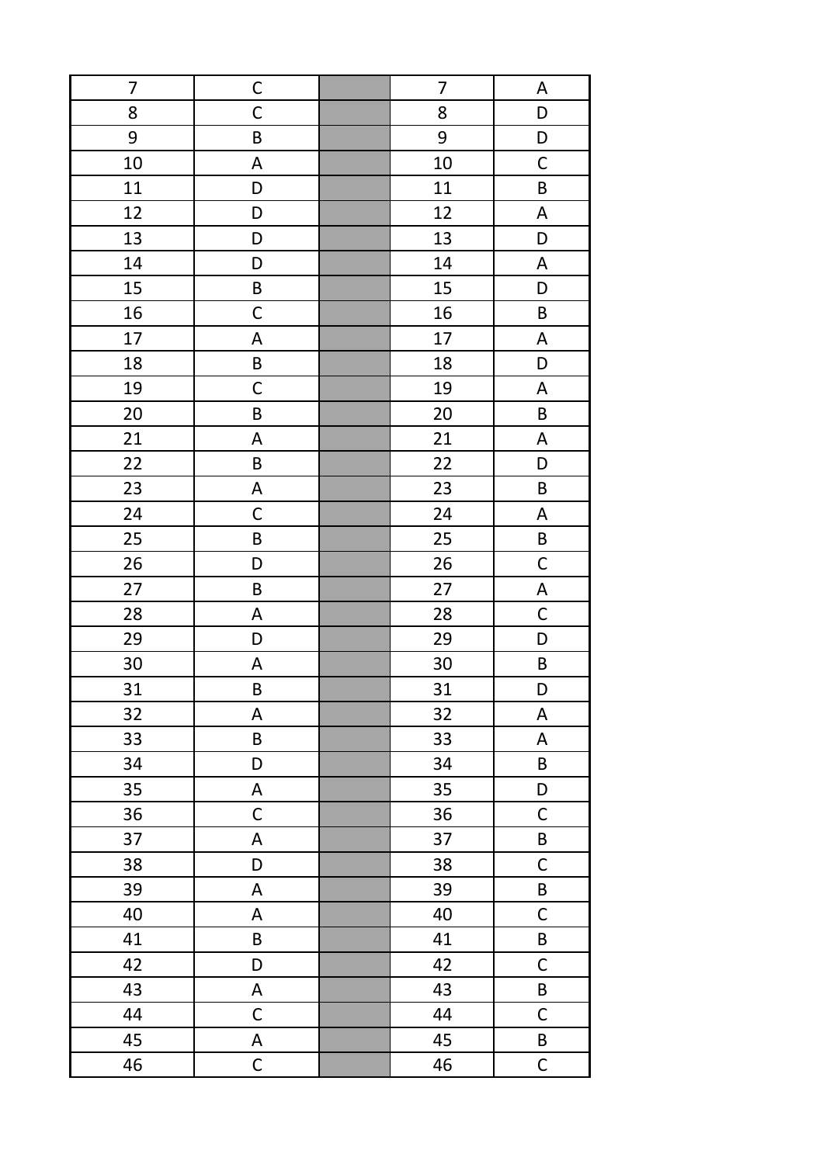| $\overline{7}$ | C                         | 7      | A                         |
|----------------|---------------------------|--------|---------------------------|
| 8              | $\mathsf C$               | 8      | D                         |
| 9              | $\sf B$                   | 9      | D                         |
| 10             | A                         | 10     | $\mathsf C$               |
| 11             | D                         | 11     | $\sf B$                   |
| 12             | D                         | 12     | $\mathsf A$               |
| 13             | D                         | 13     | D                         |
| 14             | D                         | 14     | A                         |
| 15             | $\sf B$                   | 15     | D                         |
| 16             | $\mathsf C$               | 16     | $\sf B$                   |
| 17             | A                         | 17     | A                         |
| 18             | $\sf B$                   | 18     | D                         |
| 19             | $\mathsf C$               | 19     | $\boldsymbol{\mathsf{A}}$ |
| 20             | $\sf B$                   | $20\,$ | $\sf B$                   |
| 21             | $\mathsf A$               | 21     | $\boldsymbol{\mathsf{A}}$ |
| 22             | $\sf B$                   | 22     | D                         |
| 23             | $\sf A$                   | 23     | $\sf B$                   |
| 24             | $\mathsf C$               | 24     | $\boldsymbol{\mathsf{A}}$ |
| 25             | $\sf B$                   | 25     | $\sf B$                   |
| 26             | D                         | 26     | $\mathsf C$               |
| 27             | $\sf B$                   | 27     | $\boldsymbol{\mathsf{A}}$ |
| 28             | $\mathsf A$               | 28     | $\mathsf C$               |
| 29             | D                         | 29     | D                         |
| 30             | A                         | 30     | B                         |
| 31             | $\sf B$                   | 31     | D                         |
| 32             | A                         | 32     | $\mathsf A$               |
| 33             | $\sf B$                   | 33     | $\boldsymbol{\mathsf{A}}$ |
| 34             | D                         | 34     | B                         |
| 35             | A                         | 35     | D                         |
| 36             | $\mathsf C$               | 36     | $\mathsf C$               |
| 37             | $\mathsf A$               | 37     | $\sf B$                   |
| 38             | D                         | 38     | $\mathsf C$               |
| 39             | $\mathsf A$               | 39     | $\sf B$                   |
| 40             | A                         | 40     | $\mathsf C$               |
| 41             | $\sf B$                   | 41     | $\sf B$                   |
| 42             | D                         | 42     | $\mathsf C$               |
| 43             | $\boldsymbol{\mathsf{A}}$ | 43     | B                         |
| 44             | $\mathsf C$               | 44     | $\mathsf C$               |
| 45             | $\sf A$                   | 45     | B                         |
| 46             | $\mathsf C$               | 46     | $\mathsf C$               |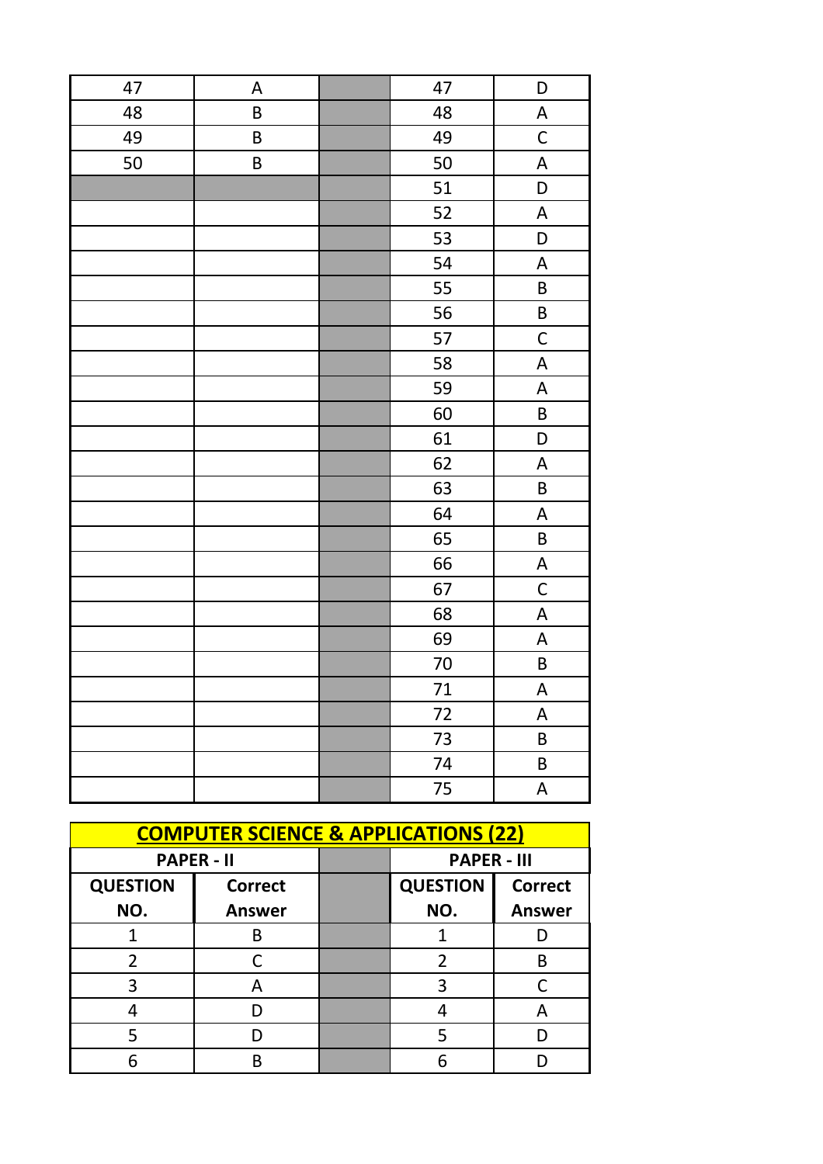| 47 | $\boldsymbol{\mathsf{A}}$ | 47              | D                                |
|----|---------------------------|-----------------|----------------------------------|
| 48 | $\sf B$                   | 48              | $\boldsymbol{\mathsf{A}}$        |
| 49 | $\sf B$                   | 49              | $\mathsf C$                      |
| 50 | $\sf B$                   | 50              | $\boldsymbol{\mathsf{A}}$        |
|    |                           | 51              | D                                |
|    |                           | 52              | $\boldsymbol{\mathsf{A}}$        |
|    |                           | 53              | D                                |
|    |                           | 54              | $\boldsymbol{\mathsf{A}}$        |
|    |                           | 55              | $\sf B$                          |
|    |                           | 56              | $\sf B$                          |
|    |                           | 57              | $\mathsf C$                      |
|    |                           | 58              | A                                |
|    |                           | 59              | $\boldsymbol{\mathsf{A}}$        |
|    |                           | 60              | $\sf B$                          |
|    |                           | 61              | $\begin{array}{c} \n\end{array}$ |
|    |                           | 62              | $\boldsymbol{\mathsf{A}}$        |
|    |                           | 63              | $\sf B$                          |
|    |                           | 64              | $\boldsymbol{\mathsf{A}}$        |
|    |                           | 65              | $\sf B$                          |
|    |                           | 66              | $\boldsymbol{\mathsf{A}}$        |
|    |                           | 67              | $\mathsf C$                      |
|    |                           | 68              | $\boldsymbol{\mathsf{A}}$        |
|    |                           | 69              | $\boldsymbol{\mathsf{A}}$        |
|    |                           | $70\,$          | $\sf B$                          |
|    |                           | 71              | A                                |
|    |                           | $\overline{7}2$ | $\boldsymbol{\mathsf{A}}$        |
|    |                           | 73              | $\sf B$                          |
|    |                           | 74              | $\sf B$                          |
|    |                           | 75              | $\boldsymbol{\mathsf{A}}$        |

| <b>COMPUTER SCIENCE &amp; APPLICATIONS (22)</b> |                   |  |                    |                |
|-------------------------------------------------|-------------------|--|--------------------|----------------|
|                                                 | <b>PAPER - II</b> |  | <b>PAPER - III</b> |                |
| <b>QUESTION</b>                                 | <b>Correct</b>    |  | <b>QUESTION</b>    | <b>Correct</b> |
| NO.                                             | <b>Answer</b>     |  | NO.                | <b>Answer</b>  |
|                                                 | B                 |  |                    |                |
| 2                                               |                   |  | 2                  | R              |
| 3                                               | А                 |  |                    |                |
|                                                 |                   |  |                    | А              |
|                                                 |                   |  |                    |                |
|                                                 |                   |  |                    |                |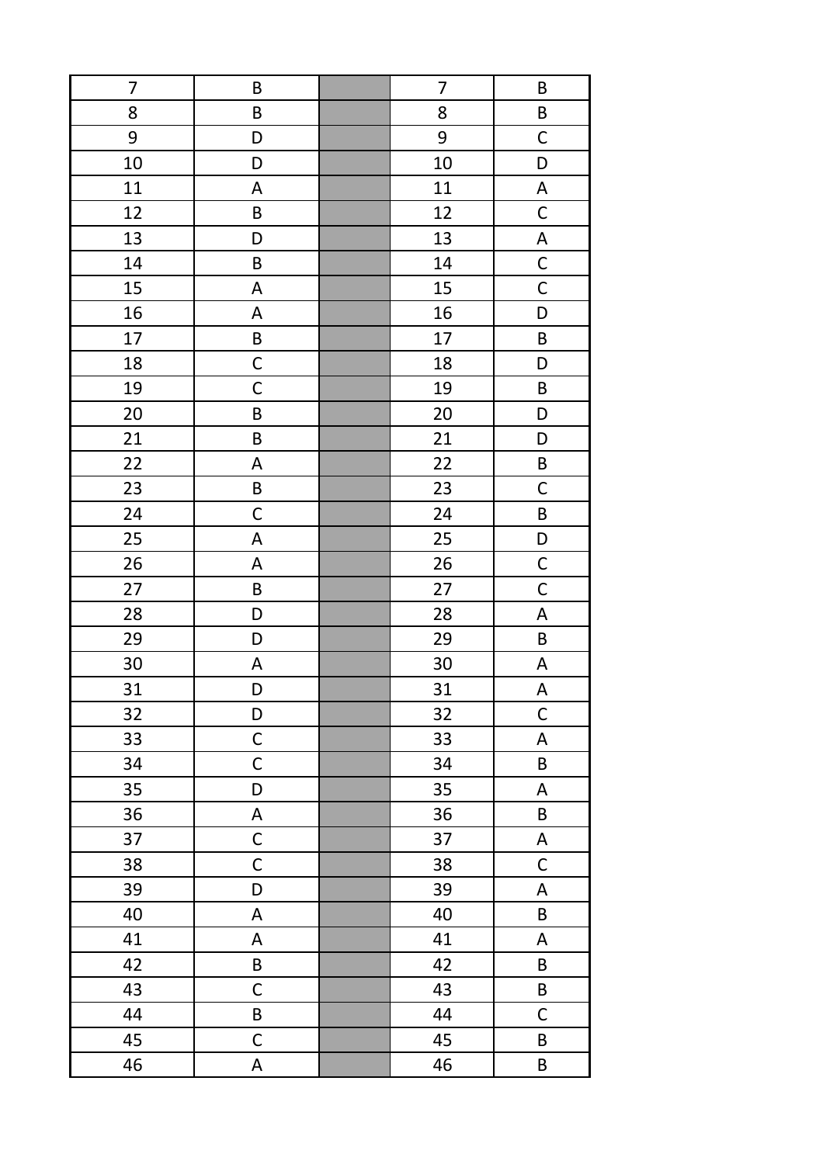| 7  | B                         | 7  | B                         |
|----|---------------------------|----|---------------------------|
| 8  | B                         | 8  | B                         |
| 9  | D                         | 9  | $\mathsf C$               |
| 10 | D                         | 10 | D                         |
| 11 | $\boldsymbol{\mathsf{A}}$ | 11 | $\boldsymbol{\mathsf{A}}$ |
| 12 | $\sf B$                   | 12 | $\mathsf C$               |
| 13 | D                         | 13 | $\boldsymbol{\mathsf{A}}$ |
| 14 | $\sf B$                   | 14 | $\mathsf{C}$              |
| 15 | $\mathsf A$               | 15 | $\mathsf{C}$              |
| 16 | A                         | 16 | D                         |
| 17 | $\sf B$                   | 17 | $\sf B$                   |
| 18 | $\mathsf C$               | 18 | D                         |
| 19 | $\mathsf C$               | 19 | B                         |
| 20 | $\sf B$                   | 20 | D                         |
| 21 | B                         | 21 | D                         |
| 22 | A                         | 22 | $\sf B$                   |
| 23 | $\sf B$                   | 23 | $\mathsf C$               |
| 24 | $\mathsf C$               | 24 | $\sf B$                   |
| 25 | $\mathsf A$               | 25 | $\mathsf D$               |
| 26 | A                         | 26 | $\mathsf{C}$              |
| 27 | $\sf B$                   | 27 | $\mathsf C$               |
| 28 | D                         | 28 | $\boldsymbol{\mathsf{A}}$ |
| 29 | D                         | 29 | $\sf B$                   |
| 30 | A                         | 30 | $\boldsymbol{\mathsf{A}}$ |
| 31 | D                         | 31 | A                         |
| 32 | D                         | 32 | $\mathsf C$               |
| 33 | $\mathsf C$               | 33 | $\boldsymbol{\mathsf{A}}$ |
| 34 | $\mathsf C$               | 34 | $\sf B$                   |
| 35 | D                         | 35 | $\boldsymbol{\mathsf{A}}$ |
| 36 | $\mathsf A$               | 36 | $\sf B$                   |
| 37 | $\mathsf{C}$              | 37 | $\boldsymbol{\mathsf{A}}$ |
| 38 | $\mathsf C$               | 38 | $\mathsf C$               |
| 39 | D                         | 39 | A                         |
| 40 | A                         | 40 | B                         |
| 41 | A                         | 41 | A                         |
| 42 | $\sf B$                   | 42 | B                         |
| 43 | $\mathsf C$               | 43 | B                         |
| 44 | $\sf B$                   | 44 | $\mathsf C$               |
| 45 | $\mathsf C$               | 45 | B                         |
| 46 | A                         | 46 | B                         |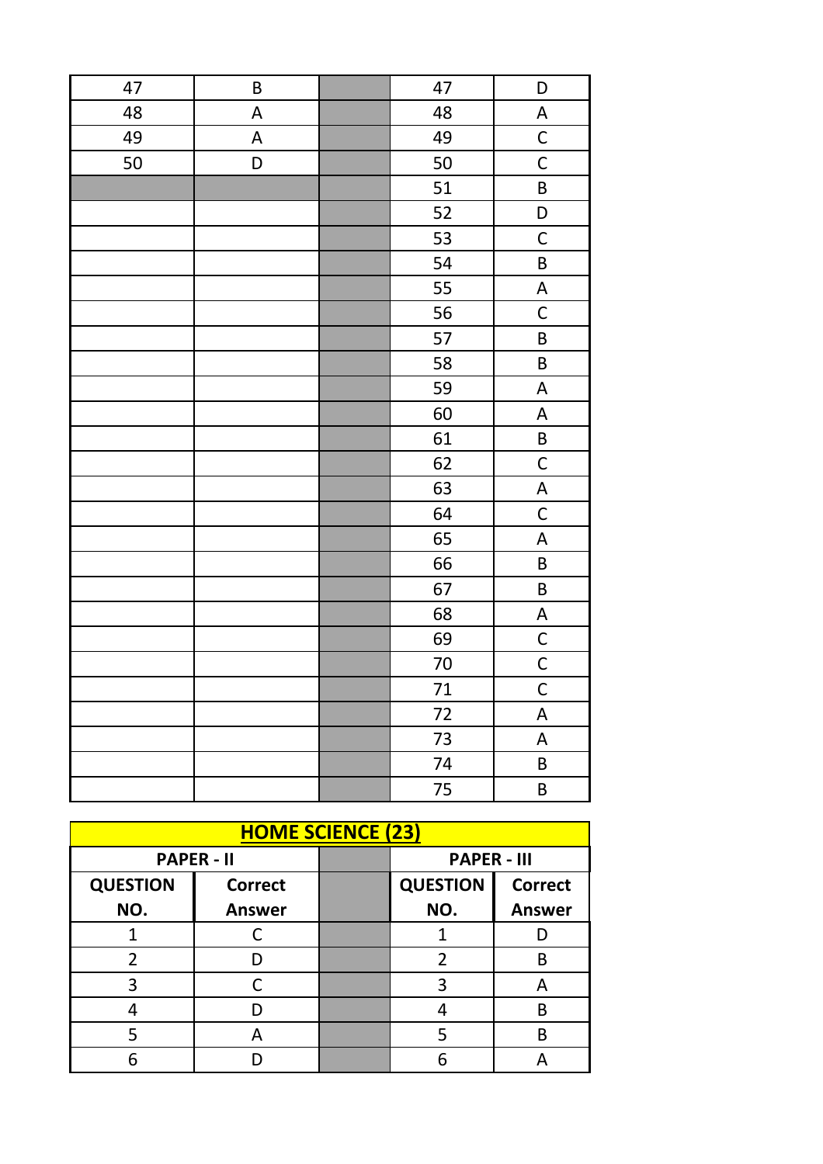| 47 | $\sf B$                   | 47              | D                         |
|----|---------------------------|-----------------|---------------------------|
| 48 | $\mathsf A$               | 48              | A                         |
| 49 | $\boldsymbol{\mathsf{A}}$ | 49              | $\mathsf{C}$              |
| 50 | D                         | 50              | $\mathsf C$               |
|    |                           | 51              | B                         |
|    |                           | 52              | D                         |
|    |                           | 53              | $\mathsf C$               |
|    |                           | 54              | $\sf B$                   |
|    |                           | 55              | $\boldsymbol{\mathsf{A}}$ |
|    |                           | 56              | $\mathsf C$               |
|    |                           | 57              | $\sf B$                   |
|    |                           | 58              | $\sf B$                   |
|    |                           | 59              | $\boldsymbol{\mathsf{A}}$ |
|    |                           | 60              | $\boldsymbol{\mathsf{A}}$ |
|    |                           | 61              | $\mathsf B$               |
|    |                           | 62              | $\mathsf C$               |
|    |                           | 63              | $\boldsymbol{\mathsf{A}}$ |
|    |                           | 64              | $\mathsf C$               |
|    |                           | 65              | $\boldsymbol{\mathsf{A}}$ |
|    |                           | 66              | $\sf B$                   |
|    |                           | 67              | $\sf B$                   |
|    |                           | 68              | $\boldsymbol{\mathsf{A}}$ |
|    |                           | 69              | $\mathsf{C}$              |
|    |                           | $70\,$          | $\overline{C}$            |
|    |                           | 71              | $\overline{\mathsf{C}}$   |
|    |                           | $\overline{7}2$ | $\boldsymbol{\mathsf{A}}$ |
|    |                           | 73              | $\boldsymbol{\mathsf{A}}$ |
|    |                           | 74              | $\sf B$                   |
|    |                           | 75              | $\sf B$                   |

| <b>HOME SCIENCE (23)</b> |                   |  |                    |                |
|--------------------------|-------------------|--|--------------------|----------------|
|                          | <b>PAPER - II</b> |  | <b>PAPER - III</b> |                |
| <b>QUESTION</b>          | <b>Correct</b>    |  | <b>QUESTION</b>    | <b>Correct</b> |
| NO.                      | <b>Answer</b>     |  | NO.                | <b>Answer</b>  |
|                          |                   |  |                    |                |
| 2                        |                   |  | 2                  | B              |
| 3                        |                   |  | २                  | А              |
|                          |                   |  |                    | В              |
|                          | А                 |  |                    | B              |
|                          |                   |  |                    |                |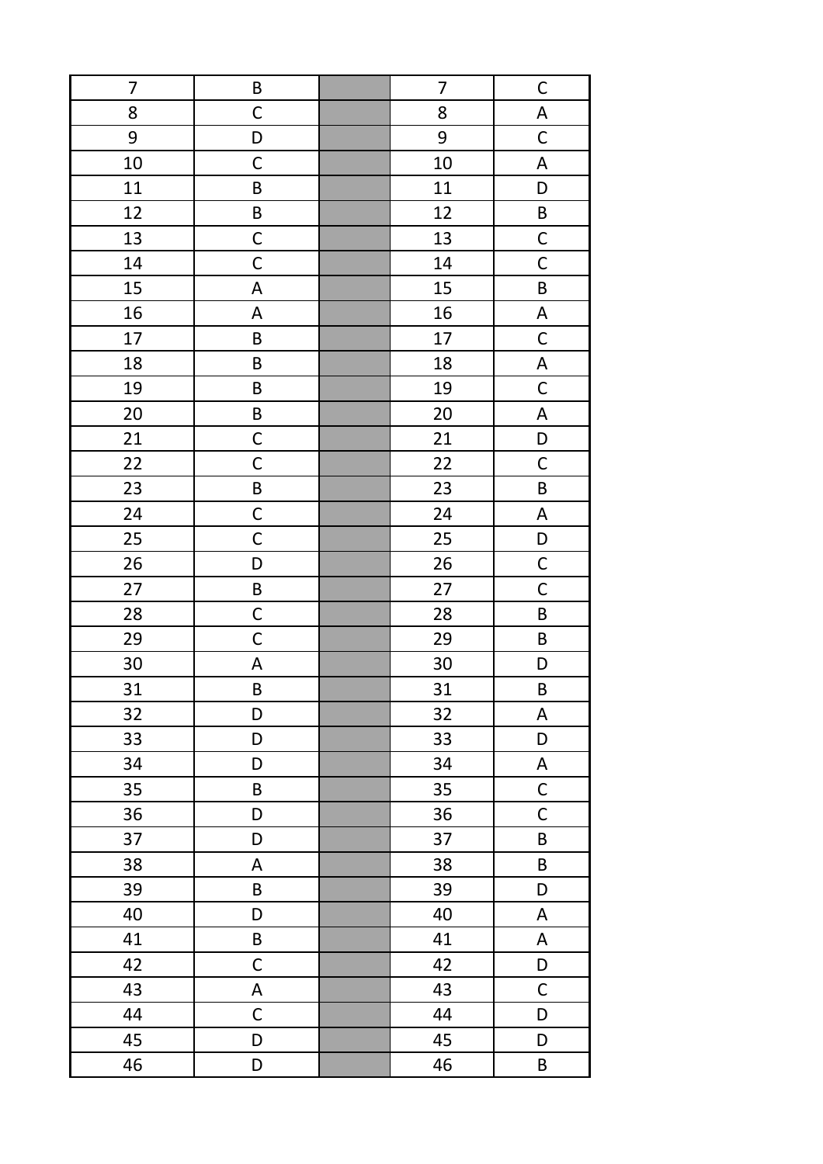| 7  | B                         | 7  | $\mathsf{C}$                     |
|----|---------------------------|----|----------------------------------|
| 8  | $\mathsf C$               | 8  | $\overline{\mathsf{A}}$          |
| 9  | D                         | 9  | $\mathsf C$                      |
| 10 | $\mathsf C$               | 10 | $\boldsymbol{\mathsf{A}}$        |
| 11 | $\sf B$                   | 11 | $\begin{array}{c} \n\end{array}$ |
| 12 | $\sf B$                   | 12 | $\sf B$                          |
| 13 | $\mathsf C$               | 13 | $\mathsf{C}$                     |
| 14 | $\mathsf C$               | 14 | $\mathsf C$                      |
| 15 | $\boldsymbol{\mathsf{A}}$ | 15 | $\sf B$                          |
| 16 | A                         | 16 | A                                |
| 17 | $\sf B$                   | 17 | $\mathsf C$                      |
| 18 | B                         | 18 | $\boldsymbol{\mathsf{A}}$        |
| 19 | $\sf B$                   | 19 | $\mathsf C$                      |
| 20 | $\sf B$                   | 20 | $\boldsymbol{\mathsf{A}}$        |
| 21 | $\mathsf C$               | 21 | D                                |
| 22 | $\mathsf C$               | 22 | $\mathsf C$                      |
| 23 | $\sf B$                   | 23 | $\sf B$                          |
| 24 | $\mathsf C$               | 24 | $\boldsymbol{\mathsf{A}}$        |
| 25 | $\mathsf C$               | 25 | $\mathsf D$                      |
| 26 | D                         | 26 | $\mathsf{C}$                     |
| 27 | $\sf B$                   | 27 | $\mathsf C$                      |
| 28 | $\mathsf C$               | 28 | $\sf B$                          |
| 29 | $\mathsf C$               | 29 | $\sf B$                          |
| 30 | A                         | 30 | D                                |
| 31 | $\sf B$                   | 31 | B                                |
| 32 | D                         | 32 | $\mathsf A$                      |
| 33 | D                         | 33 | D                                |
| 34 | D                         | 34 | A                                |
| 35 | $\sf B$                   | 35 | $\mathsf C$                      |
| 36 | D                         | 36 | $\mathsf C$                      |
| 37 | D                         | 37 | $\sf B$                          |
| 38 | A                         | 38 | $\sf B$                          |
| 39 | $\sf B$                   | 39 | D                                |
| 40 | D                         | 40 | A                                |
| 41 | $\sf B$                   | 41 | A                                |
| 42 | $\mathsf C$               | 42 | D                                |
| 43 | $\boldsymbol{\mathsf{A}}$ | 43 | $\mathsf C$                      |
| 44 | $\mathsf C$               | 44 | D                                |
| 45 | D                         | 45 | D                                |
| 46 | D                         | 46 | B                                |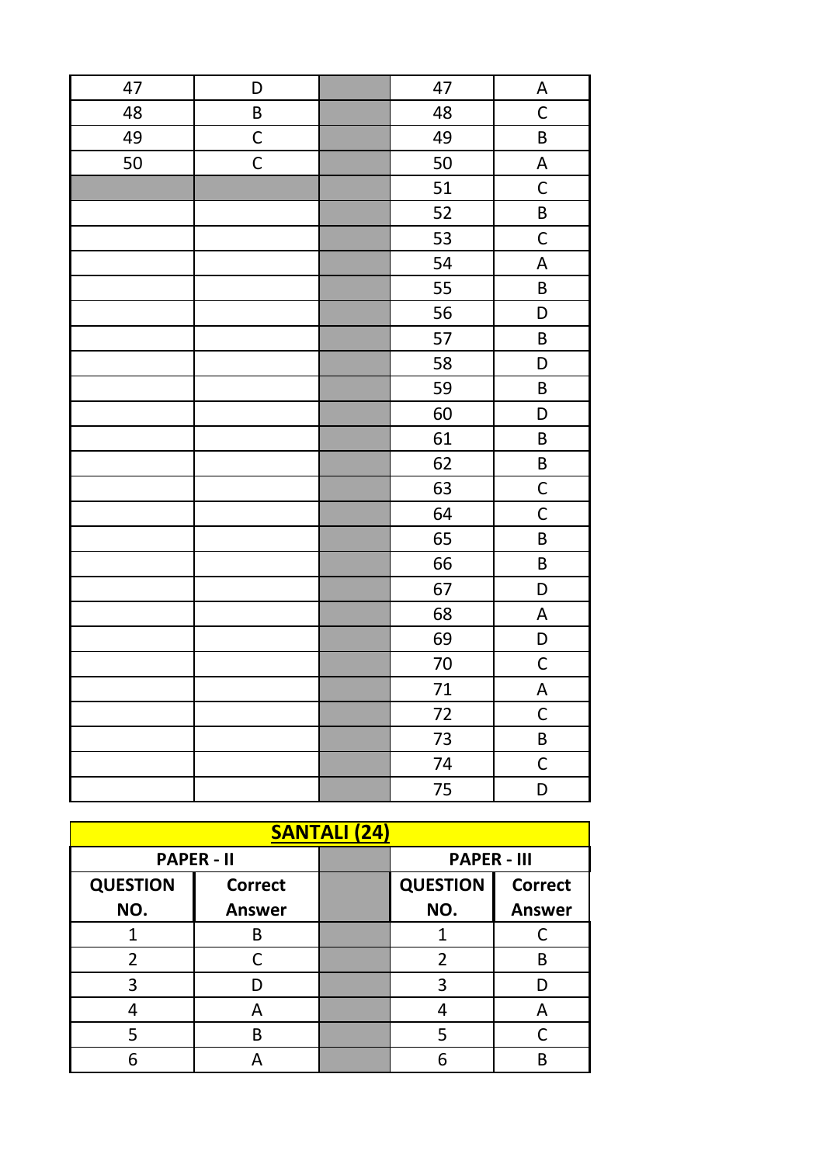| 47 | D           | 47     | A                                |
|----|-------------|--------|----------------------------------|
| 48 | $\sf B$     | 48     | $\mathsf C$                      |
| 49 | $\mathsf C$ | 49     | $\sf B$                          |
| 50 | $\mathsf C$ | 50     | $\boldsymbol{\mathsf{A}}$        |
|    |             | 51     | $\mathsf{C}$                     |
|    |             | 52     | B                                |
|    |             | 53     | $\mathsf C$                      |
|    |             | 54     | $\boldsymbol{\mathsf{A}}$        |
|    |             | 55     | B                                |
|    |             | 56     | D                                |
|    |             | 57     | $\sf B$                          |
|    |             | 58     | D                                |
|    |             | 59     | $\sf B$                          |
|    |             | 60     | D                                |
|    |             | 61     | $\sf B$                          |
|    |             | 62     | $\sf B$                          |
|    |             | 63     | $\mathsf C$                      |
|    |             | 64     | $\mathsf C$                      |
|    |             | 65     | $\sf B$                          |
|    |             | 66     | $\sf B$                          |
|    |             | 67     | $\begin{array}{c} \n\end{array}$ |
|    |             | 68     | $\boldsymbol{\mathsf{A}}$        |
|    |             | 69     | $\mathsf D$                      |
|    |             | $70\,$ | $\mathsf{C}$                     |
|    |             | $71\,$ | $\boldsymbol{\mathsf{A}}$        |
|    |             | $72\,$ | $\mathsf{C}$                     |
|    |             | 73     | $\sf B$                          |
|    |             | 74     | $\mathsf C$                      |
|    |             | 75     | D                                |

| <b>SANTALI (24)</b> |                   |  |                    |                |
|---------------------|-------------------|--|--------------------|----------------|
|                     | <b>PAPER - II</b> |  | <b>PAPER - III</b> |                |
| <b>QUESTION</b>     | <b>Correct</b>    |  | <b>QUESTION</b>    | <b>Correct</b> |
| NO.                 | <b>Answer</b>     |  | NO.                | <b>Answer</b>  |
|                     | B                 |  |                    |                |
| $\overline{2}$      |                   |  | 2                  | R              |
| 3                   |                   |  |                    |                |
|                     | A                 |  |                    | Α              |
|                     | B                 |  |                    |                |
|                     |                   |  |                    |                |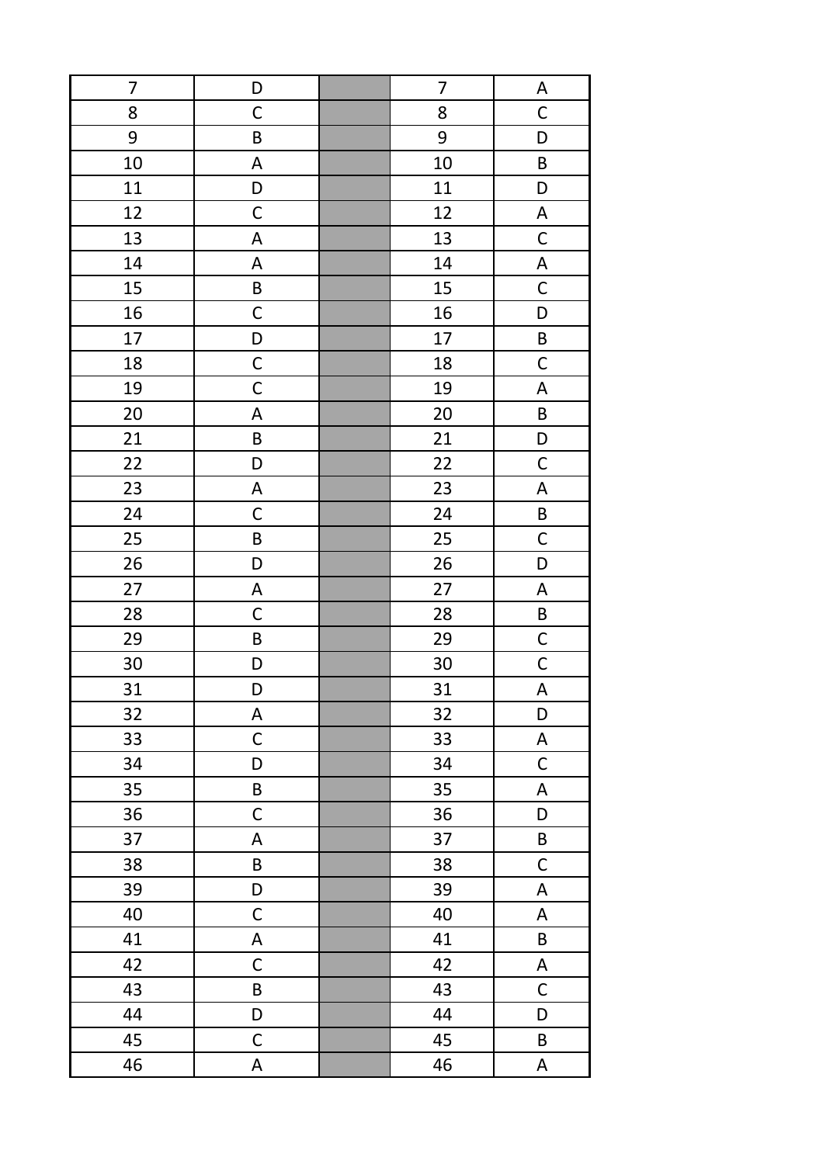| $\overline{7}$ | D           | $\overline{7}$ | A                         |
|----------------|-------------|----------------|---------------------------|
| 8              | $\mathsf C$ | 8              | $\mathsf C$               |
| 9              | $\sf B$     | 9              | D                         |
| 10             | A           | 10             | $\sf B$                   |
| 11             | D           | 11             | D                         |
| 12             | $\mathsf C$ | 12             | $\boldsymbol{\mathsf{A}}$ |
| 13             | A           | 13             | $\mathsf C$               |
| 14             | A           | 14             | $\boldsymbol{\mathsf{A}}$ |
| 15             | $\sf B$     | 15             | $\mathsf C$               |
| 16             | $\mathsf C$ | 16             | D                         |
| 17             | D           | 17             | $\sf B$                   |
| 18             | $\mathsf C$ | 18             | $\mathsf C$               |
| 19             | $\mathsf C$ | 19             | $\boldsymbol{\mathsf{A}}$ |
| 20             | A           | 20             | $\sf B$                   |
| 21             | $\sf B$     | 21             | $\mathsf D$               |
| 22             | D           | 22             | $\mathsf C$               |
| 23             | $\mathsf A$ | 23             | $\boldsymbol{\mathsf{A}}$ |
| 24             | $\mathsf C$ | 24             | $\sf B$                   |
| 25             | $\sf B$     | 25             | $\mathsf C$               |
| 26             | D           | 26             | D                         |
| 27             | A           | 27             | $\boldsymbol{\mathsf{A}}$ |
| 28             | $\mathsf C$ | 28             | $\sf B$                   |
| 29             | $\sf B$     | 29             | $\mathsf{C}$              |
| 30             | D           | 30             | $\mathsf{C}$              |
| 31             | D           | 31             | $\boldsymbol{\mathsf{A}}$ |
| 32             | A           | 32             | D                         |
| 33             | $\mathsf C$ | 33             | A                         |
| 34             | D           | 34             | $\mathsf C$               |
| 35             | B           | 35             | $\mathsf A$               |
| 36             | $\mathsf C$ | 36             | D                         |
| 37             | A           | 37             | $\sf B$                   |
| 38             | B           | 38             | $\mathsf C$               |
| 39             | D           | 39             | A                         |
| 40             | $\mathsf C$ | 40             | A                         |
| 41             | $\mathsf A$ | 41             | B                         |
| 42             | $\mathsf C$ | 42             | A                         |
| 43             | $\sf B$     | 43             | $\mathsf C$               |
| 44             | D           | 44             | D                         |
| 45             | $\mathsf C$ | 45             | B                         |
| 46             | A           | 46             | $\mathsf A$               |